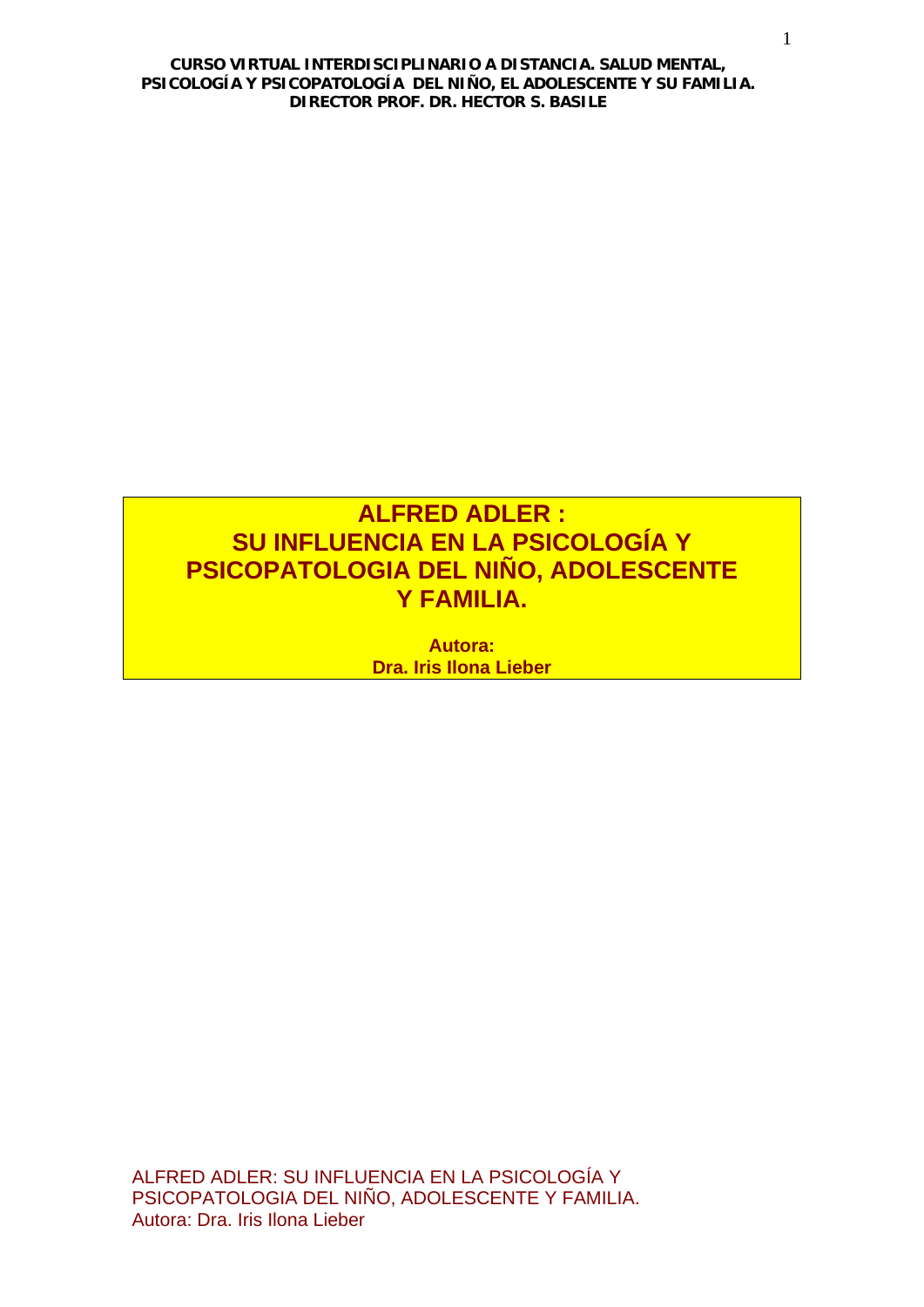# **ALFRED ADLER : SU INFLUENCIA EN LA PSICOLOGÍA Y PSICOPATOLOGIA DEL NIÑO, ADOLESCENTE Y FAMILIA.**

**Autora: Dra. Iris Ilona Lieber**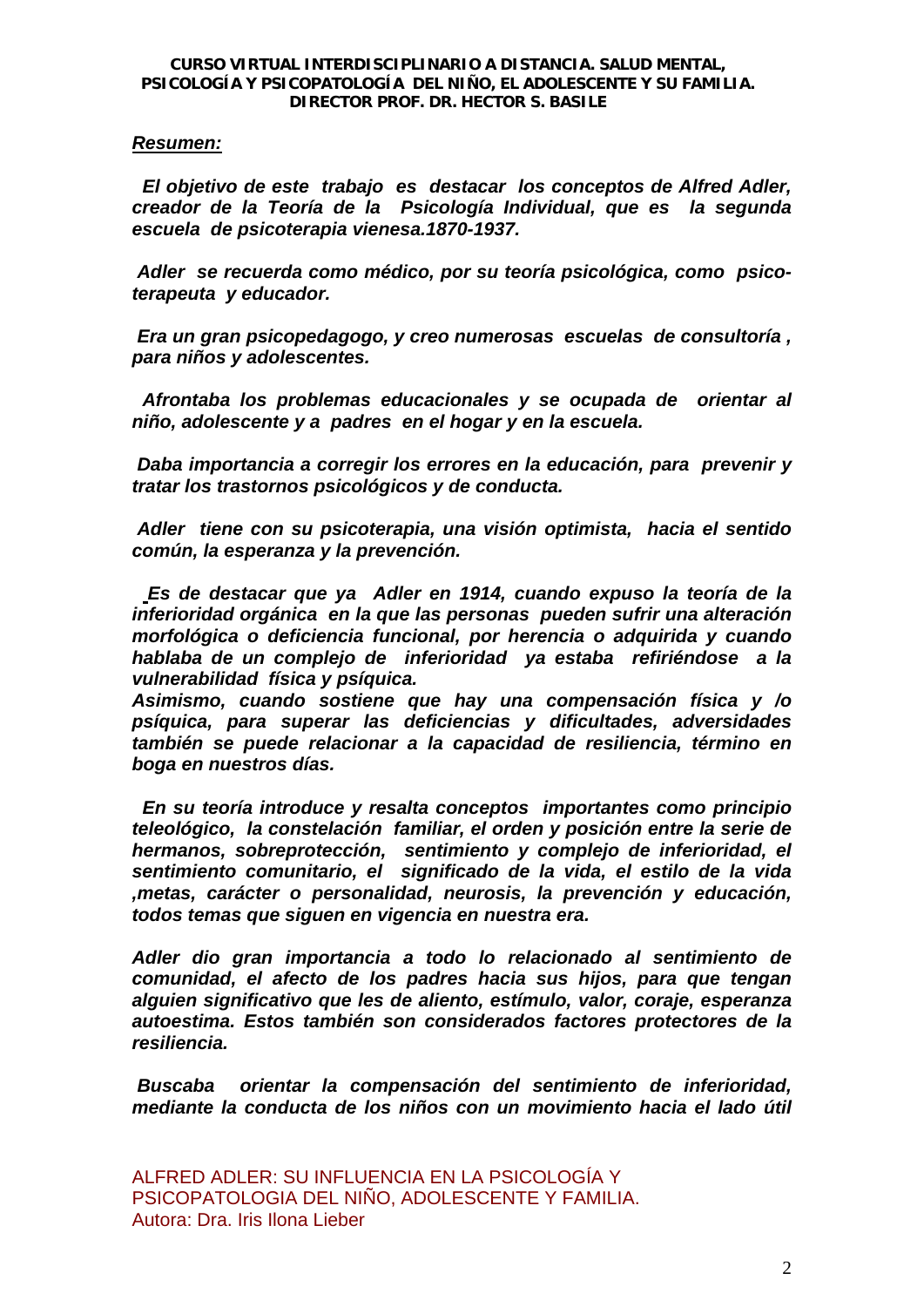# *Resumen:*

 *El objetivo de este trabajo es destacar los conceptos de Alfred Adler, creador de la Teoría de la Psicología Individual, que es la segunda escuela de psicoterapia vienesa.1870-1937.* 

 *Adler se recuerda como médico, por su teoría psicológica, como psicoterapeuta y educador.* 

 *Era un gran psicopedagogo, y creo numerosas escuelas de consultoría , para niños y adolescentes.* 

 *Afrontaba los problemas educacionales y se ocupada de orientar al niño, adolescente y a padres en el hogar y en la escuela.* 

 *Daba importancia a corregir los errores en la educación, para prevenir y tratar los trastornos psicológicos y de conducta.* 

 *Adler tiene con su psicoterapia, una visión optimista, hacia el sentido común, la esperanza y la prevención.* 

 *Es de destacar que ya Adler en 1914, cuando expuso la teoría de la inferioridad orgánica en la que las personas pueden sufrir una alteración morfológica o deficiencia funcional, por herencia o adquirida y cuando hablaba de un complejo de inferioridad ya estaba refiriéndose a la vulnerabilidad física y psíquica.* 

*Asimismo, cuando sostiene que hay una compensación física y /o psíquica, para superar las deficiencias y dificultades, adversidades también se puede relacionar a la capacidad de resiliencia, término en boga en nuestros días.* 

 *En su teoría introduce y resalta conceptos importantes como principio teleológico, la constelación familiar, el orden y posición entre la serie de hermanos, sobreprotección, sentimiento y complejo de inferioridad, el sentimiento comunitario, el significado de la vida, el estilo de la vida ,metas, carácter o personalidad, neurosis, la prevención y educación, todos temas que siguen en vigencia en nuestra era.* 

*Adler dio gran importancia a todo lo relacionado al sentimiento de comunidad, el afecto de los padres hacia sus hijos, para que tengan alguien significativo que les de aliento, estímulo, valor, coraje, esperanza autoestima. Estos también son considerados factores protectores de la resiliencia.* 

 *Buscaba orientar la compensación del sentimiento de inferioridad, mediante la conducta de los niños con un movimiento hacia el lado útil*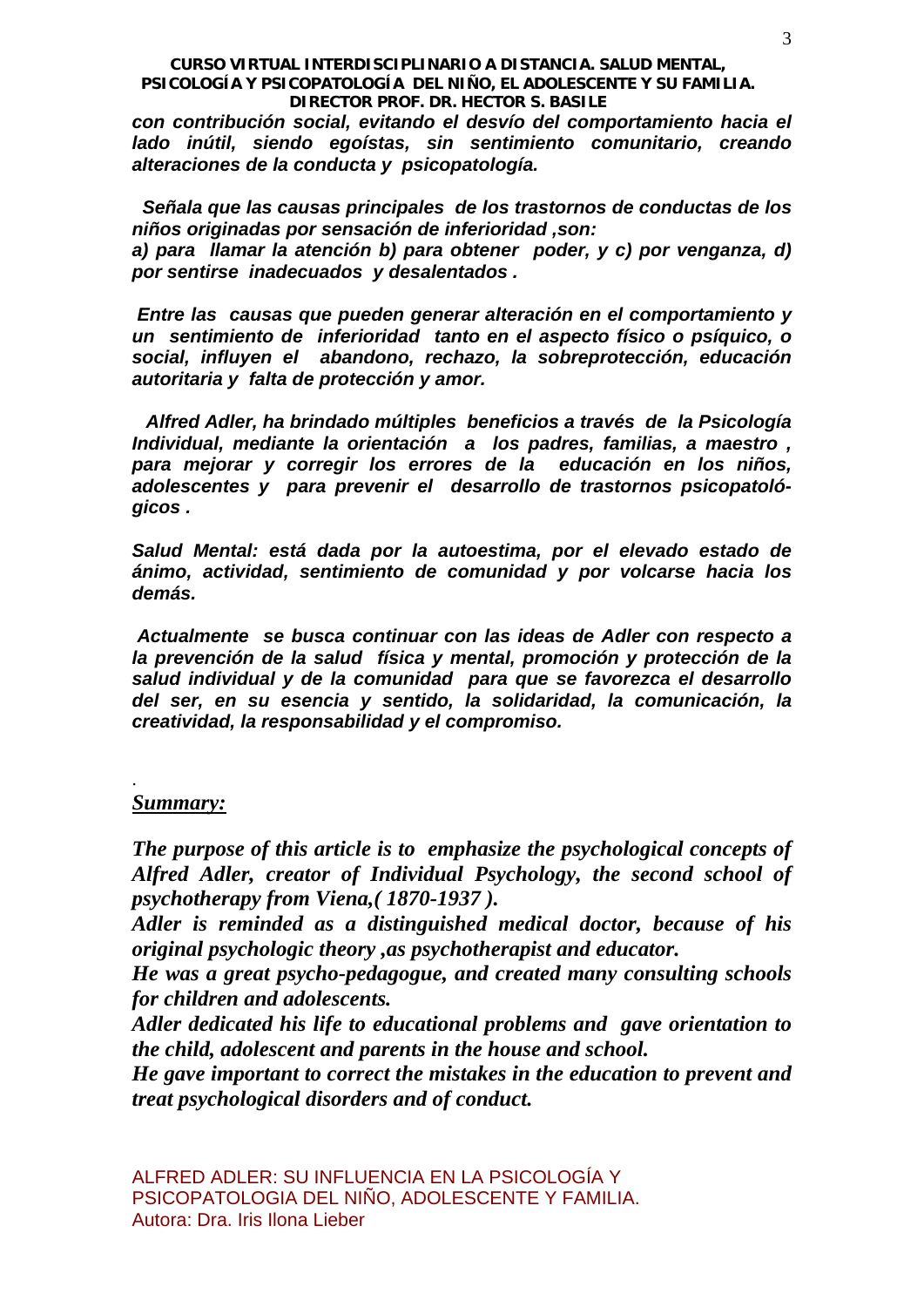*con contribución social, evitando el desvío del comportamiento hacia el lado inútil, siendo egoístas, sin sentimiento comunitario, creando alteraciones de la conducta y psicopatología.* 

 *Señala que las causas principales de los trastornos de conductas de los niños originadas por sensación de inferioridad ,son:* 

*a) para llamar la atención b) para obtener poder, y c) por venganza, d) por sentirse inadecuados y desalentados .* 

 *Entre las causas que pueden generar alteración en el comportamiento y un sentimiento de inferioridad tanto en el aspecto físico o psíquico, o social, influyen el abandono, rechazo, la sobreprotección, educación autoritaria y falta de protección y amor.* 

 *Alfred Adler, ha brindado múltiples beneficios a través de la Psicología Individual, mediante la orientación a los padres, familias, a maestro , para mejorar y corregir los errores de la educación en los niños, adolescentes y para prevenir el desarrollo de trastornos psicopatológicos .* 

*Salud Mental: está dada por la autoestima, por el elevado estado de ánimo, actividad, sentimiento de comunidad y por volcarse hacia los demás.* 

 *Actualmente se busca continuar con las ideas de Adler con respecto a la prevención de la salud física y mental, promoción y protección de la salud individual y de la comunidad para que se favorezca el desarrollo del ser, en su esencia y sentido, la solidaridad, la comunicación, la creatividad, la responsabilidad y el compromiso.* 

# *Summary:*

.

*The purpose of this article is to emphasize the psychological concepts of Alfred Adler, creator of Individual Psychology, the second school of psychotherapy from Viena,( 1870-1937 ).* 

*Adler is reminded as a distinguished medical doctor, because of his original psychologic theory ,as psychotherapist and educator.* 

*He was a great psycho-pedagogue, and created many consulting schools for children and adolescents.* 

*Adler dedicated his life to educational problems and gave orientation to the child, adolescent and parents in the house and school.* 

*He gave important to correct the mistakes in the education to prevent and treat psychological disorders and of conduct.*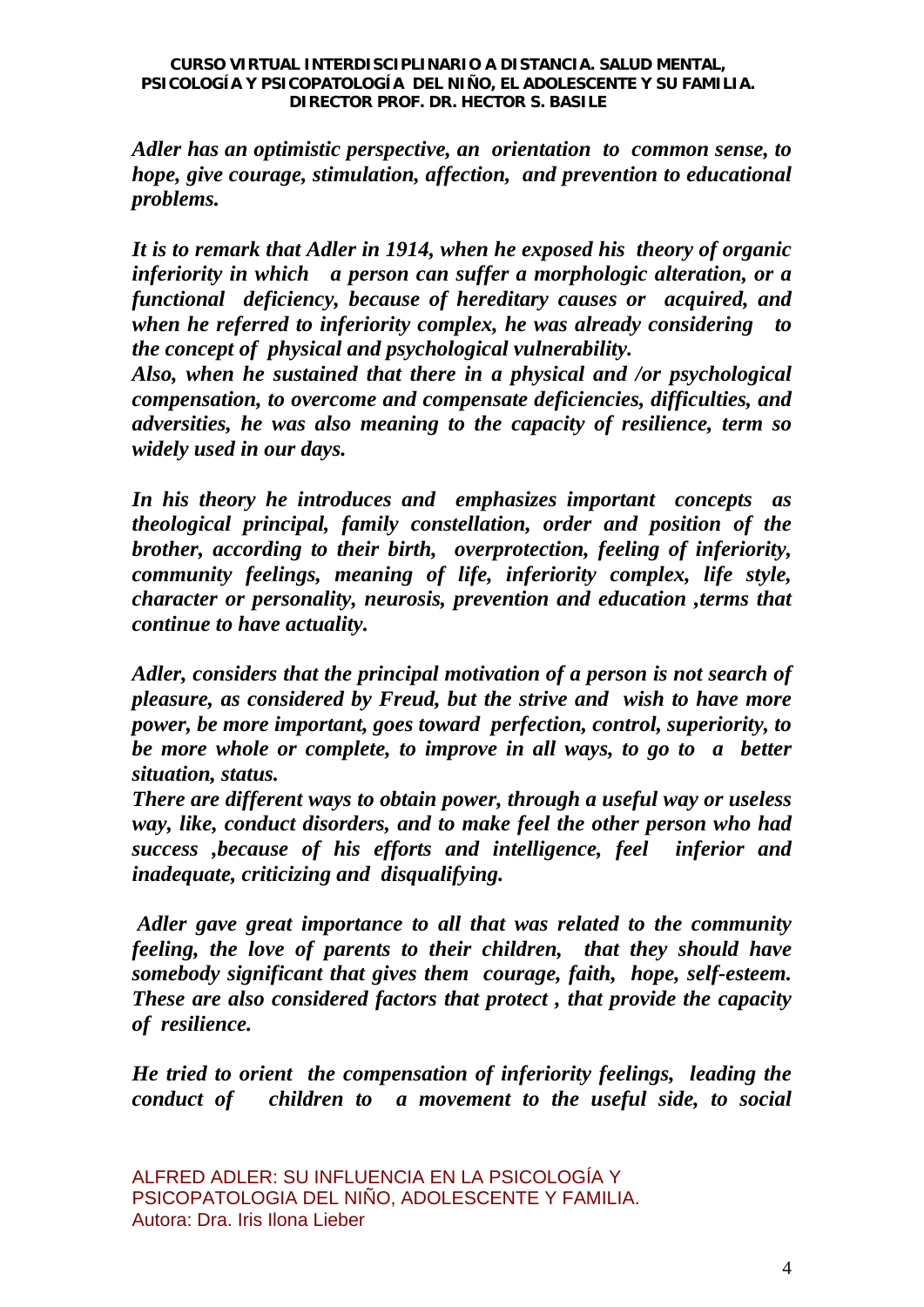*Adler has an optimistic perspective, an orientation to common sense, to hope, give courage, stimulation, affection, and prevention to educational problems.* 

*It is to remark that Adler in 1914, when he exposed his theory of organic inferiority in which a person can suffer a morphologic alteration, or a functional deficiency, because of hereditary causes or acquired, and when he referred to inferiority complex, he was already considering to the concept of physical and psychological vulnerability.* 

*Also, when he sustained that there in a physical and /or psychological compensation, to overcome and compensate deficiencies, difficulties, and adversities, he was also meaning to the capacity of resilience, term so widely used in our days.* 

*In his theory he introduces and emphasizes important concepts as theological principal, family constellation, order and position of the brother, according to their birth, overprotection, feeling of inferiority, community feelings, meaning of life, inferiority complex, life style, character or personality, neurosis, prevention and education ,terms that continue to have actuality.* 

*Adler, considers that the principal motivation of a person is not search of pleasure, as considered by Freud, but the strive and wish to have more power, be more important, goes toward perfection, control, superiority, to be more whole or complete, to improve in all ways, to go to a better situation, status.* 

*There are different ways to obtain power, through a useful way or useless way, like, conduct disorders, and to make feel the other person who had success ,because of his efforts and intelligence, feel inferior and inadequate, criticizing and disqualifying.* 

 *Adler gave great importance to all that was related to the community feeling, the love of parents to their children, that they should have somebody significant that gives them courage, faith, hope, self-esteem. These are also considered factors that protect , that provide the capacity of resilience.* 

*He tried to orient the compensation of inferiority feelings, leading the conduct of children to a movement to the useful side, to social*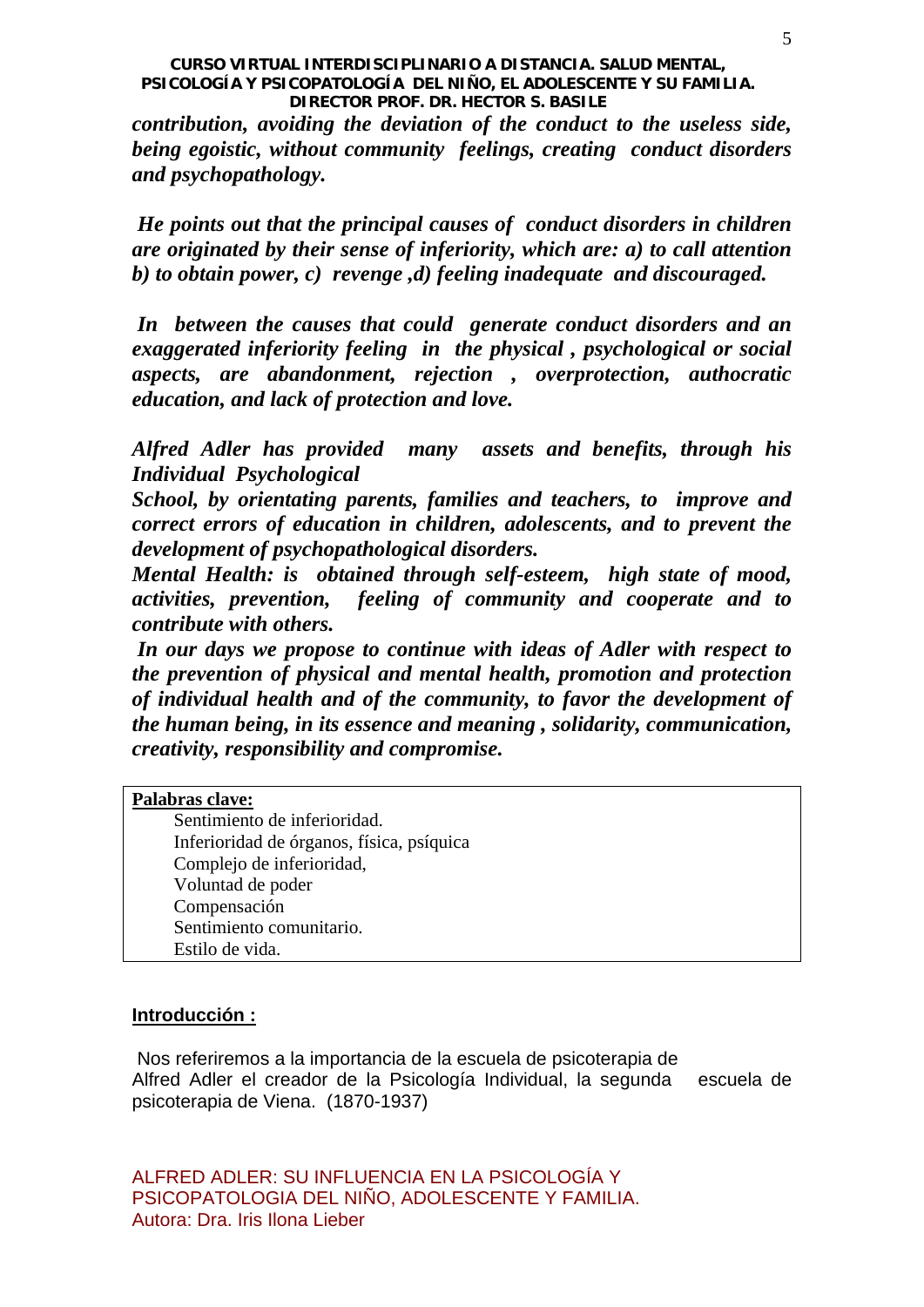*contribution, avoiding the deviation of the conduct to the useless side, being egoistic, without community feelings, creating conduct disorders and psychopathology.* 

 *He points out that the principal causes of conduct disorders in children are originated by their sense of inferiority, which are: a) to call attention b) to obtain power, c) revenge ,d) feeling inadequate and discouraged.* 

 *In between the causes that could generate conduct disorders and an exaggerated inferiority feeling in the physical , psychological or social aspects, are abandonment, rejection , overprotection, authocratic education, and lack of protection and love.* 

*Alfred Adler has provided many assets and benefits, through his Individual Psychological* 

*School, by orientating parents, families and teachers, to improve and correct errors of education in children, adolescents, and to prevent the development of psychopathological disorders.* 

*Mental Health: is obtained through self-esteem, high state of mood, activities, prevention, feeling of community and cooperate and to contribute with others.* 

 *In our days we propose to continue with ideas of Adler with respect to the prevention of physical and mental health, promotion and protection of individual health and of the community, to favor the development of the human being, in its essence and meaning , solidarity, communication, creativity, responsibility and compromise.* 

# **Palabras clave:**

Sentimiento de inferioridad. Inferioridad de órganos, física, psíquica Complejo de inferioridad, Voluntad de poder Compensación Sentimiento comunitario. Estilo de vida.

# **Introducción :**

 Nos referiremos a la importancia de la escuela de psicoterapia de Alfred Adler el creador de la Psicología Individual, la segunda escuela de psicoterapia de Viena. (1870-1937)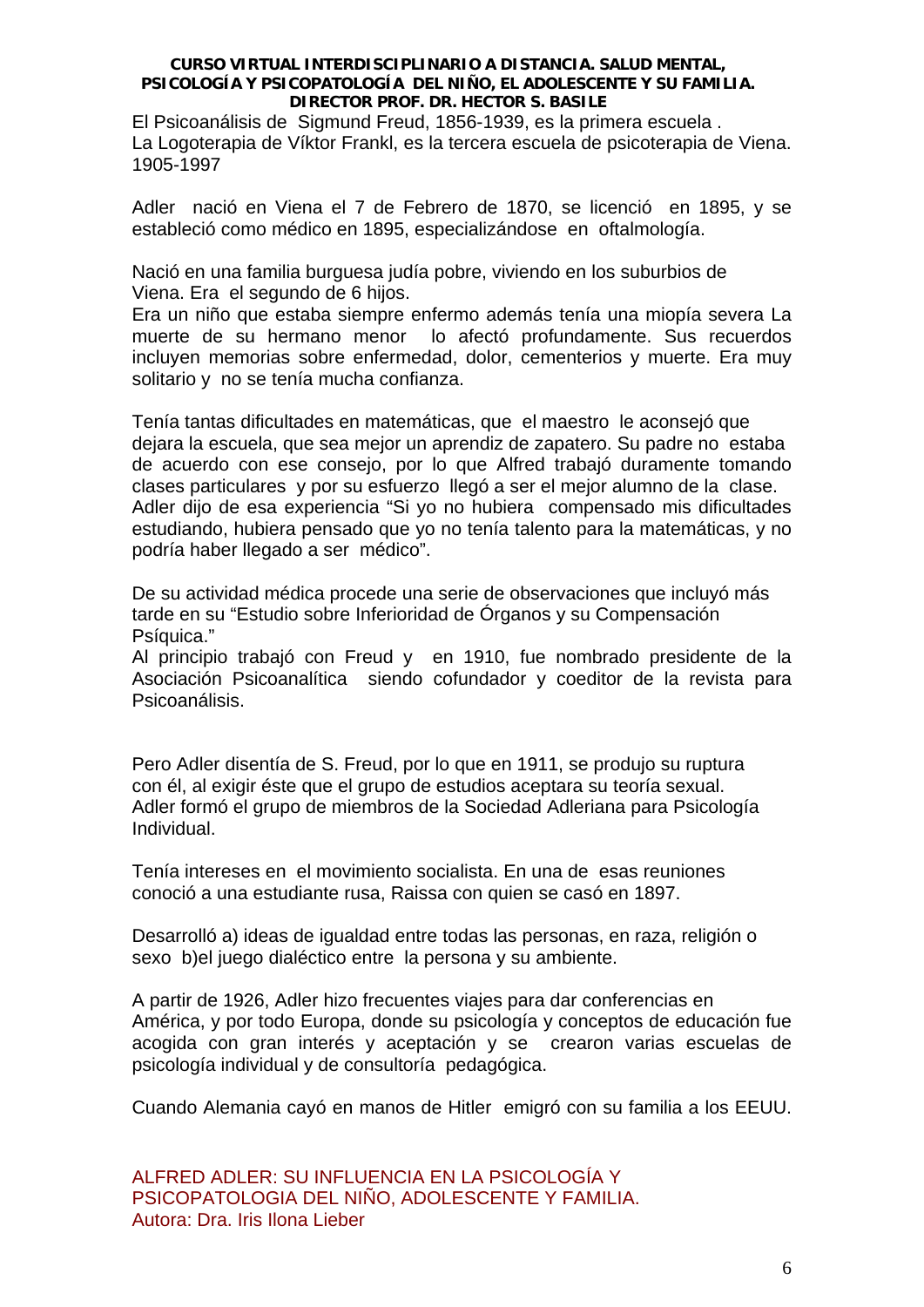El Psicoanálisis de Sigmund Freud, 1856-1939, es la primera escuela . La Logoterapia de Víktor Frankl, es la tercera escuela de psicoterapia de Viena. 1905-1997

Adler nació en Viena el 7 de Febrero de 1870, se licenció en 1895, y se estableció como médico en 1895, especializándose en oftalmología.

Nació en una familia burguesa judía pobre, viviendo en los suburbios de Viena. Era el segundo de 6 hijos.

Era un niño que estaba siempre enfermo además tenía una miopía severa La muerte de su hermano menor lo afectó profundamente. Sus recuerdos incluyen memorias sobre enfermedad, dolor, cementerios y muerte. Era muy solitario y no se tenía mucha confianza.

Tenía tantas dificultades en matemáticas, que el maestro le aconsejó que dejara la escuela, que sea mejor un aprendiz de zapatero. Su padre no estaba de acuerdo con ese consejo, por lo que Alfred trabajó duramente tomando clases particulares y por su esfuerzo llegó a ser el mejor alumno de la clase. Adler dijo de esa experiencia "Si yo no hubiera compensado mis dificultades estudiando, hubiera pensado que yo no tenía talento para la matemáticas, y no podría haber llegado a ser médico".

De su actividad médica procede una serie de observaciones que incluyó más tarde en su "Estudio sobre Inferioridad de Órganos y su Compensación Psíquica."

Al principio trabajó con Freud y en 1910, fue nombrado presidente de la Asociación Psicoanalítica siendo cofundador y coeditor de la revista para Psicoanálisis.

Pero Adler disentía de S. Freud, por lo que en 1911, se produjo su ruptura con él, al exigir éste que el grupo de estudios aceptara su teoría sexual. Adler formó el grupo de miembros de la Sociedad Adleriana para Psicología Individual.

Tenía intereses en el movimiento socialista. En una de esas reuniones conoció a una estudiante rusa, Raissa con quien se casó en 1897.

Desarrolló a) ideas de igualdad entre todas las personas, en raza, religión o sexo b)el juego dialéctico entre la persona y su ambiente.

A partir de 1926, Adler hizo frecuentes viajes para dar conferencias en América, y por todo Europa, donde su psicología y conceptos de educación fue acogida con gran interés y aceptación y se crearon varias escuelas de psicología individual y de consultoría pedagógica.

Cuando Alemania cayó en manos de Hitler emigró con su familia a los EEUU.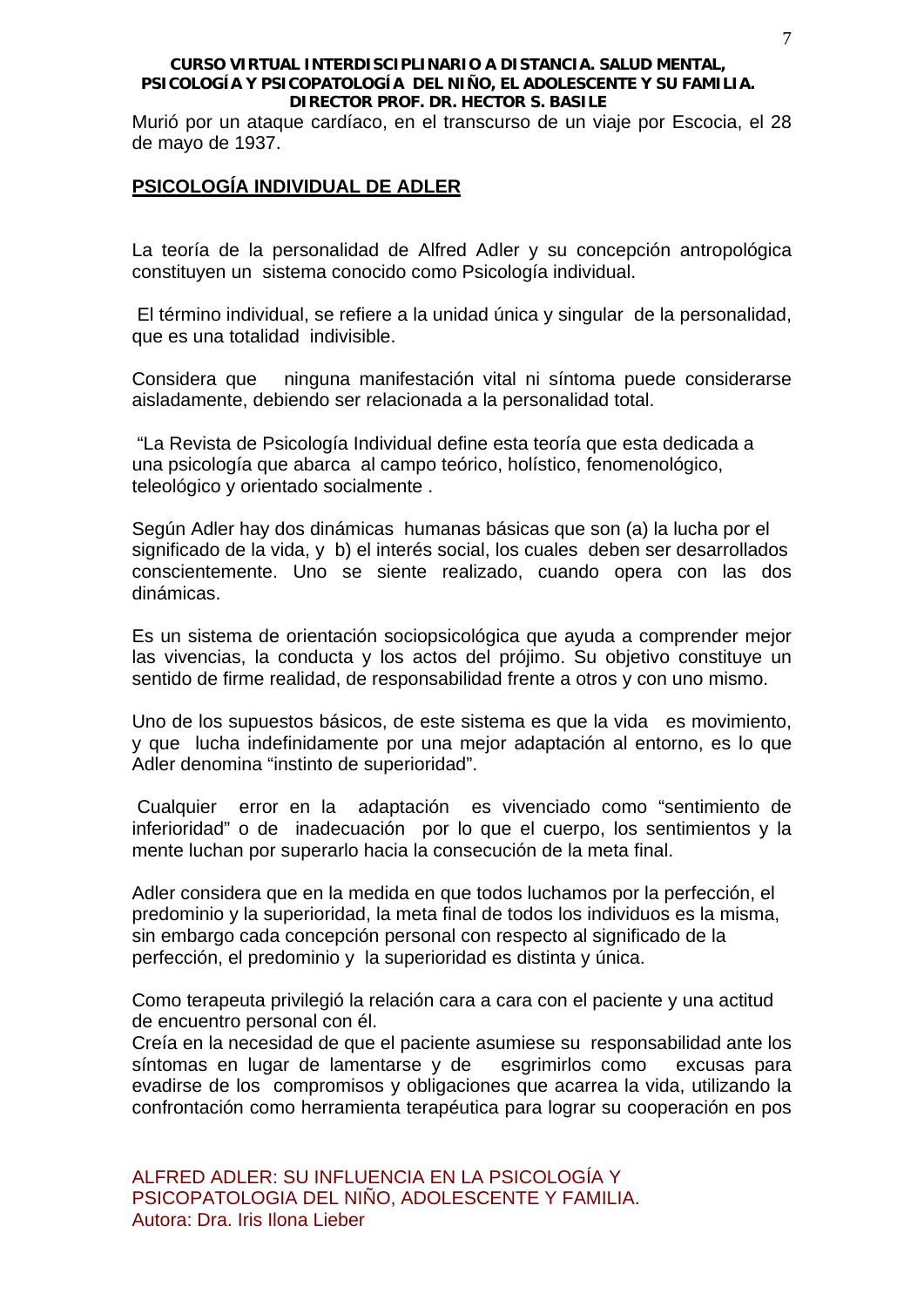Murió por un ataque cardíaco, en el transcurso de un viaje por Escocia, el 28 de mayo de 1937.

# **PSICOLOGÍA INDIVIDUAL DE ADLER**

La teoría de la personalidad de Alfred Adler y su concepción antropológica constituyen un sistema conocido como Psicología individual.

 El término individual, se refiere a la unidad única y singular de la personalidad, que es una totalidad indivisible.

Considera que ninguna manifestación vital ni síntoma puede considerarse aisladamente, debiendo ser relacionada a la personalidad total.

 "La Revista de Psicología Individual define esta teoría que esta dedicada a una psicología que abarca al campo teórico, holístico, fenomenológico, teleológico y orientado socialmente .

Según Adler hay dos dinámicas humanas básicas que son (a) la lucha por el significado de la vida, y b) el interés social, los cuales deben ser desarrollados conscientemente. Uno se siente realizado, cuando opera con las dos dinámicas.

Es un sistema de orientación sociopsicológica que ayuda a comprender mejor las vivencias, la conducta y los actos del prójimo. Su objetivo constituye un sentido de firme realidad, de responsabilidad frente a otros y con uno mismo.

Uno de los supuestos básicos, de este sistema es que la vida es movimiento, y que lucha indefinidamente por una mejor adaptación al entorno, es lo que Adler denomina "instinto de superioridad".

 Cualquier error en la adaptación es vivenciado como "sentimiento de inferioridad" o de inadecuación por lo que el cuerpo, los sentimientos y la mente luchan por superarlo hacia la consecución de la meta final.

Adler considera que en la medida en que todos luchamos por la perfección, el predominio y la superioridad, la meta final de todos los individuos es la misma, sin embargo cada concepción personal con respecto al significado de la perfección, el predominio y la superioridad es distinta y única.

Como terapeuta privilegió la relación cara a cara con el paciente y una actitud de encuentro personal con él.

Creía en la necesidad de que el paciente asumiese su responsabilidad ante los síntomas en lugar de lamentarse y de esgrimirlos como excusas para evadirse de los compromisos y obligaciones que acarrea la vida, utilizando la confrontación como herramienta terapéutica para lograr su cooperación en pos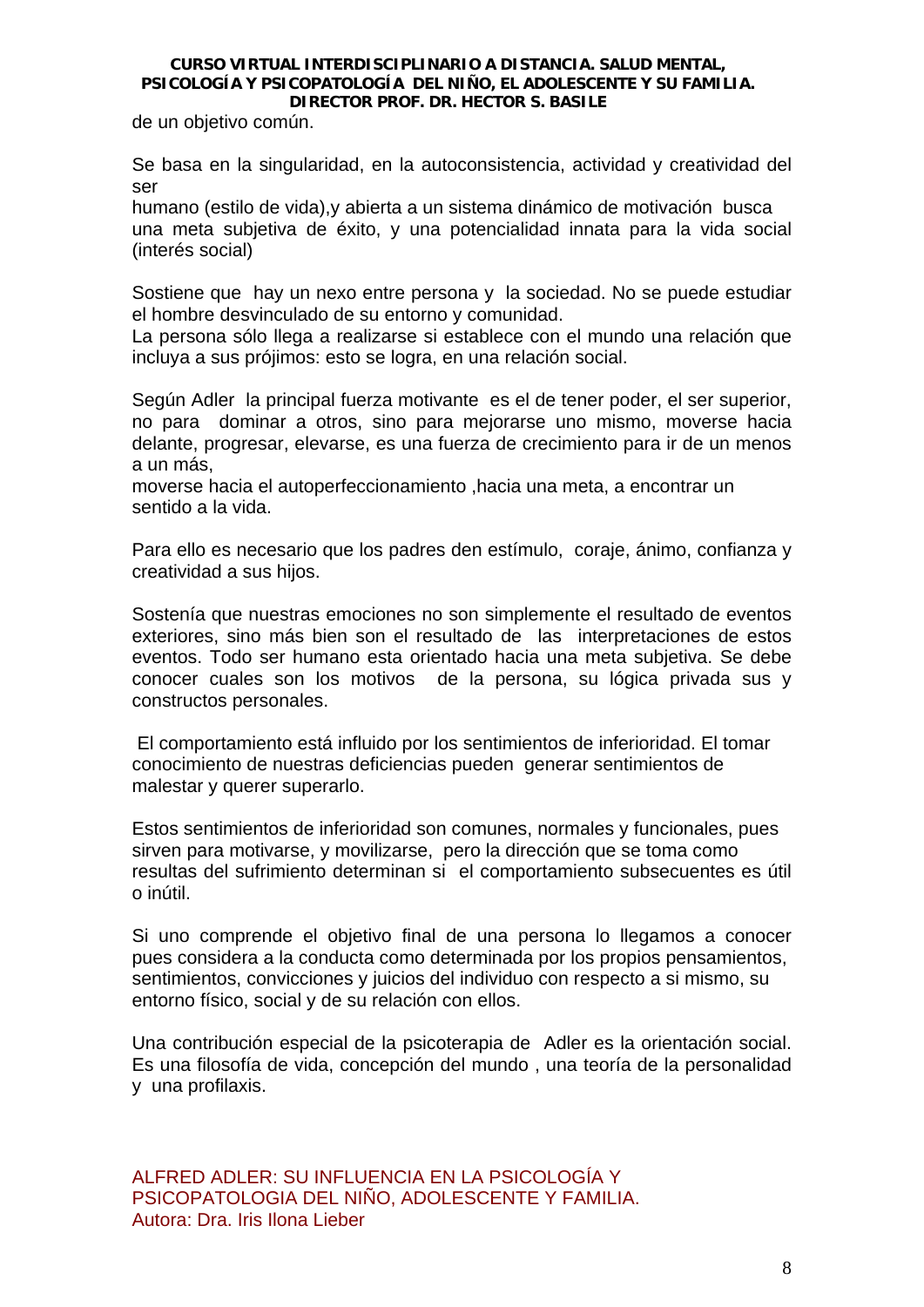de un objetivo común.

Se basa en la singularidad, en la autoconsistencia, actividad y creatividad del ser

humano (estilo de vida),y abierta a un sistema dinámico de motivación busca una meta subjetiva de éxito, y una potencialidad innata para la vida social (interés social)

Sostiene que hay un nexo entre persona y la sociedad. No se puede estudiar el hombre desvinculado de su entorno y comunidad.

La persona sólo llega a realizarse si establece con el mundo una relación que incluya a sus prójimos: esto se logra, en una relación social.

Según Adler la principal fuerza motivante es el de tener poder, el ser superior, no para dominar a otros, sino para mejorarse uno mismo, moverse hacia delante, progresar, elevarse, es una fuerza de crecimiento para ir de un menos a un más,

moverse hacia el autoperfeccionamiento ,hacia una meta, a encontrar un sentido a la vida.

Para ello es necesario que los padres den estímulo, coraje, ánimo, confianza y creatividad a sus hijos.

Sostenía que nuestras emociones no son simplemente el resultado de eventos exteriores, sino más bien son el resultado de las interpretaciones de estos eventos. Todo ser humano esta orientado hacia una meta subjetiva. Se debe conocer cuales son los motivos de la persona, su lógica privada sus y constructos personales.

 El comportamiento está influido por los sentimientos de inferioridad. El tomar conocimiento de nuestras deficiencias pueden generar sentimientos de malestar y querer superarlo.

Estos sentimientos de inferioridad son comunes, normales y funcionales, pues sirven para motivarse, y movilizarse, pero la dirección que se toma como resultas del sufrimiento determinan si el comportamiento subsecuentes es útil o inútil.

Si uno comprende el objetivo final de una persona lo llegamos a conocer pues considera a la conducta como determinada por los propios pensamientos, sentimientos, convicciones y juicios del individuo con respecto a si mismo, su entorno físico, social y de su relación con ellos.

Una contribución especial de la psicoterapia de Adler es la orientación social. Es una filosofía de vida, concepción del mundo , una teoría de la personalidad y una profilaxis.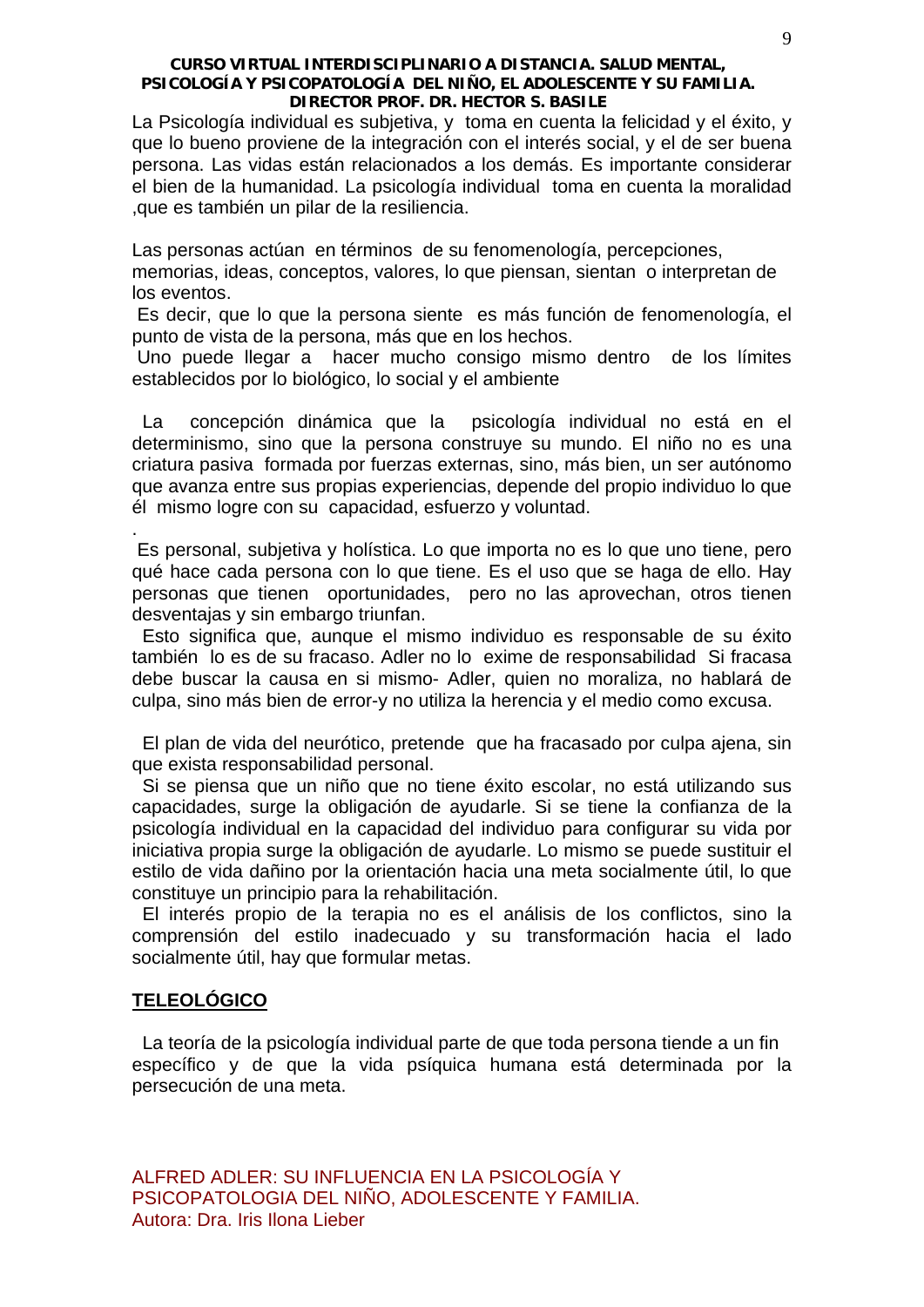La Psicología individual es subjetiva, y toma en cuenta la felicidad y el éxito, y que lo bueno proviene de la integración con el interés social, y el de ser buena persona. Las vidas están relacionados a los demás. Es importante considerar el bien de la humanidad. La psicología individual toma en cuenta la moralidad ,que es también un pilar de la resiliencia.

Las personas actúan en términos de su fenomenología, percepciones,

memorias, ideas, conceptos, valores, lo que piensan, sientan o interpretan de los eventos.

 Es decir, que lo que la persona siente es más función de fenomenología, el punto de vista de la persona, más que en los hechos.

 Uno puede llegar a hacer mucho consigo mismo dentro de los límites establecidos por lo biológico, lo social y el ambiente

 La concepción dinámica que la psicología individual no está en el determinismo, sino que la persona construye su mundo. El niño no es una criatura pasiva formada por fuerzas externas, sino, más bien, un ser autónomo que avanza entre sus propias experiencias, depende del propio individuo lo que él mismo logre con su capacidad, esfuerzo y voluntad.

 Es personal, subjetiva y holística. Lo que importa no es lo que uno tiene, pero qué hace cada persona con lo que tiene. Es el uso que se haga de ello. Hay personas que tienen oportunidades, pero no las aprovechan, otros tienen desventajas y sin embargo triunfan.

 Esto significa que, aunque el mismo individuo es responsable de su éxito también lo es de su fracaso. Adler no lo exime de responsabilidad Si fracasa debe buscar la causa en si mismo- Adler, quien no moraliza, no hablará de culpa, sino más bien de error-y no utiliza la herencia y el medio como excusa.

 El plan de vida del neurótico, pretende que ha fracasado por culpa ajena, sin que exista responsabilidad personal.

 Si se piensa que un niño que no tiene éxito escolar, no está utilizando sus capacidades, surge la obligación de ayudarle. Si se tiene la confianza de la psicología individual en la capacidad del individuo para configurar su vida por iniciativa propia surge la obligación de ayudarle. Lo mismo se puede sustituir el estilo de vida dañino por la orientación hacia una meta socialmente útil, lo que constituye un principio para la rehabilitación.

 El interés propio de la terapia no es el análisis de los conflictos, sino la comprensión del estilo inadecuado y su transformación hacia el lado socialmente útil, hay que formular metas.

# **TELEOLÓGICO**

.

 La teoría de la psicología individual parte de que toda persona tiende a un fin específico y de que la vida psíquica humana está determinada por la persecución de una meta.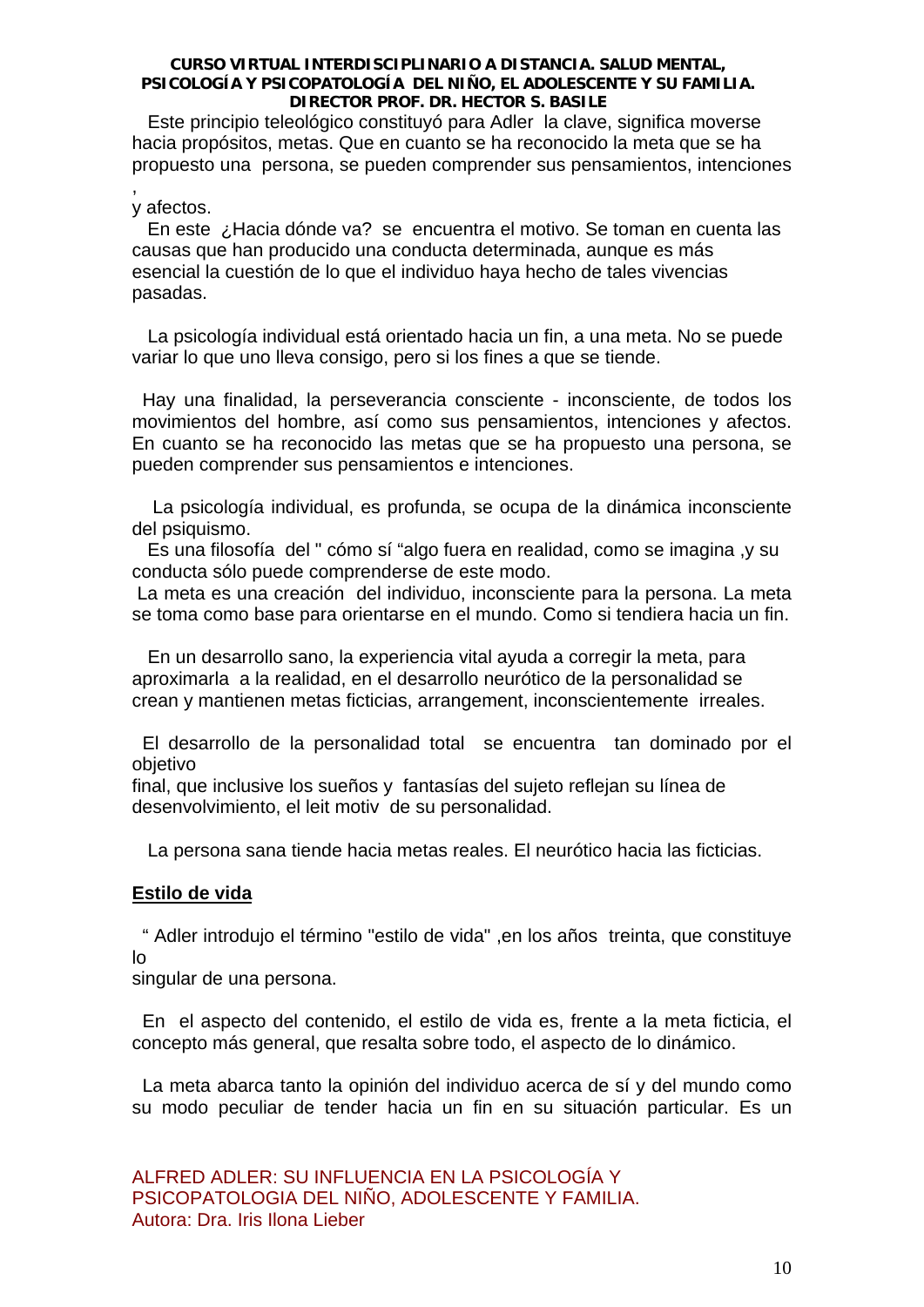Este principio teleológico constituyó para Adler la clave, significa moverse hacia propósitos, metas. Que en cuanto se ha reconocido la meta que se ha propuesto una persona, se pueden comprender sus pensamientos, intenciones ,

# y afectos.

 En este ¿Hacia dónde va? se encuentra el motivo. Se toman en cuenta las causas que han producido una conducta determinada, aunque es más esencial la cuestión de lo que el individuo haya hecho de tales vivencias pasadas.

 La psicología individual está orientado hacia un fin, a una meta. No se puede variar lo que uno lleva consigo, pero si los fines a que se tiende.

 Hay una finalidad, la perseverancia consciente - inconsciente, de todos los movimientos del hombre, así como sus pensamientos, intenciones y afectos. En cuanto se ha reconocido las metas que se ha propuesto una persona, se pueden comprender sus pensamientos e intenciones.

 La psicología individual, es profunda, se ocupa de la dinámica inconsciente del psiquismo.

 Es una filosofía del " cómo sí "algo fuera en realidad, como se imagina ,y su conducta sólo puede comprenderse de este modo.

 La meta es una creación del individuo, inconsciente para la persona. La meta se toma como base para orientarse en el mundo. Como si tendiera hacia un fin.

 En un desarrollo sano, la experiencia vital ayuda a corregir la meta, para aproximarla a la realidad, en el desarrollo neurótico de la personalidad se crean y mantienen metas ficticias, arrangement, inconscientemente irreales.

 El desarrollo de la personalidad total se encuentra tan dominado por el objetivo

final, que inclusive los sueños y fantasías del sujeto reflejan su línea de desenvolvimiento, el leit motiv de su personalidad.

La persona sana tiende hacia metas reales. El neurótico hacia las ficticias.

# **Estilo de vida**

 " Adler introdujo el término "estilo de vida" ,en los años treinta, que constituye lo

singular de una persona.

 En el aspecto del contenido, el estilo de vida es, frente a la meta ficticia, el concepto más general, que resalta sobre todo, el aspecto de lo dinámico.

 La meta abarca tanto la opinión del individuo acerca de sí y del mundo como su modo peculiar de tender hacia un fin en su situación particular. Es un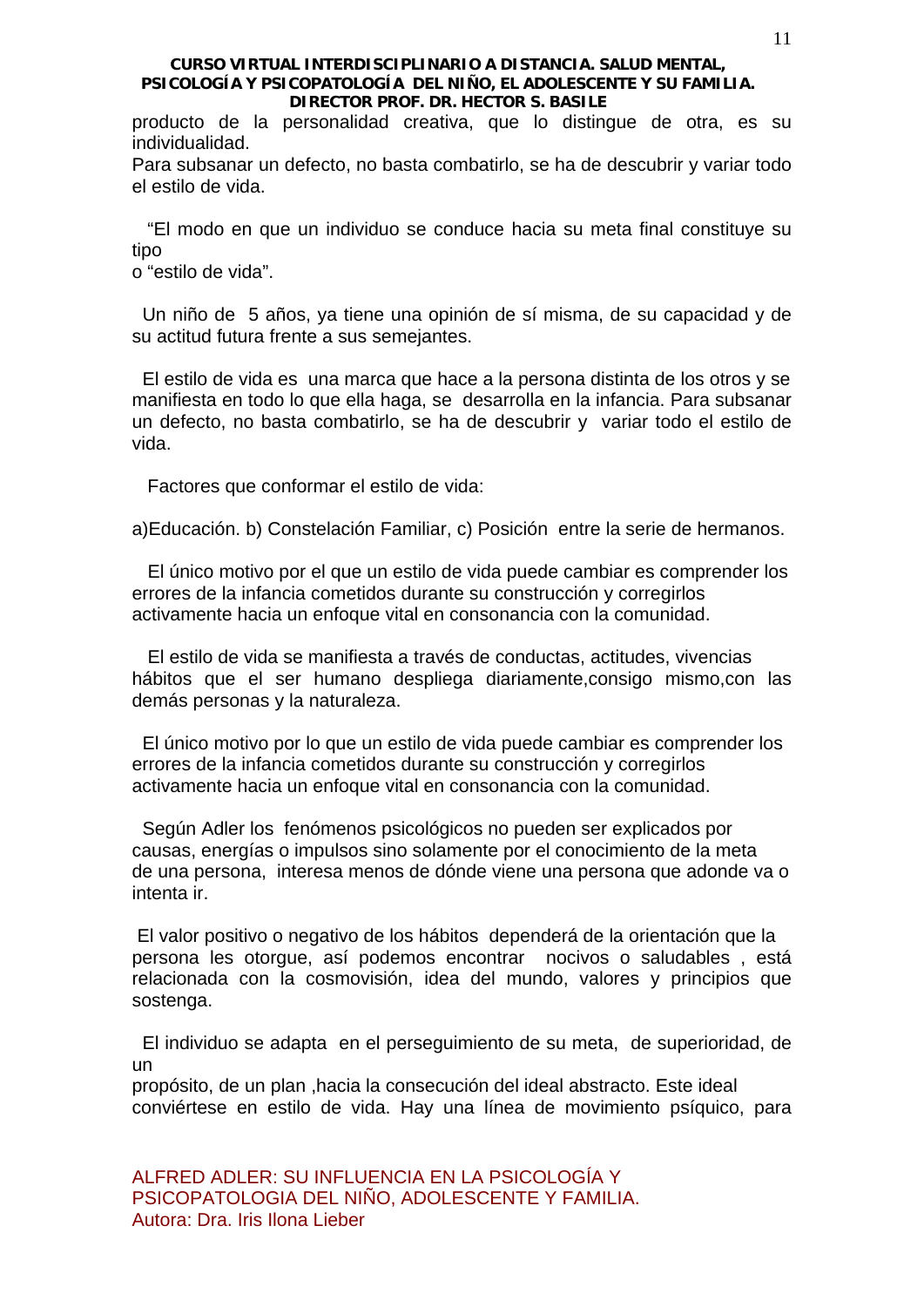producto de la personalidad creativa, que lo distingue de otra, es su individualidad.

Para subsanar un defecto, no basta combatirlo, se ha de descubrir y variar todo el estilo de vida.

 "El modo en que un individuo se conduce hacia su meta final constituye su tipo

o "estilo de vida".

 Un niño de 5 años, ya tiene una opinión de sí misma, de su capacidad y de su actitud futura frente a sus semejantes.

 El estilo de vida es una marca que hace a la persona distinta de los otros y se manifiesta en todo lo que ella haga, se desarrolla en la infancia. Para subsanar un defecto, no basta combatirlo, se ha de descubrir y variar todo el estilo de vida.

Factores que conformar el estilo de vida:

a)Educación. b) Constelación Familiar, c) Posición entre la serie de hermanos.

 El único motivo por el que un estilo de vida puede cambiar es comprender los errores de la infancia cometidos durante su construcción y corregirlos activamente hacia un enfoque vital en consonancia con la comunidad.

 El estilo de vida se manifiesta a través de conductas, actitudes, vivencias hábitos que el ser humano despliega diariamente,consigo mismo,con las demás personas y la naturaleza.

 El único motivo por lo que un estilo de vida puede cambiar es comprender los errores de la infancia cometidos durante su construcción y corregirlos activamente hacia un enfoque vital en consonancia con la comunidad.

 Según Adler los fenómenos psicológicos no pueden ser explicados por causas, energías o impulsos sino solamente por el conocimiento de la meta de una persona, interesa menos de dónde viene una persona que adonde va o intenta ir.

 El valor positivo o negativo de los hábitos dependerá de la orientación que la persona les otorgue, así podemos encontrar nocivos o saludables , está relacionada con la cosmovisión, idea del mundo, valores y principios que sostenga.

 El individuo se adapta en el perseguimiento de su meta, de superioridad, de un

propósito, de un plan ,hacia la consecución del ideal abstracto. Este ideal conviértese en estilo de vida. Hay una línea de movimiento psíquico, para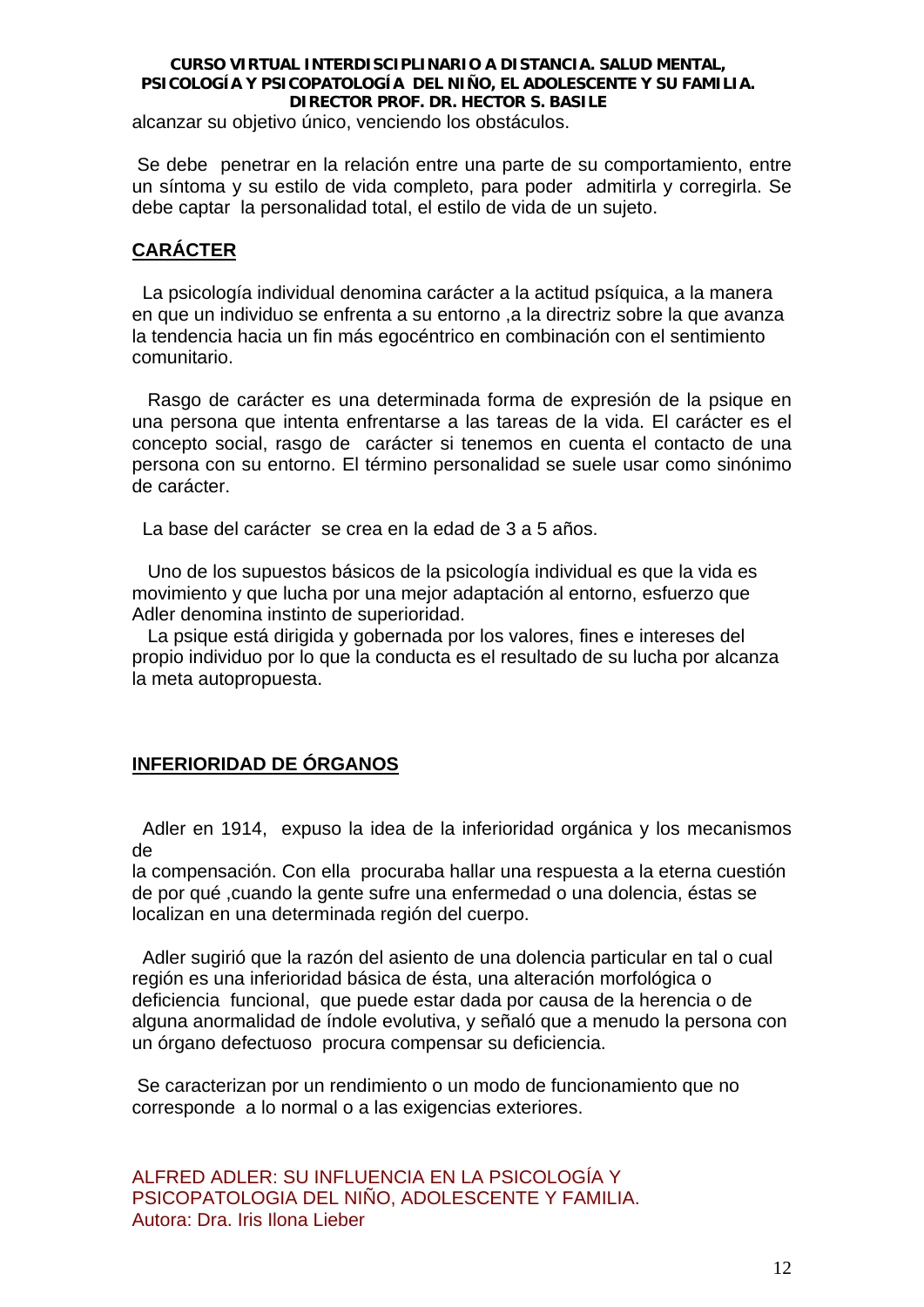alcanzar su objetivo único, venciendo los obstáculos.

 Se debe penetrar en la relación entre una parte de su comportamiento, entre un síntoma y su estilo de vida completo, para poder admitirla y corregirla. Se debe captar la personalidad total, el estilo de vida de un sujeto.

# **CARÁCTER**

 La psicología individual denomina carácter a la actitud psíquica, a la manera en que un individuo se enfrenta a su entorno ,a la directriz sobre la que avanza la tendencia hacia un fin más egocéntrico en combinación con el sentimiento comunitario.

 Rasgo de carácter es una determinada forma de expresión de la psique en una persona que intenta enfrentarse a las tareas de la vida. El carácter es el concepto social, rasgo de carácter si tenemos en cuenta el contacto de una persona con su entorno. El término personalidad se suele usar como sinónimo de carácter.

La base del carácter se crea en la edad de 3 a 5 años.

 Uno de los supuestos básicos de la psicología individual es que la vida es movimiento y que lucha por una mejor adaptación al entorno, esfuerzo que Adler denomina instinto de superioridad.

 La psique está dirigida y gobernada por los valores, fines e intereses del propio individuo por lo que la conducta es el resultado de su lucha por alcanza la meta autopropuesta.

# **INFERIORIDAD DE ÓRGANOS**

 Adler en 1914, expuso la idea de la inferioridad orgánica y los mecanismos de

la compensación. Con ella procuraba hallar una respuesta a la eterna cuestión de por qué ,cuando la gente sufre una enfermedad o una dolencia, éstas se localizan en una determinada región del cuerpo.

 Adler sugirió que la razón del asiento de una dolencia particular en tal o cual región es una inferioridad básica de ésta, una alteración morfológica o deficiencia funcional, que puede estar dada por causa de la herencia o de alguna anormalidad de índole evolutiva, y señaló que a menudo la persona con un órgano defectuoso procura compensar su deficiencia.

 Se caracterizan por un rendimiento o un modo de funcionamiento que no corresponde a lo normal o a las exigencias exteriores.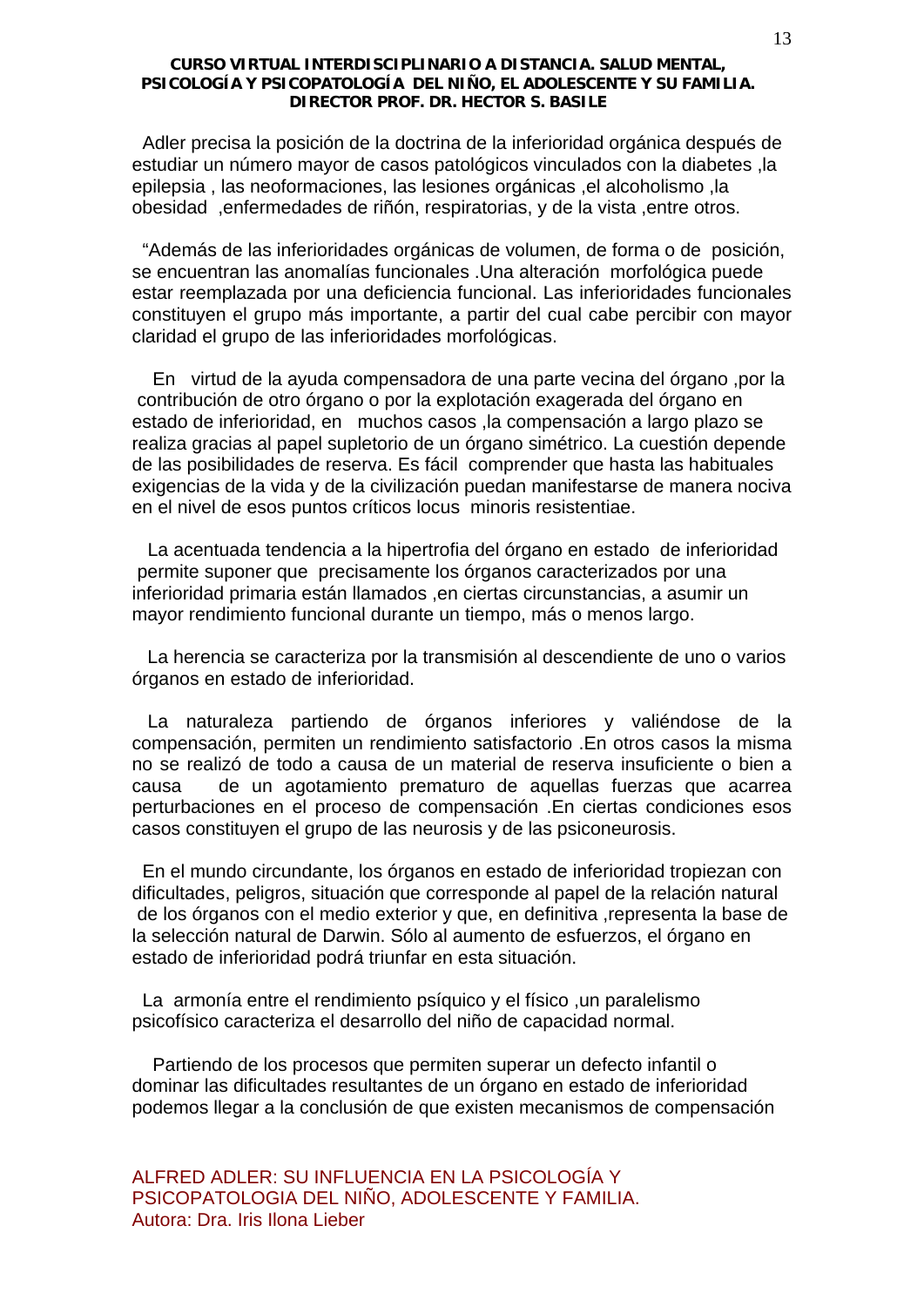Adler precisa la posición de la doctrina de la inferioridad orgánica después de estudiar un número mayor de casos patológicos vinculados con la diabetes ,la epilepsia , las neoformaciones, las lesiones orgánicas ,el alcoholismo ,la obesidad ,enfermedades de riñón, respiratorias, y de la vista ,entre otros.

 "Además de las inferioridades orgánicas de volumen, de forma o de posición, se encuentran las anomalías funcionales .Una alteración morfológica puede estar reemplazada por una deficiencia funcional. Las inferioridades funcionales constituyen el grupo más importante, a partir del cual cabe percibir con mayor claridad el grupo de las inferioridades morfológicas.

 En virtud de la ayuda compensadora de una parte vecina del órgano ,por la contribución de otro órgano o por la explotación exagerada del órgano en estado de inferioridad, en muchos casos ,la compensación a largo plazo se realiza gracias al papel supletorio de un órgano simétrico. La cuestión depende de las posibilidades de reserva. Es fácil comprender que hasta las habituales exigencias de la vida y de la civilización puedan manifestarse de manera nociva en el nivel de esos puntos críticos locus minoris resistentiae.

 La acentuada tendencia a la hipertrofia del órgano en estado de inferioridad permite suponer que precisamente los órganos caracterizados por una inferioridad primaria están llamados ,en ciertas circunstancias, a asumir un mayor rendimiento funcional durante un tiempo, más o menos largo.

 La herencia se caracteriza por la transmisión al descendiente de uno o varios órganos en estado de inferioridad.

 La naturaleza partiendo de órganos inferiores y valiéndose de la compensación, permiten un rendimiento satisfactorio .En otros casos la misma no se realizó de todo a causa de un material de reserva insuficiente o bien a causa de un agotamiento prematuro de aquellas fuerzas que acarrea perturbaciones en el proceso de compensación .En ciertas condiciones esos casos constituyen el grupo de las neurosis y de las psiconeurosis.

 En el mundo circundante, los órganos en estado de inferioridad tropiezan con dificultades, peligros, situación que corresponde al papel de la relación natural de los órganos con el medio exterior y que, en definitiva ,representa la base de la selección natural de Darwin. Sólo al aumento de esfuerzos, el órgano en estado de inferioridad podrá triunfar en esta situación.

 La armonía entre el rendimiento psíquico y el físico ,un paralelismo psicofísico caracteriza el desarrollo del niño de capacidad normal.

 Partiendo de los procesos que permiten superar un defecto infantil o dominar las dificultades resultantes de un órgano en estado de inferioridad podemos llegar a la conclusión de que existen mecanismos de compensación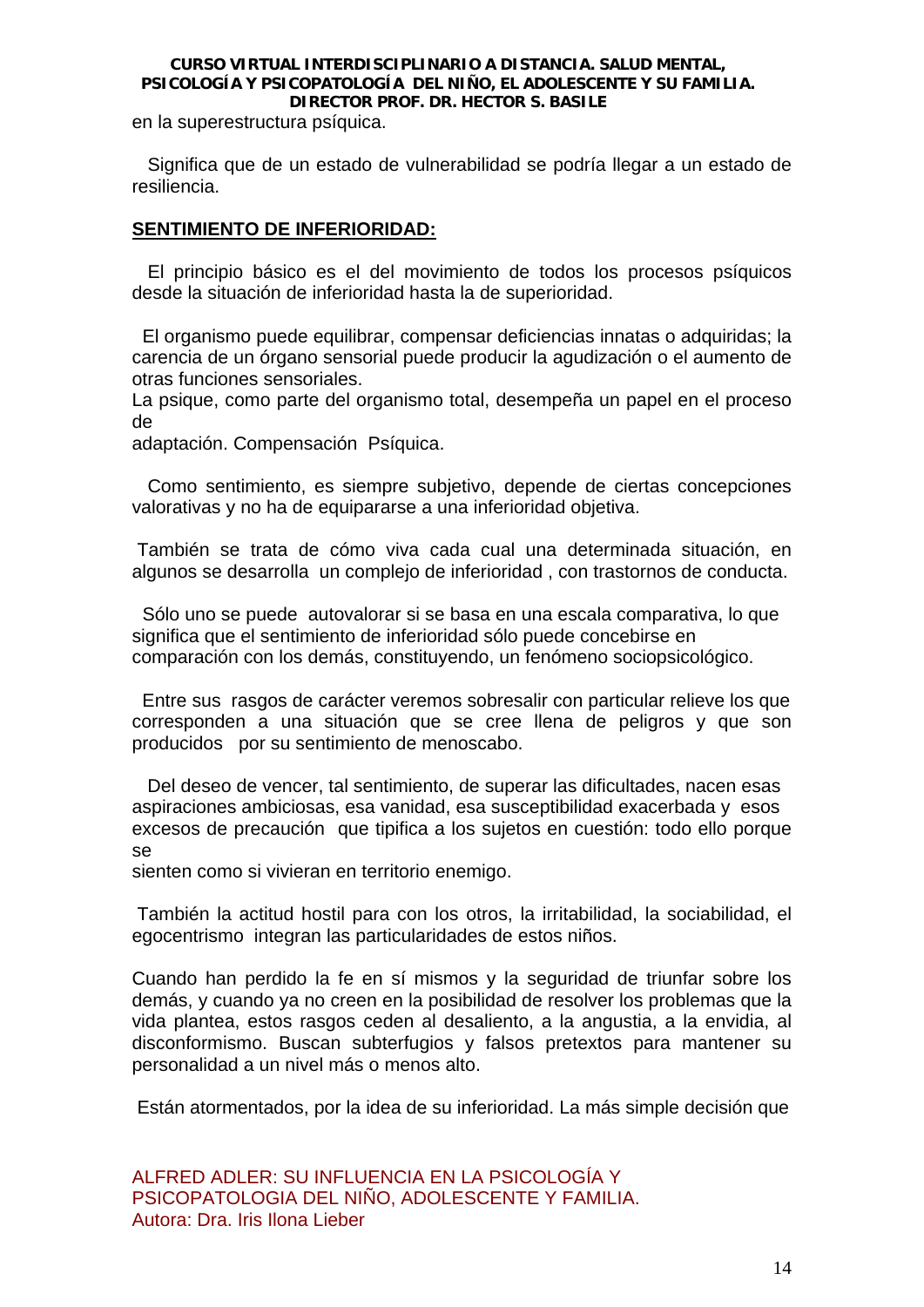en la superestructura psíquica.

 Significa que de un estado de vulnerabilidad se podría llegar a un estado de resiliencia.

# **SENTIMIENTO DE INFERIORIDAD:**

 El principio básico es el del movimiento de todos los procesos psíquicos desde la situación de inferioridad hasta la de superioridad.

 El organismo puede equilibrar, compensar deficiencias innatas o adquiridas; la carencia de un órgano sensorial puede producir la agudización o el aumento de otras funciones sensoriales.

La psique, como parte del organismo total, desempeña un papel en el proceso de

adaptación. Compensación Psíquica.

 Como sentimiento, es siempre subjetivo, depende de ciertas concepciones valorativas y no ha de equipararse a una inferioridad objetiva.

 También se trata de cómo viva cada cual una determinada situación, en algunos se desarrolla un complejo de inferioridad , con trastornos de conducta.

 Sólo uno se puede autovalorar si se basa en una escala comparativa, lo que significa que el sentimiento de inferioridad sólo puede concebirse en comparación con los demás, constituyendo, un fenómeno sociopsicológico.

 Entre sus rasgos de carácter veremos sobresalir con particular relieve los que corresponden a una situación que se cree llena de peligros y que son producidos por su sentimiento de menoscabo.

 Del deseo de vencer, tal sentimiento, de superar las dificultades, nacen esas aspiraciones ambiciosas, esa vanidad, esa susceptibilidad exacerbada y esos excesos de precaución que tipifica a los sujetos en cuestión: todo ello porque se

sienten como si vivieran en territorio enemigo.

 También la actitud hostil para con los otros, la irritabilidad, la sociabilidad, el egocentrismo integran las particularidades de estos niños.

Cuando han perdido la fe en sí mismos y la seguridad de triunfar sobre los demás, y cuando ya no creen en la posibilidad de resolver los problemas que la vida plantea, estos rasgos ceden al desaliento, a la angustia, a la envidia, al disconformismo. Buscan subterfugios y falsos pretextos para mantener su personalidad a un nivel más o menos alto.

Están atormentados, por la idea de su inferioridad. La más simple decisión que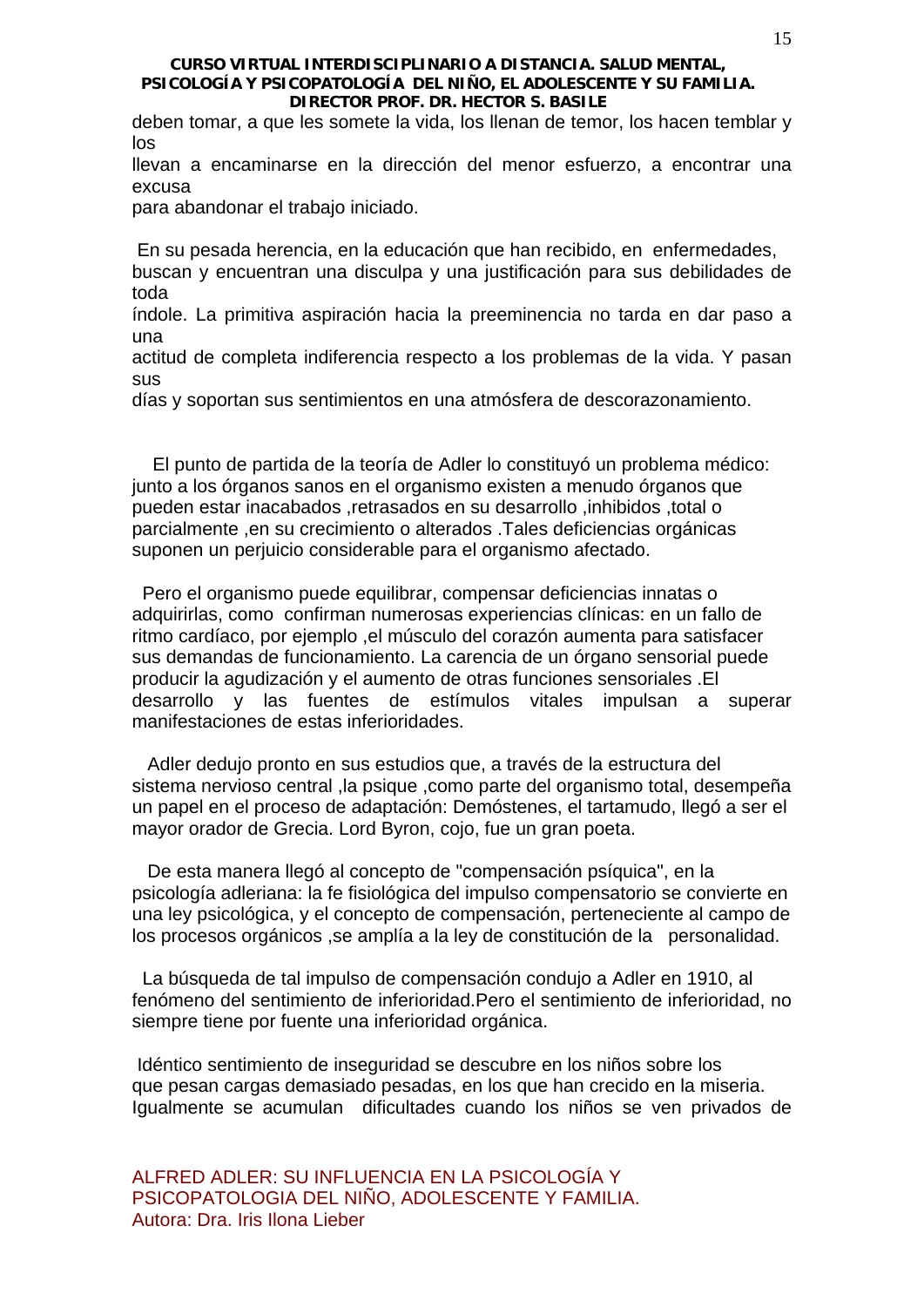deben tomar, a que les somete la vida, los llenan de temor, los hacen temblar y los

llevan a encaminarse en la dirección del menor esfuerzo, a encontrar una excusa

para abandonar el trabajo iniciado.

En su pesada herencia, en la educación que han recibido, en enfermedades,

buscan y encuentran una disculpa y una justificación para sus debilidades de toda

índole. La primitiva aspiración hacia la preeminencia no tarda en dar paso a una

actitud de completa indiferencia respecto a los problemas de la vida. Y pasan sus

días y soportan sus sentimientos en una atmósfera de descorazonamiento.

 El punto de partida de la teoría de Adler lo constituyó un problema médico: junto a los órganos sanos en el organismo existen a menudo órganos que pueden estar inacabados ,retrasados en su desarrollo ,inhibidos ,total o parcialmente ,en su crecimiento o alterados .Tales deficiencias orgánicas suponen un perjuicio considerable para el organismo afectado.

 Pero el organismo puede equilibrar, compensar deficiencias innatas o adquirirlas, como confirman numerosas experiencias clínicas: en un fallo de ritmo cardíaco, por ejemplo ,el músculo del corazón aumenta para satisfacer sus demandas de funcionamiento. La carencia de un órgano sensorial puede producir la agudización y el aumento de otras funciones sensoriales .El desarrollo y las fuentes de estímulos vitales impulsan a superar manifestaciones de estas inferioridades.

 Adler dedujo pronto en sus estudios que, a través de la estructura del sistema nervioso central ,la psique ,como parte del organismo total, desempeña un papel en el proceso de adaptación: Demóstenes, el tartamudo, llegó a ser el mayor orador de Grecia. Lord Byron, cojo, fue un gran poeta.

 De esta manera llegó al concepto de "compensación psíquica", en la psicología adleriana: la fe fisiológica del impulso compensatorio se convierte en una ley psicológica, y el concepto de compensación, perteneciente al campo de los procesos orgánicos ,se amplía a la ley de constitución de la personalidad.

 La búsqueda de tal impulso de compensación condujo a Adler en 1910, al fenómeno del sentimiento de inferioridad.Pero el sentimiento de inferioridad, no siempre tiene por fuente una inferioridad orgánica.

 Idéntico sentimiento de inseguridad se descubre en los niños sobre los que pesan cargas demasiado pesadas, en los que han crecido en la miseria. Igualmente se acumulan dificultades cuando los niños se ven privados de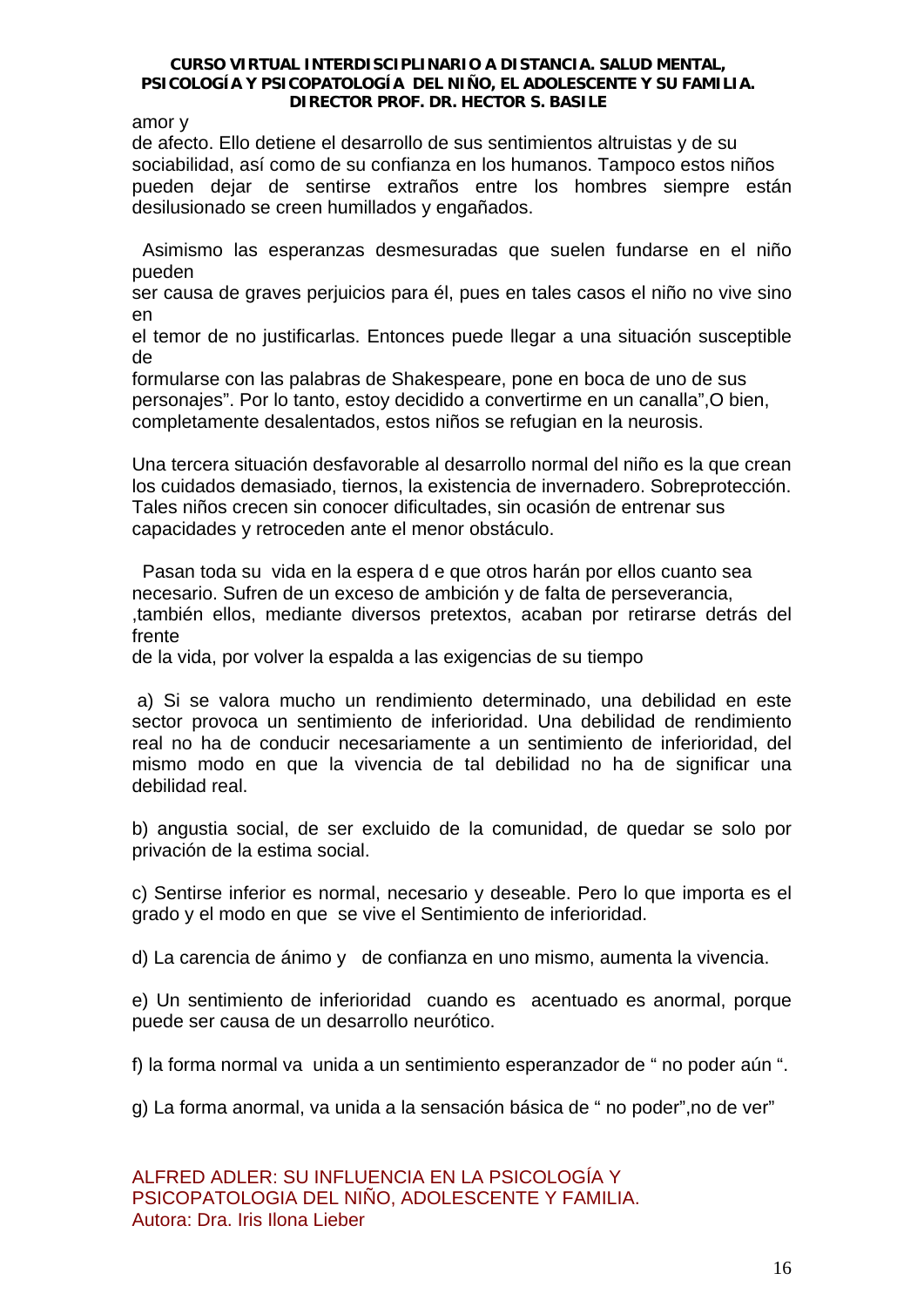amor y

de afecto. Ello detiene el desarrollo de sus sentimientos altruistas y de su sociabilidad, así como de su confianza en los humanos. Tampoco estos niños pueden dejar de sentirse extraños entre los hombres siempre están desilusionado se creen humillados y engañados.

 Asimismo las esperanzas desmesuradas que suelen fundarse en el niño pueden

ser causa de graves perjuicios para él, pues en tales casos el niño no vive sino en

el temor de no justificarlas. Entonces puede llegar a una situación susceptible de

formularse con las palabras de Shakespeare, pone en boca de uno de sus personajes". Por lo tanto, estoy decidido a convertirme en un canalla",O bien, completamente desalentados, estos niños se refugian en la neurosis.

Una tercera situación desfavorable al desarrollo normal del niño es la que crean los cuidados demasiado, tiernos, la existencia de invernadero. Sobreprotección. Tales niños crecen sin conocer dificultades, sin ocasión de entrenar sus capacidades y retroceden ante el menor obstáculo.

 Pasan toda su vida en la espera d e que otros harán por ellos cuanto sea necesario. Sufren de un exceso de ambición y de falta de perseverancia, ,también ellos, mediante diversos pretextos, acaban por retirarse detrás del frente

de la vida, por volver la espalda a las exigencias de su tiempo

 a) Si se valora mucho un rendimiento determinado, una debilidad en este sector provoca un sentimiento de inferioridad. Una debilidad de rendimiento real no ha de conducir necesariamente a un sentimiento de inferioridad, del mismo modo en que la vivencia de tal debilidad no ha de significar una debilidad real.

b) angustia social, de ser excluido de la comunidad, de quedar se solo por privación de la estima social.

c) Sentirse inferior es normal, necesario y deseable. Pero lo que importa es el grado y el modo en que se vive el Sentimiento de inferioridad.

d) La carencia de ánimo y de confianza en uno mismo, aumenta la vivencia.

e) Un sentimiento de inferioridad cuando es acentuado es anormal, porque puede ser causa de un desarrollo neurótico.

f) la forma normal va unida a un sentimiento esperanzador de " no poder aún ".

g) La forma anormal, va unida a la sensación básica de " no poder",no de ver"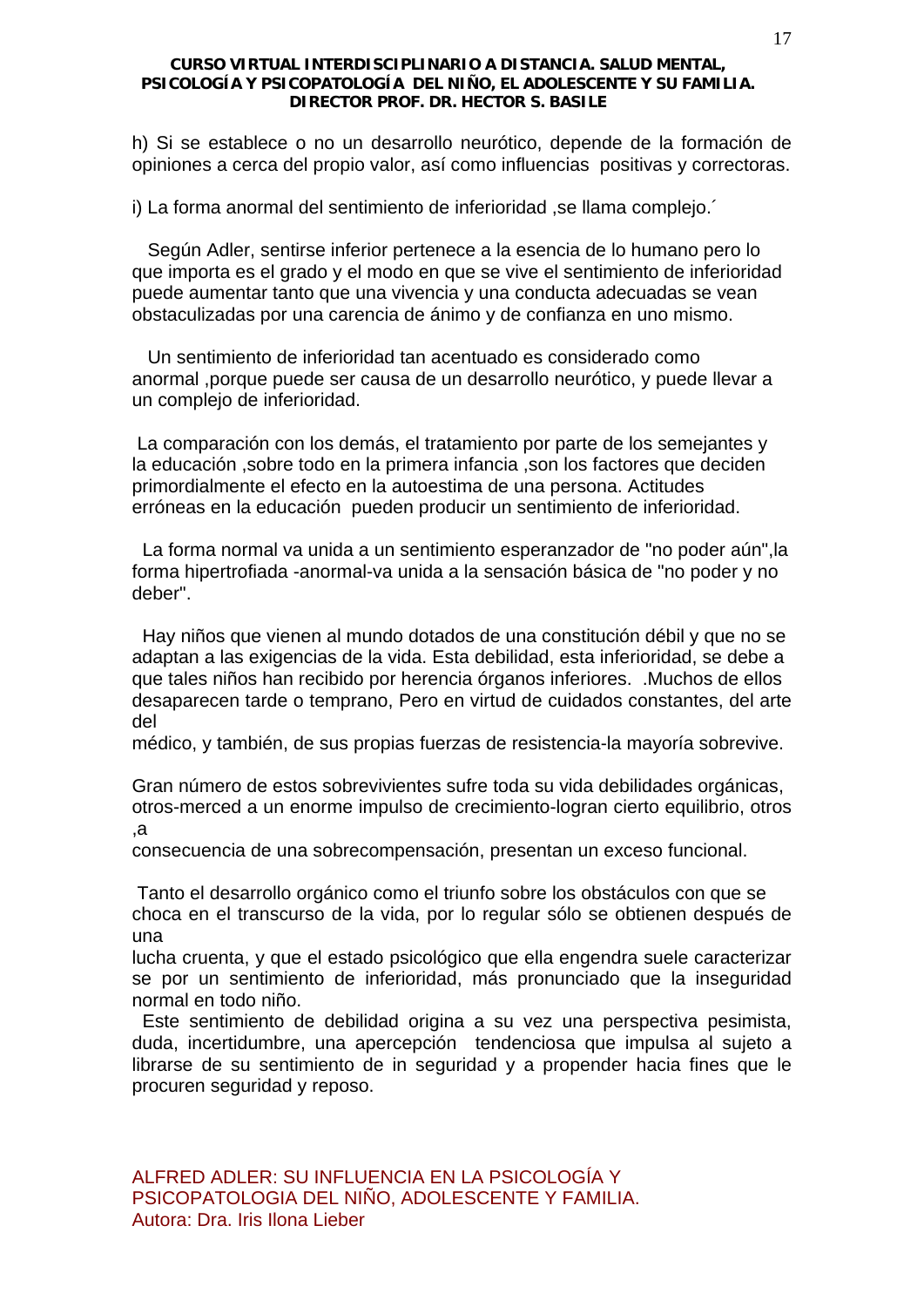h) Si se establece o no un desarrollo neurótico, depende de la formación de opiniones a cerca del propio valor, así como influencias positivas y correctoras.

i) La forma anormal del sentimiento de inferioridad ,se llama complejo.´

 Según Adler, sentirse inferior pertenece a la esencia de lo humano pero lo que importa es el grado y el modo en que se vive el sentimiento de inferioridad puede aumentar tanto que una vivencia y una conducta adecuadas se vean obstaculizadas por una carencia de ánimo y de confianza en uno mismo.

 Un sentimiento de inferioridad tan acentuado es considerado como anormal ,porque puede ser causa de un desarrollo neurótico, y puede llevar a un complejo de inferioridad.

 La comparación con los demás, el tratamiento por parte de los semejantes y la educación ,sobre todo en la primera infancia ,son los factores que deciden primordialmente el efecto en la autoestima de una persona. Actitudes erróneas en la educación pueden producir un sentimiento de inferioridad.

 La forma normal va unida a un sentimiento esperanzador de "no poder aún",la forma hipertrofiada -anormal-va unida a la sensación básica de "no poder y no deber".

 Hay niños que vienen al mundo dotados de una constitución débil y que no se adaptan a las exigencias de la vida. Esta debilidad, esta inferioridad, se debe a que tales niños han recibido por herencia órganos inferiores. .Muchos de ellos desaparecen tarde o temprano, Pero en virtud de cuidados constantes, del arte del

médico, y también, de sus propias fuerzas de resistencia-la mayoría sobrevive.

Gran número de estos sobrevivientes sufre toda su vida debilidades orgánicas, otros-merced a un enorme impulso de crecimiento-logran cierto equilibrio, otros ,a

consecuencia de una sobrecompensación, presentan un exceso funcional.

 Tanto el desarrollo orgánico como el triunfo sobre los obstáculos con que se choca en el transcurso de la vida, por lo regular sólo se obtienen después de una

lucha cruenta, y que el estado psicológico que ella engendra suele caracterizar se por un sentimiento de inferioridad, más pronunciado que la inseguridad normal en todo niño.

 Este sentimiento de debilidad origina a su vez una perspectiva pesimista, duda, incertidumbre, una apercepción tendenciosa que impulsa al sujeto a librarse de su sentimiento de in seguridad y a propender hacia fines que le procuren seguridad y reposo.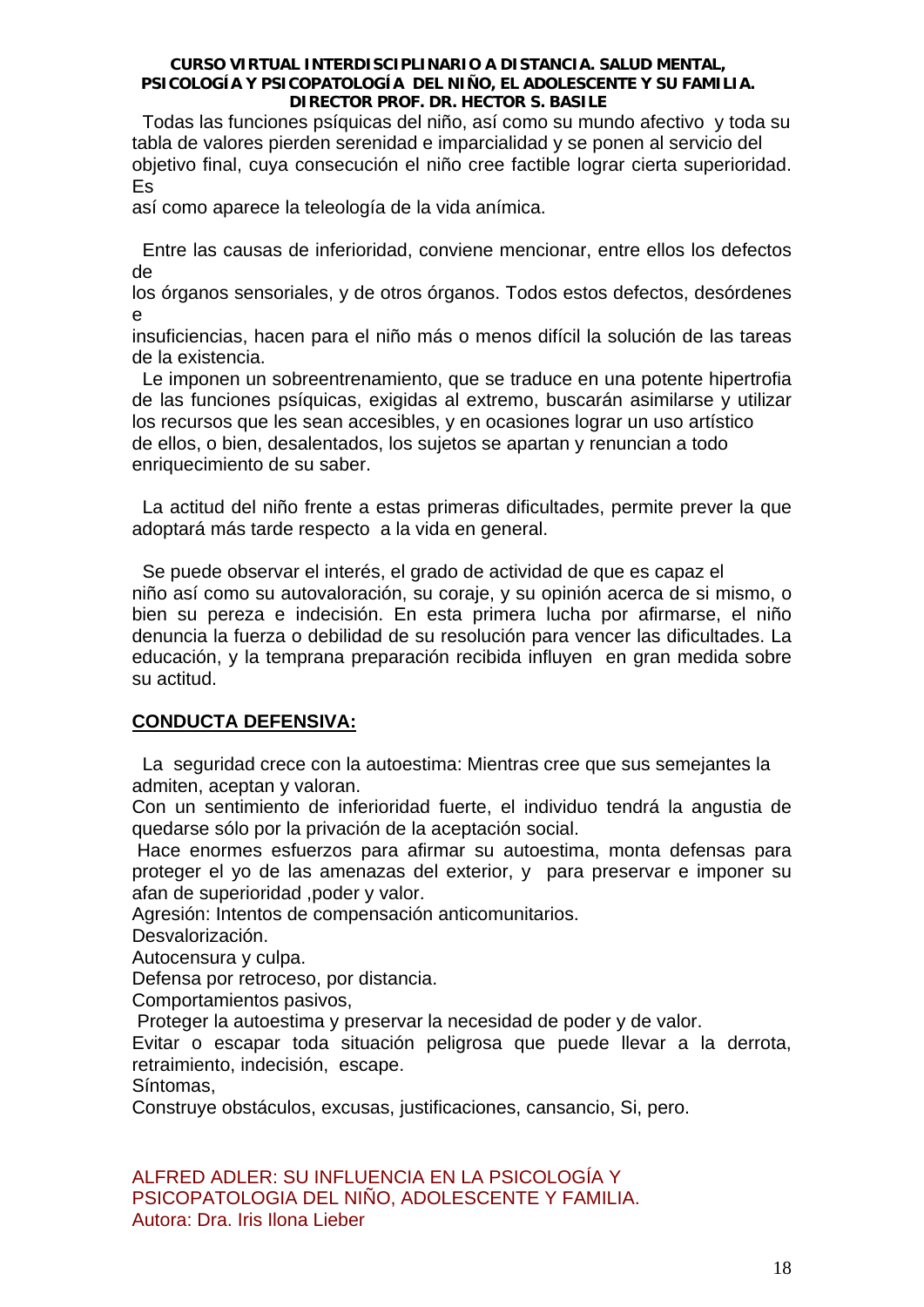Todas las funciones psíquicas del niño, así como su mundo afectivo y toda su tabla de valores pierden serenidad e imparcialidad y se ponen al servicio del objetivo final, cuya consecución el niño cree factible lograr cierta superioridad. Es

así como aparece la teleología de la vida anímica.

 Entre las causas de inferioridad, conviene mencionar, entre ellos los defectos de

los órganos sensoriales, y de otros órganos. Todos estos defectos, desórdenes e

insuficiencias, hacen para el niño más o menos difícil la solución de las tareas de la existencia.

 Le imponen un sobreentrenamiento, que se traduce en una potente hipertrofia de las funciones psíquicas, exigidas al extremo, buscarán asimilarse y utilizar los recursos que les sean accesibles, y en ocasiones lograr un uso artístico de ellos, o bien, desalentados, los sujetos se apartan y renuncian a todo enriquecimiento de su saber.

 La actitud del niño frente a estas primeras dificultades, permite prever la que adoptará más tarde respecto a la vida en general.

 Se puede observar el interés, el grado de actividad de que es capaz el niño así como su autovaloración, su coraje, y su opinión acerca de si mismo, o bien su pereza e indecisión. En esta primera lucha por afirmarse, el niño denuncia la fuerza o debilidad de su resolución para vencer las dificultades. La educación, y la temprana preparación recibida influyen en gran medida sobre su actitud.

# **CONDUCTA DEFENSIVA:**

 La seguridad crece con la autoestima: Mientras cree que sus semejantes la admiten, aceptan y valoran.

Con un sentimiento de inferioridad fuerte, el individuo tendrá la angustia de quedarse sólo por la privación de la aceptación social.

 Hace enormes esfuerzos para afirmar su autoestima, monta defensas para proteger el yo de las amenazas del exterior, y para preservar e imponer su afan de superioridad ,poder y valor.

Agresión: Intentos de compensación anticomunitarios.

Desvalorización.

Autocensura y culpa.

Defensa por retroceso, por distancia.

Comportamientos pasivos,

Proteger la autoestima y preservar la necesidad de poder y de valor.

Evitar o escapar toda situación peligrosa que puede llevar a la derrota, retraimiento, indecisión, escape.

Síntomas,

Construye obstáculos, excusas, justificaciones, cansancio, Si, pero.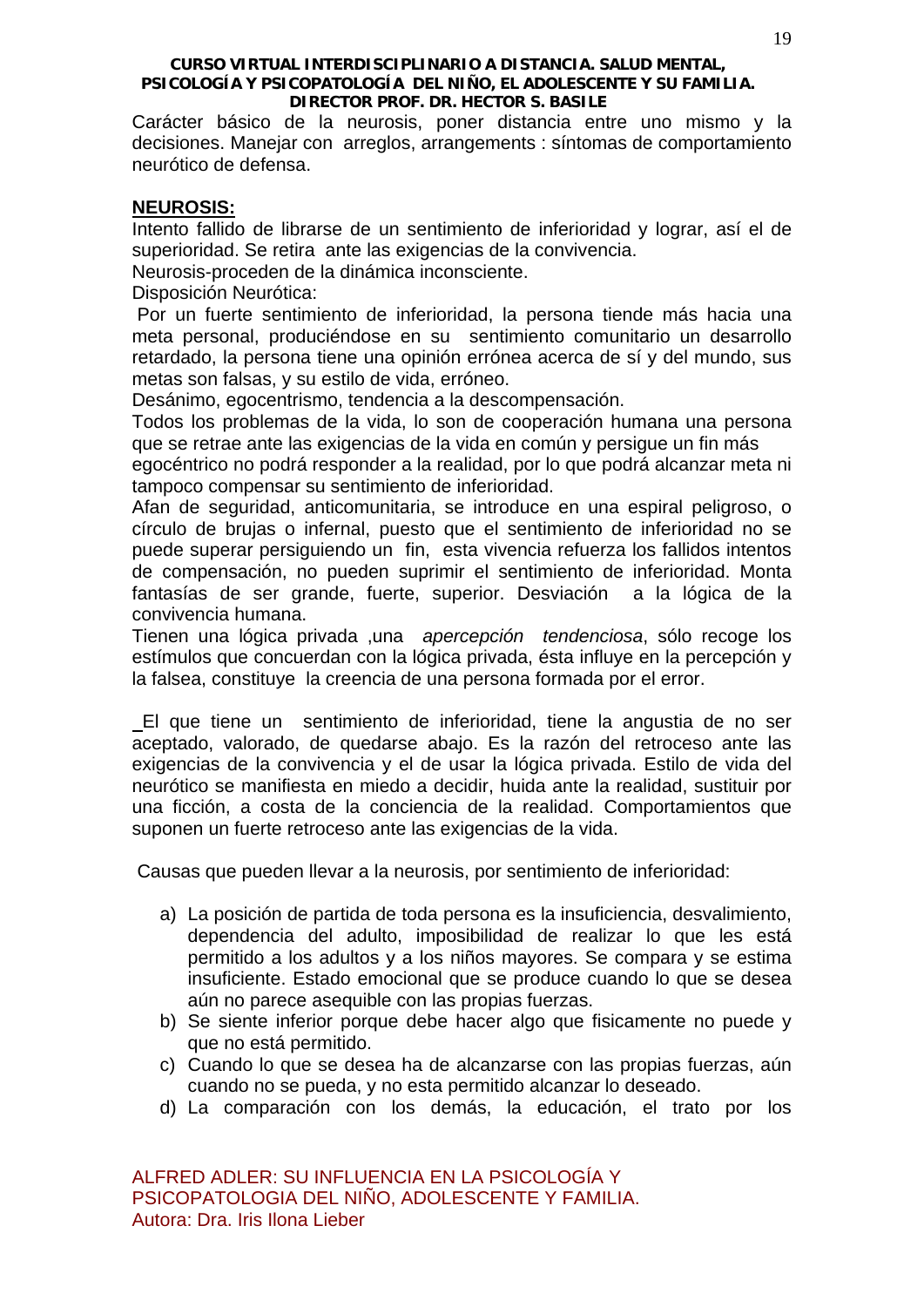Carácter básico de la neurosis, poner distancia entre uno mismo y la decisiones. Manejar con arreglos, arrangements : síntomas de comportamiento neurótico de defensa.

# **NEUROSIS:**

Intento fallido de librarse de un sentimiento de inferioridad y lograr, así el de superioridad. Se retira ante las exigencias de la convivencia.

Neurosis-proceden de la dinámica inconsciente.

Disposición Neurótica:

 Por un fuerte sentimiento de inferioridad, la persona tiende más hacia una meta personal, produciéndose en su sentimiento comunitario un desarrollo retardado, la persona tiene una opinión errónea acerca de sí y del mundo, sus metas son falsas, y su estilo de vida, erróneo.

Desánimo, egocentrismo, tendencia a la descompensación.

Todos los problemas de la vida, lo son de cooperación humana una persona que se retrae ante las exigencias de la vida en común y persigue un fin más

egocéntrico no podrá responder a la realidad, por lo que podrá alcanzar meta ni tampoco compensar su sentimiento de inferioridad.

Afan de seguridad, anticomunitaria, se introduce en una espiral peligroso, o círculo de brujas o infernal, puesto que el sentimiento de inferioridad no se puede superar persiguiendo un fin, esta vivencia refuerza los fallidos intentos de compensación, no pueden suprimir el sentimiento de inferioridad. Monta fantasías de ser grande, fuerte, superior. Desviación a la lógica de la convivencia humana.

Tienen una lógica privada ,una *apercepción tendenciosa*, sólo recoge los estímulos que concuerdan con la lógica privada, ésta influye en la percepción y la falsea, constituye la creencia de una persona formada por el error.

 El que tiene un sentimiento de inferioridad, tiene la angustia de no ser aceptado, valorado, de quedarse abajo. Es la razón del retroceso ante las exigencias de la convivencia y el de usar la lógica privada. Estilo de vida del neurótico se manifiesta en miedo a decidir, huida ante la realidad, sustituir por una ficción, a costa de la conciencia de la realidad. Comportamientos que suponen un fuerte retroceso ante las exigencias de la vida.

Causas que pueden llevar a la neurosis, por sentimiento de inferioridad:

- a) La posición de partida de toda persona es la insuficiencia, desvalimiento, dependencia del adulto, imposibilidad de realizar lo que les está permitido a los adultos y a los niños mayores. Se compara y se estima insuficiente. Estado emocional que se produce cuando lo que se desea aún no parece asequible con las propias fuerzas.
- b) Se siente inferior porque debe hacer algo que fisicamente no puede y que no está permitido.
- c) Cuando lo que se desea ha de alcanzarse con las propias fuerzas, aún cuando no se pueda, y no esta permitido alcanzar lo deseado.
- d) La comparación con los demás, la educación, el trato por los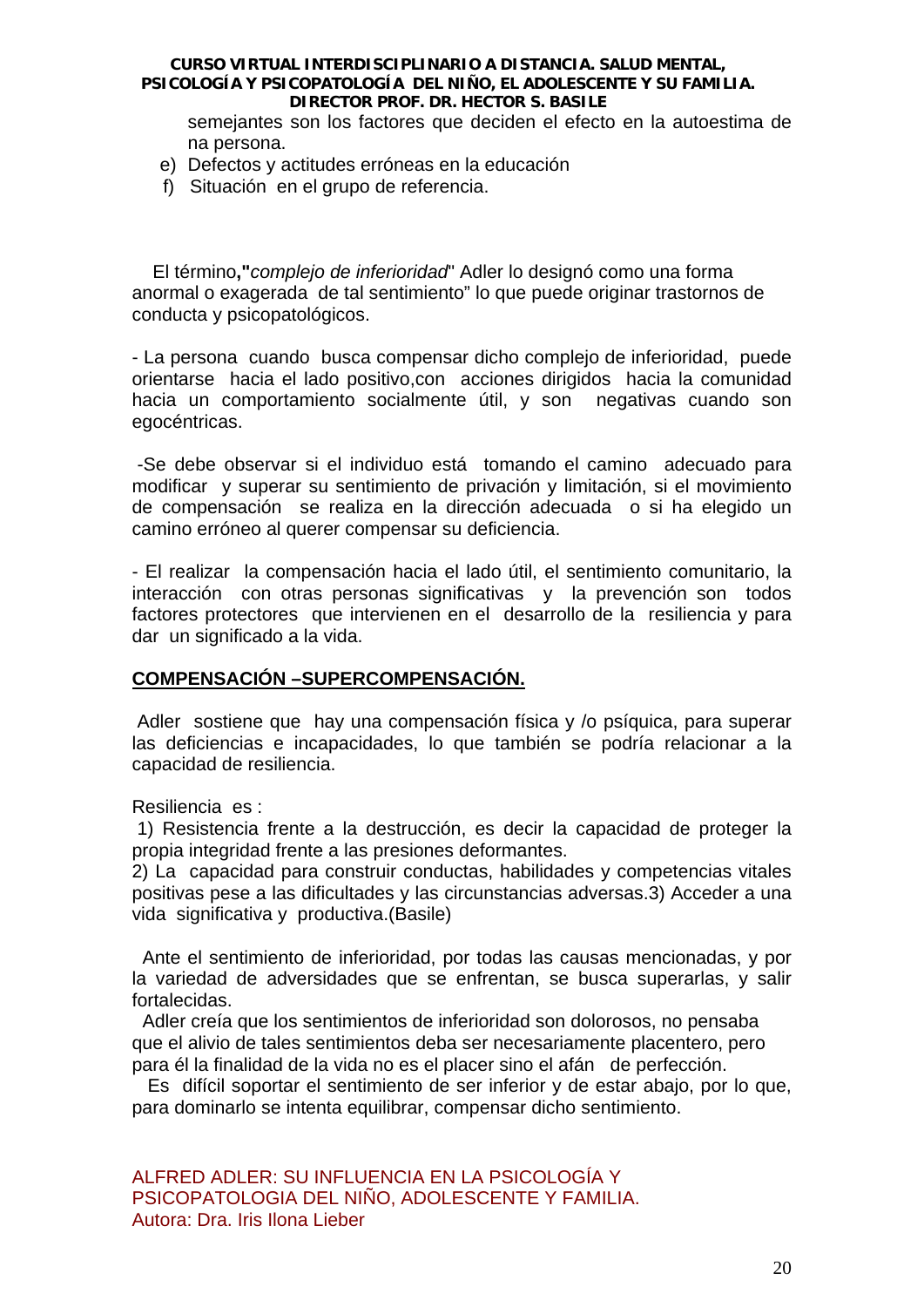semejantes son los factores que deciden el efecto en la autoestima de na persona.

- e) Defectos y actitudes erróneas en la educación
- f) Situación en el grupo de referencia.

 El término**,"***complejo de inferioridad*" Adler lo designó como una forma anormal o exagerada de tal sentimiento" lo que puede originar trastornos de conducta y psicopatológicos.

- La persona cuando busca compensar dicho complejo de inferioridad, puede orientarse hacia el lado positivo,con acciones dirigidos hacia la comunidad hacia un comportamiento socialmente útil, y son negativas cuando son egocéntricas.

 -Se debe observar si el individuo está tomando el camino adecuado para modificar y superar su sentimiento de privación y limitación, si el movimiento de compensación se realiza en la dirección adecuada o si ha elegido un camino erróneo al querer compensar su deficiencia.

- El realizar la compensación hacia el lado útil, el sentimiento comunitario, la interacción con otras personas significativas y la prevención son todos factores protectores que intervienen en el desarrollo de la resiliencia y para dar un significado a la vida.

# **COMPENSACIÓN –SUPERCOMPENSACIÓN.**

Adler sostiene que hay una compensación física y /o psíquica, para superar las deficiencias e incapacidades, lo que también se podría relacionar a la capacidad de resiliencia.

Resiliencia es :

 1) Resistencia frente a la destrucción, es decir la capacidad de proteger la propia integridad frente a las presiones deformantes.

2) La capacidad para construir conductas, habilidades y competencias vitales positivas pese a las dificultades y las circunstancias adversas.3) Acceder a una vida significativa y productiva.(Basile)

 Ante el sentimiento de inferioridad, por todas las causas mencionadas, y por la variedad de adversidades que se enfrentan, se busca superarlas, y salir fortalecidas.

 Adler creía que los sentimientos de inferioridad son dolorosos, no pensaba que el alivio de tales sentimientos deba ser necesariamente placentero, pero para él la finalidad de la vida no es el placer sino el afán de perfección.

 Es difícil soportar el sentimiento de ser inferior y de estar abajo, por lo que, para dominarlo se intenta equilibrar, compensar dicho sentimiento.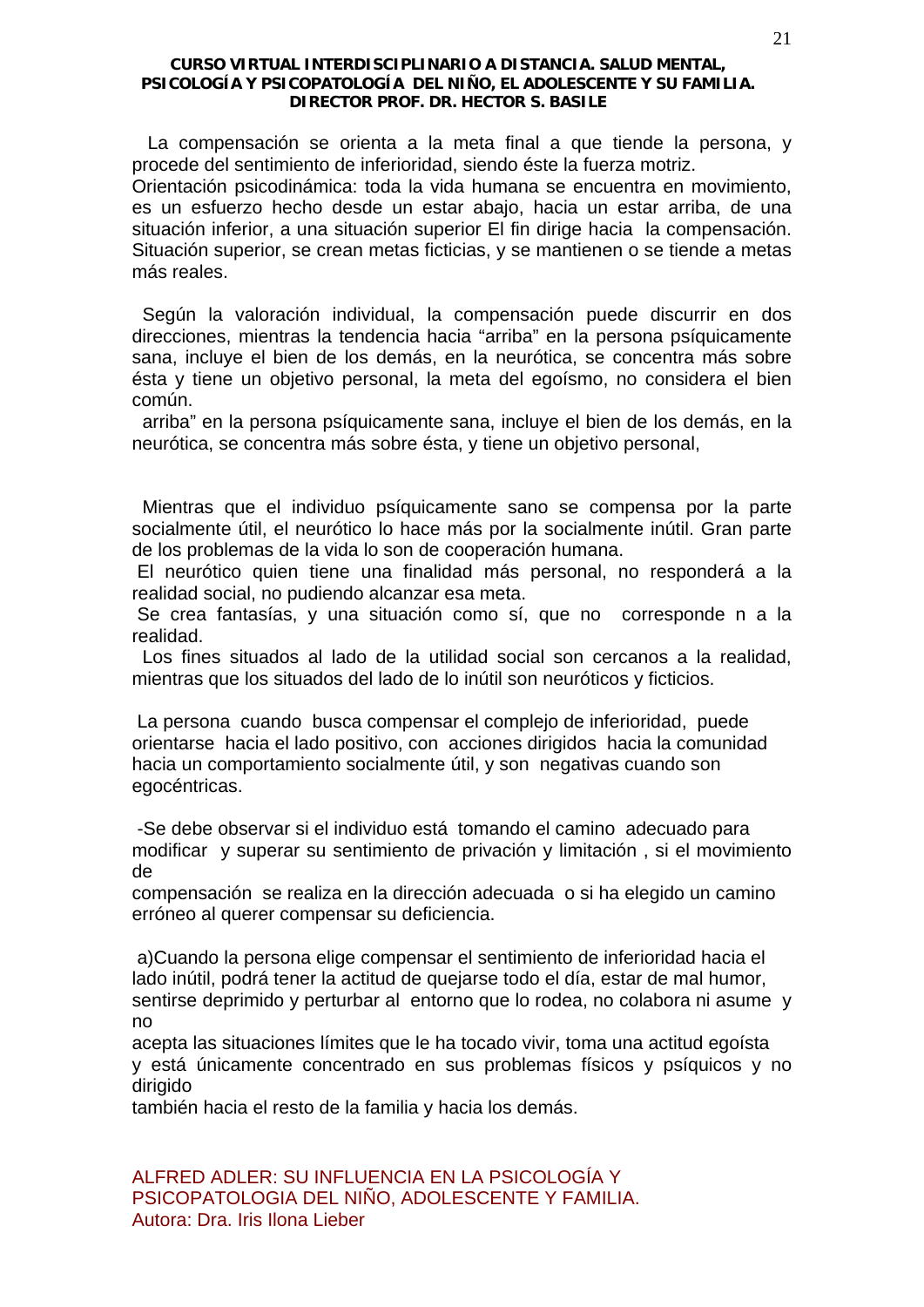La compensación se orienta a la meta final a que tiende la persona, y procede del sentimiento de inferioridad, siendo éste la fuerza motriz.

Orientación psicodinámica: toda la vida humana se encuentra en movimiento, es un esfuerzo hecho desde un estar abajo, hacia un estar arriba, de una situación inferior, a una situación superior El fin dirige hacia la compensación. Situación superior, se crean metas ficticias, y se mantienen o se tiende a metas más reales.

 Según la valoración individual, la compensación puede discurrir en dos direcciones, mientras la tendencia hacia "arriba" en la persona psíquicamente sana, incluye el bien de los demás, en la neurótica, se concentra más sobre ésta y tiene un objetivo personal, la meta del egoísmo, no considera el bien común.

 arriba" en la persona psíquicamente sana, incluye el bien de los demás, en la neurótica, se concentra más sobre ésta, y tiene un objetivo personal,

 Mientras que el individuo psíquicamente sano se compensa por la parte socialmente útil, el neurótico lo hace más por la socialmente inútil. Gran parte de los problemas de la vida lo son de cooperación humana.

 El neurótico quien tiene una finalidad más personal, no responderá a la realidad social, no pudiendo alcanzar esa meta.

 Se crea fantasías, y una situación como sí, que no corresponde n a la realidad.

 Los fines situados al lado de la utilidad social son cercanos a la realidad, mientras que los situados del lado de lo inútil son neuróticos y ficticios.

 La persona cuando busca compensar el complejo de inferioridad, puede orientarse hacia el lado positivo, con acciones dirigidos hacia la comunidad hacia un comportamiento socialmente útil, y son negativas cuando son egocéntricas.

 -Se debe observar si el individuo está tomando el camino adecuado para modificar y superar su sentimiento de privación y limitación , si el movimiento de

compensación se realiza en la dirección adecuada o si ha elegido un camino erróneo al querer compensar su deficiencia.

 a)Cuando la persona elige compensar el sentimiento de inferioridad hacia el lado inútil, podrá tener la actitud de quejarse todo el día, estar de mal humor, sentirse deprimido y perturbar al entorno que lo rodea, no colabora ni asume y no

acepta las situaciones límites que le ha tocado vivir, toma una actitud egoísta y está únicamente concentrado en sus problemas físicos y psíquicos y no dirigido

también hacia el resto de la familia y hacia los demás.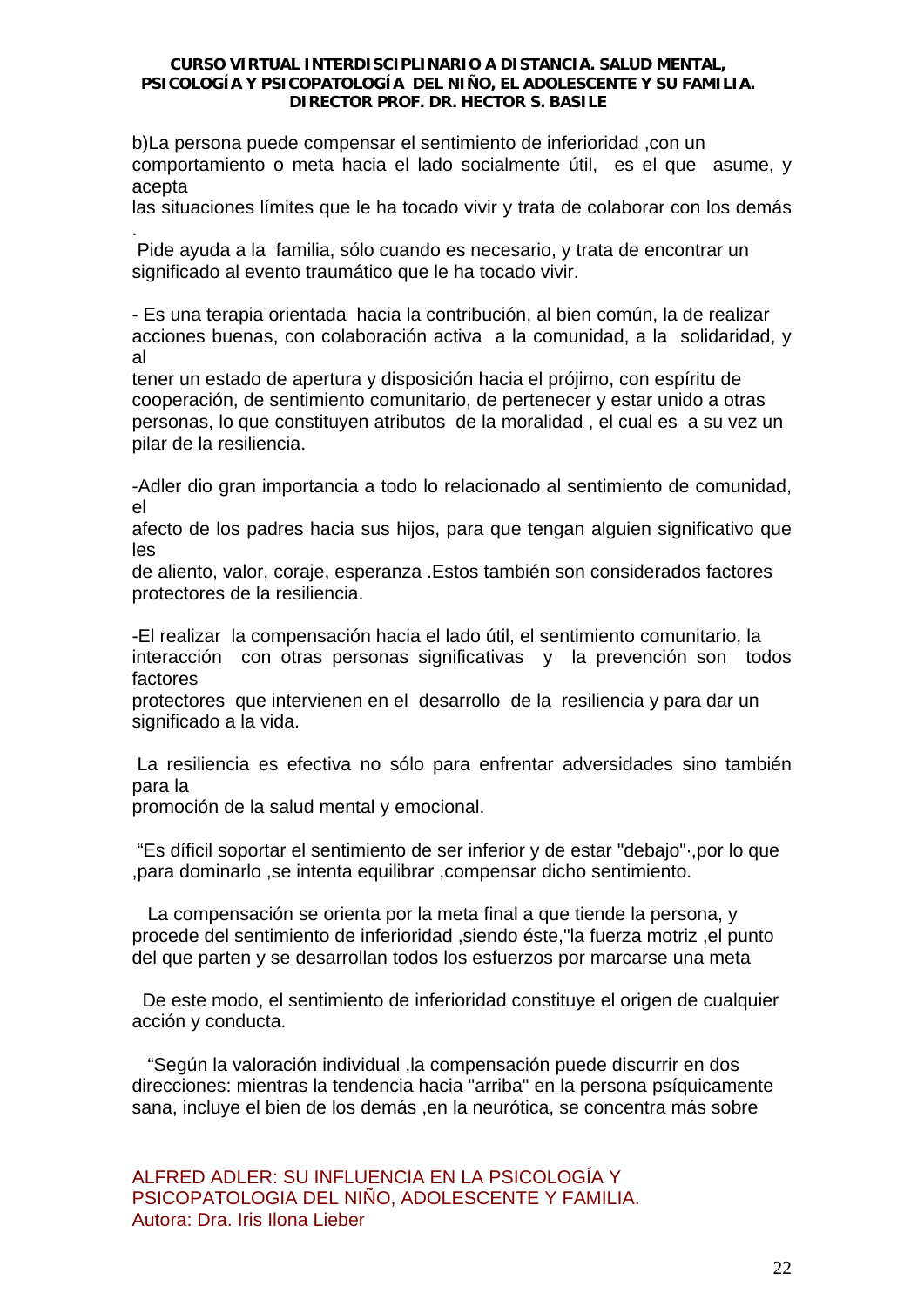b)La persona puede compensar el sentimiento de inferioridad ,con un comportamiento o meta hacia el lado socialmente útil, es el que asume, y acepta

las situaciones límites que le ha tocado vivir y trata de colaborar con los demás .

 Pide ayuda a la familia, sólo cuando es necesario, y trata de encontrar un significado al evento traumático que le ha tocado vivir.

- Es una terapia orientada hacia la contribución, al bien común, la de realizar acciones buenas, con colaboración activa a la comunidad, a la solidaridad, y al

tener un estado de apertura y disposición hacia el prójimo, con espíritu de cooperación, de sentimiento comunitario, de pertenecer y estar unido a otras personas, lo que constituyen atributos de la moralidad , el cual es a su vez un pilar de la resiliencia.

-Adler dio gran importancia a todo lo relacionado al sentimiento de comunidad, el

afecto de los padres hacia sus hijos, para que tengan alguien significativo que les

de aliento, valor, coraje, esperanza .Estos también son considerados factores protectores de la resiliencia.

-El realizar la compensación hacia el lado útil, el sentimiento comunitario, la interacción con otras personas significativas y la prevención son todos factores

protectores que intervienen en el desarrollo de la resiliencia y para dar un significado a la vida.

 La resiliencia es efectiva no sólo para enfrentar adversidades sino también para la

promoción de la salud mental y emocional.

 "Es díficil soportar el sentimiento de ser inferior y de estar "debajo"·,por lo que ,para dominarlo ,se intenta equilibrar ,compensar dicho sentimiento.

 La compensación se orienta por la meta final a que tiende la persona, y procede del sentimiento de inferioridad ,siendo éste,"la fuerza motriz ,el punto del que parten y se desarrollan todos los esfuerzos por marcarse una meta

 De este modo, el sentimiento de inferioridad constituye el origen de cualquier acción y conducta.

 "Según la valoración individual ,la compensación puede discurrir en dos direcciones: mientras la tendencia hacia "arriba" en la persona psíquicamente sana, incluye el bien de los demás ,en la neurótica, se concentra más sobre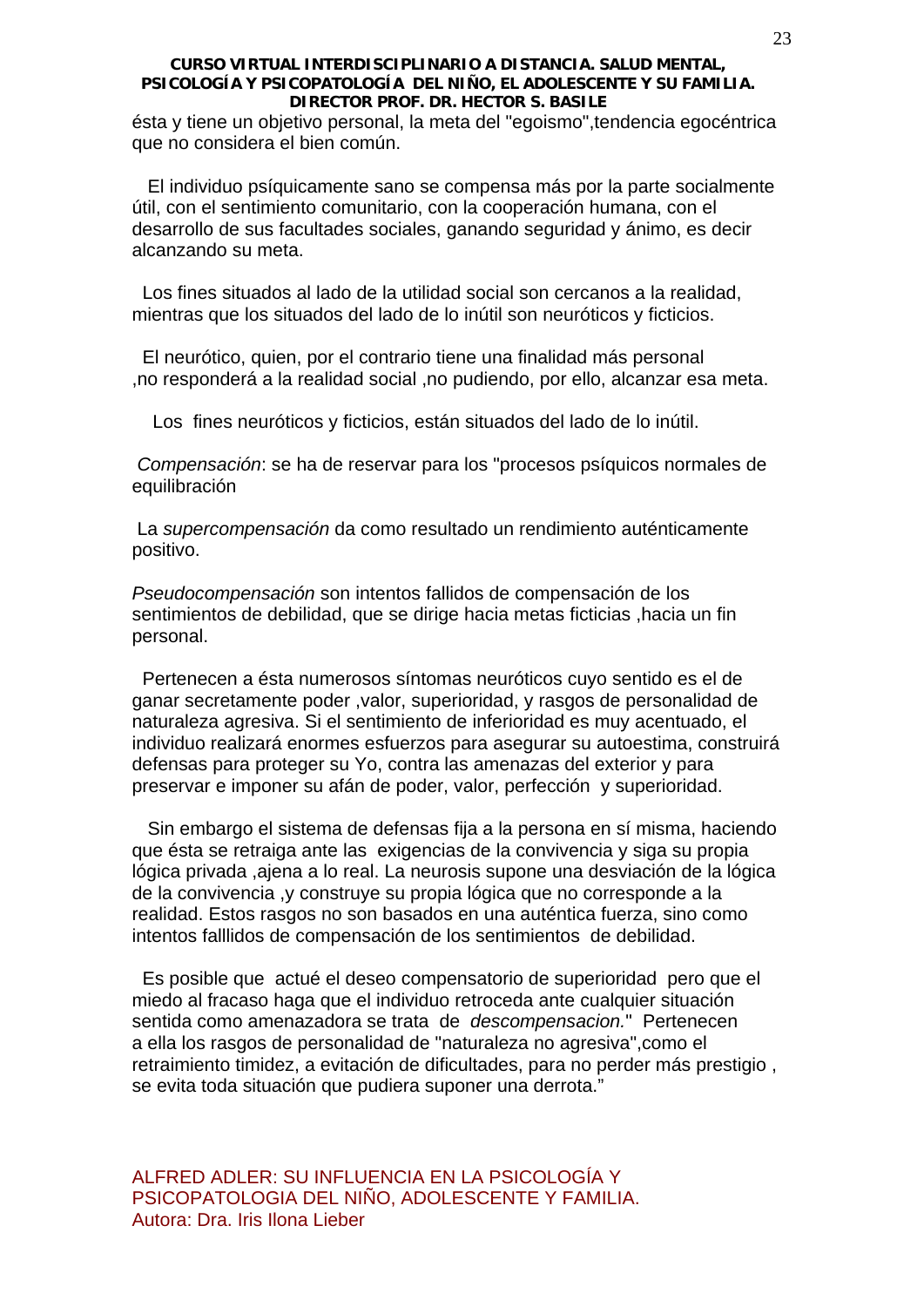ésta y tiene un objetivo personal, la meta del "egoismo",tendencia egocéntrica que no considera el bien común.

 El individuo psíquicamente sano se compensa más por la parte socialmente útil, con el sentimiento comunitario, con la cooperación humana, con el desarrollo de sus facultades sociales, ganando seguridad y ánimo, es decir alcanzando su meta.

 Los fines situados al lado de la utilidad social son cercanos a la realidad, mientras que los situados del lado de lo inútil son neuróticos y ficticios.

 El neurótico, quien, por el contrario tiene una finalidad más personal ,no responderá a la realidad social ,no pudiendo, por ello, alcanzar esa meta.

Los fines neuróticos y ficticios, están situados del lado de lo inútil.

 *Compensación*: se ha de reservar para los "procesos psíquicos normales de equilibración

 La *supercompensación* da como resultado un rendimiento auténticamente positivo.

*Pseudocompensación* son intentos fallidos de compensación de los sentimientos de debilidad, que se dirige hacia metas ficticias ,hacia un fin personal.

 Pertenecen a ésta numerosos síntomas neuróticos cuyo sentido es el de ganar secretamente poder ,valor, superioridad, y rasgos de personalidad de naturaleza agresiva. Si el sentimiento de inferioridad es muy acentuado, el individuo realizará enormes esfuerzos para asegurar su autoestima, construirá defensas para proteger su Yo, contra las amenazas del exterior y para preservar e imponer su afán de poder, valor, perfección y superioridad.

 Sin embargo el sistema de defensas fija a la persona en sí misma, haciendo que ésta se retraiga ante las exigencias de la convivencia y siga su propia lógica privada ,ajena a lo real. La neurosis supone una desviación de la lógica de la convivencia ,y construye su propia lógica que no corresponde a la realidad. Estos rasgos no son basados en una auténtica fuerza, sino como intentos falllidos de compensación de los sentimientos de debilidad.

 Es posible que actué el deseo compensatorio de superioridad pero que el miedo al fracaso haga que el individuo retroceda ante cualquier situación sentida como amenazadora se trata de *descompensacion.*" Pertenecen a ella los rasgos de personalidad de "naturaleza no agresiva",como el retraimiento timidez, a evitación de dificultades, para no perder más prestigio , se evita toda situación que pudiera suponer una derrota."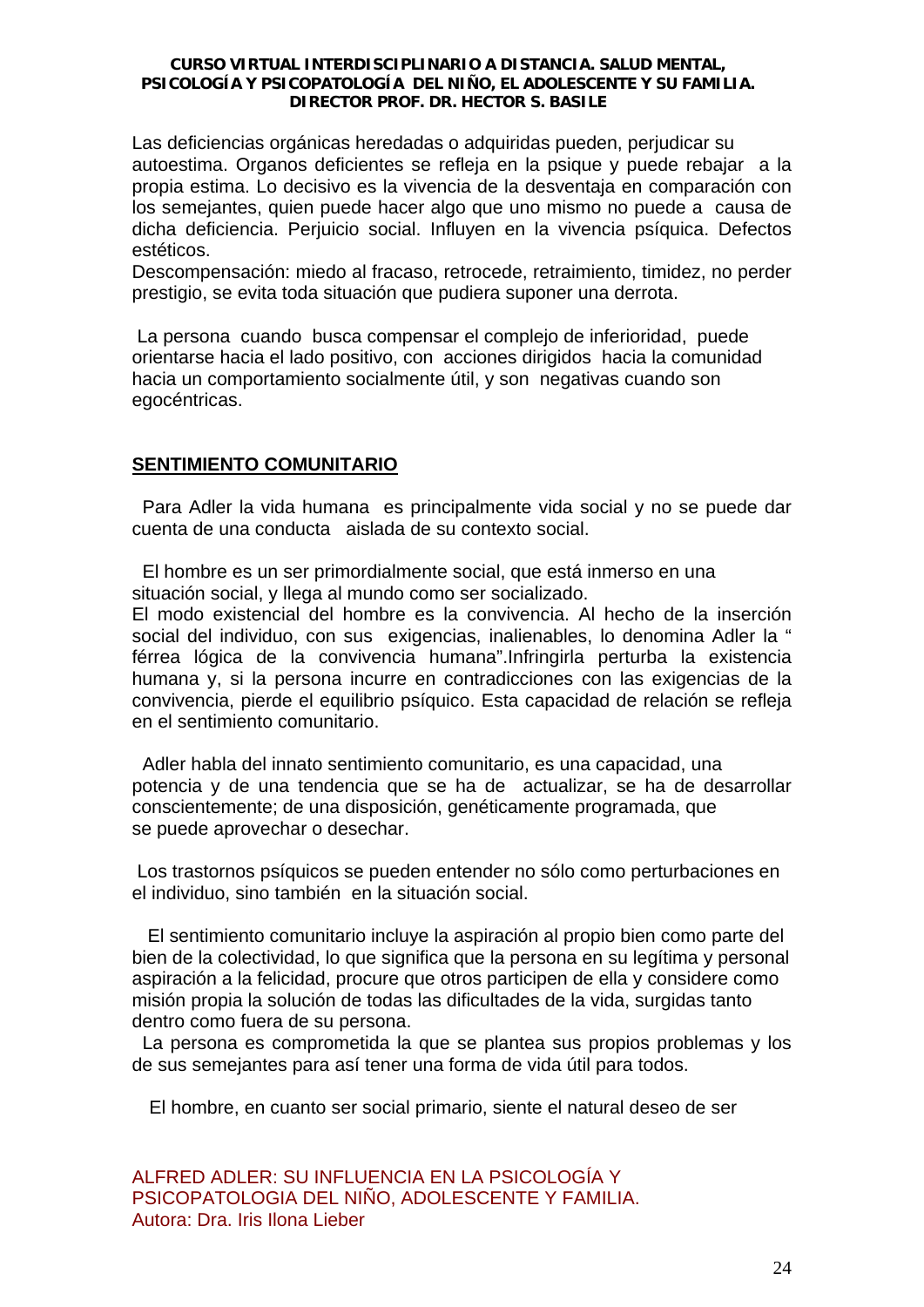Las deficiencias orgánicas heredadas o adquiridas pueden, perjudicar su autoestima. Organos deficientes se refleja en la psique y puede rebajar a la propia estima. Lo decisivo es la vivencia de la desventaja en comparación con los semejantes, quien puede hacer algo que uno mismo no puede a causa de dicha deficiencia. Perjuicio social. Influyen en la vivencia psíquica. Defectos estéticos.

Descompensación: miedo al fracaso, retrocede, retraimiento, timidez, no perder prestigio, se evita toda situación que pudiera suponer una derrota.

 La persona cuando busca compensar el complejo de inferioridad, puede orientarse hacia el lado positivo, con acciones dirigidos hacia la comunidad hacia un comportamiento socialmente útil, y son negativas cuando son egocéntricas.

# **SENTIMIENTO COMUNITARIO**

 Para Adler la vida humana es principalmente vida social y no se puede dar cuenta de una conducta aislada de su contexto social.

 El hombre es un ser primordialmente social, que está inmerso en una situación social, y llega al mundo como ser socializado.

El modo existencial del hombre es la convivencia. Al hecho de la inserción social del individuo, con sus exigencias, inalienables, lo denomina Adler la " férrea lógica de la convivencia humana".Infringirla perturba la existencia humana y, si la persona incurre en contradicciones con las exigencias de la convivencia, pierde el equilibrio psíquico. Esta capacidad de relación se refleja en el sentimiento comunitario.

 Adler habla del innato sentimiento comunitario, es una capacidad, una potencia y de una tendencia que se ha de actualizar, se ha de desarrollar conscientemente; de una disposición, genéticamente programada, que se puede aprovechar o desechar.

 Los trastornos psíquicos se pueden entender no sólo como perturbaciones en el individuo, sino también en la situación social.

 El sentimiento comunitario incluye la aspiración al propio bien como parte del bien de la colectividad, lo que significa que la persona en su legítima y personal aspiración a la felicidad, procure que otros participen de ella y considere como misión propia la solución de todas las dificultades de la vida, surgidas tanto dentro como fuera de su persona.

 La persona es comprometida la que se plantea sus propios problemas y los de sus semejantes para así tener una forma de vida útil para todos.

El hombre, en cuanto ser social primario, siente el natural deseo de ser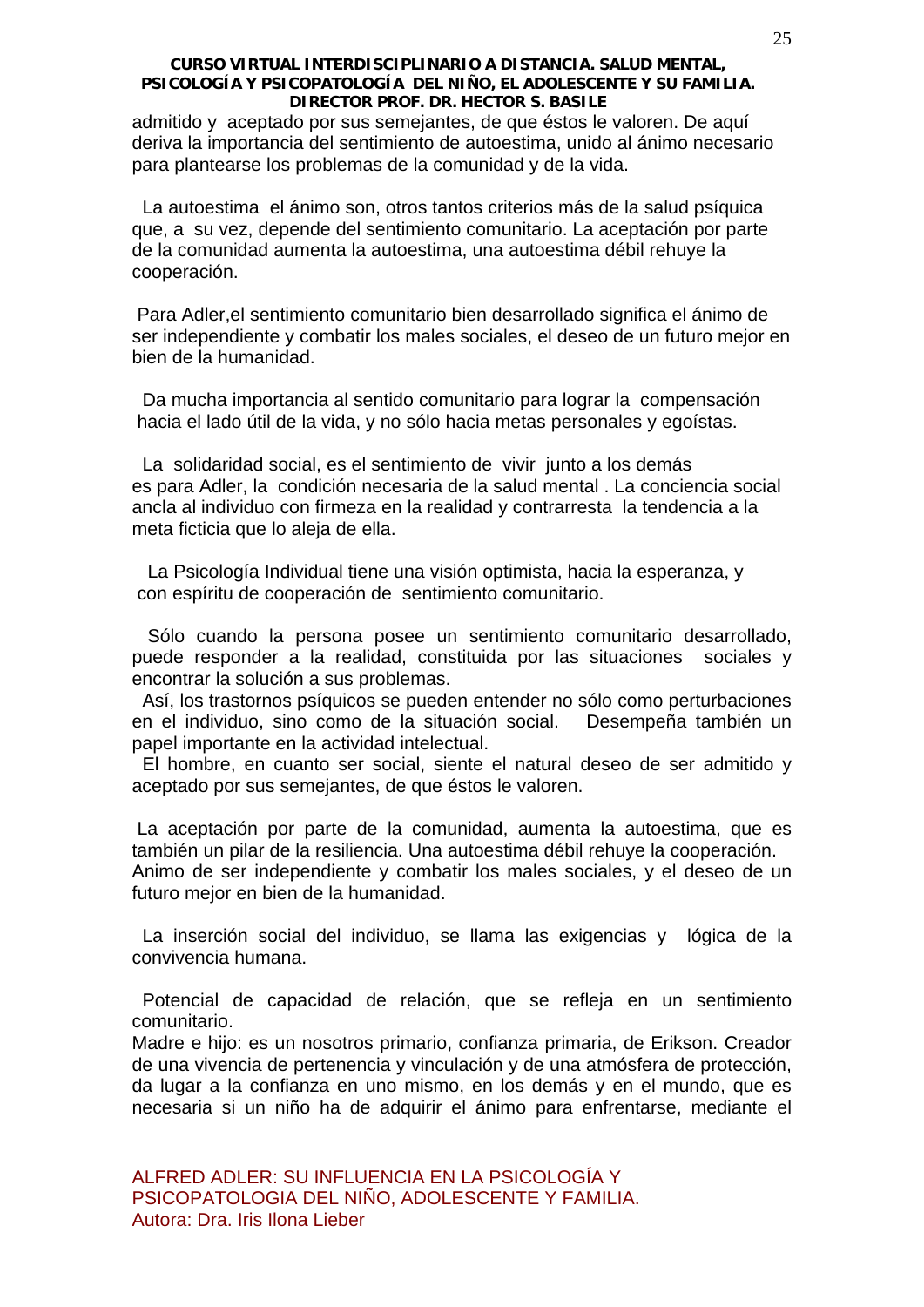admitido y aceptado por sus semejantes, de que éstos le valoren. De aquí deriva la importancia del sentimiento de autoestima, unido al ánimo necesario para plantearse los problemas de la comunidad y de la vida.

 La autoestima el ánimo son, otros tantos criterios más de la salud psíquica que, a su vez, depende del sentimiento comunitario. La aceptación por parte de la comunidad aumenta la autoestima, una autoestima débil rehuye la cooperación.

 Para Adler,el sentimiento comunitario bien desarrollado significa el ánimo de ser independiente y combatir los males sociales, el deseo de un futuro mejor en bien de la humanidad.

 Da mucha importancia al sentido comunitario para lograr la compensación hacia el lado útil de la vida, y no sólo hacia metas personales y egoístas.

 La solidaridad social, es el sentimiento de vivir junto a los demás es para Adler, la condición necesaria de la salud mental . La conciencia social ancla al individuo con firmeza en la realidad y contrarresta la tendencia a la meta ficticia que lo aleja de ella.

 La Psicología Individual tiene una visión optimista, hacia la esperanza, y con espíritu de cooperación de sentimiento comunitario.

 Sólo cuando la persona posee un sentimiento comunitario desarrollado, puede responder a la realidad, constituida por las situaciones sociales y encontrar la solución a sus problemas.

 Así, los trastornos psíquicos se pueden entender no sólo como perturbaciones en el individuo, sino como de la situación social. Desempeña también un papel importante en la actividad intelectual.

 El hombre, en cuanto ser social, siente el natural deseo de ser admitido y aceptado por sus semejantes, de que éstos le valoren.

 La aceptación por parte de la comunidad, aumenta la autoestima, que es también un pilar de la resiliencia. Una autoestima débil rehuye la cooperación. Animo de ser independiente y combatir los males sociales, y el deseo de un futuro mejor en bien de la humanidad.

 La inserción social del individuo, se llama las exigencias y lógica de la convivencia humana.

 Potencial de capacidad de relación, que se refleja en un sentimiento comunitario.

Madre e hijo: es un nosotros primario, confianza primaria, de Erikson. Creador de una vivencia de pertenencia y vinculación y de una atmósfera de protección, da lugar a la confianza en uno mismo, en los demás y en el mundo, que es necesaria si un niño ha de adquirir el ánimo para enfrentarse, mediante el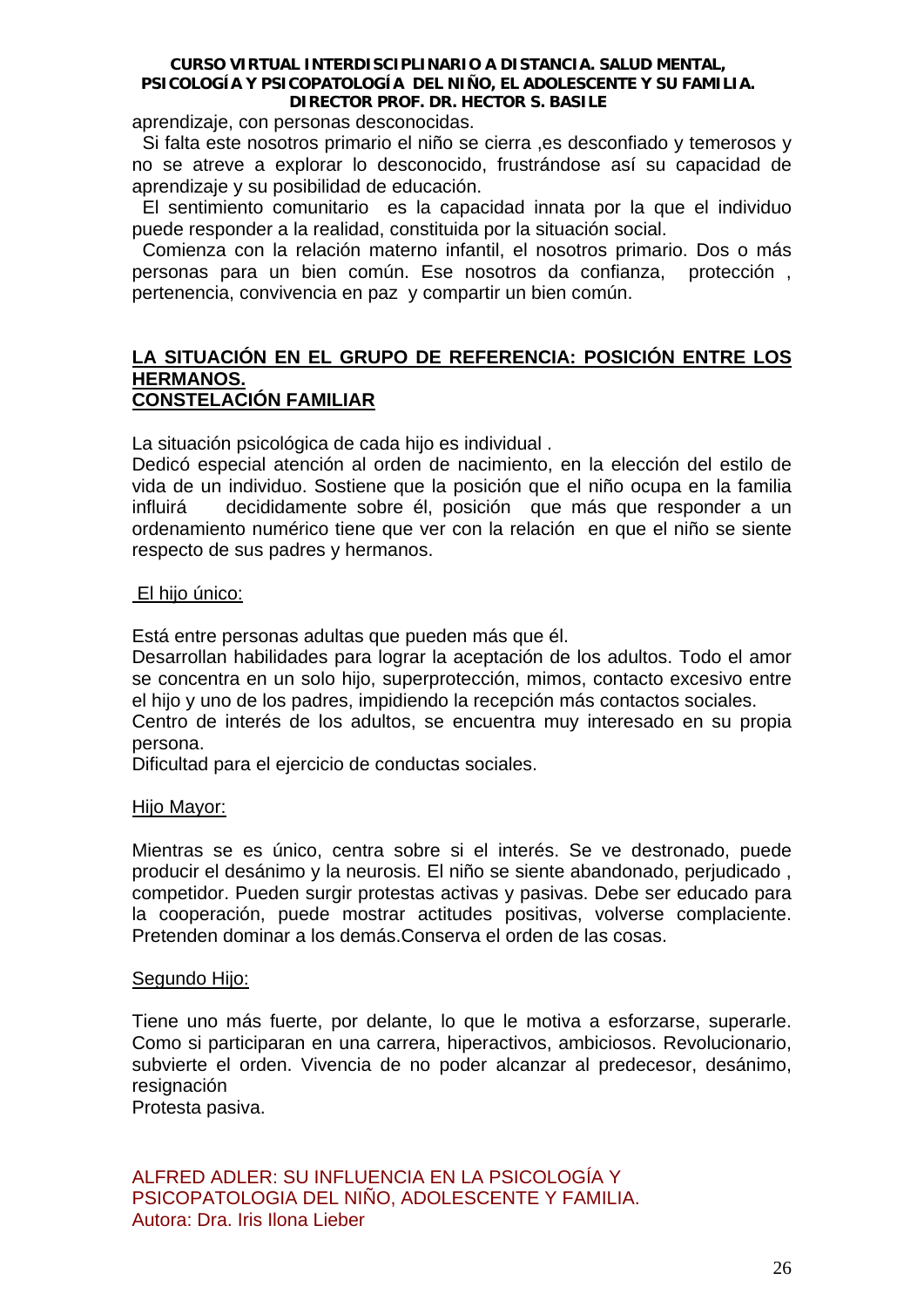aprendizaje, con personas desconocidas.

 Si falta este nosotros primario el niño se cierra ,es desconfiado y temerosos y no se atreve a explorar lo desconocido, frustrándose así su capacidad de aprendizaje y su posibilidad de educación.

 El sentimiento comunitario es la capacidad innata por la que el individuo puede responder a la realidad, constituida por la situación social.

 Comienza con la relación materno infantil, el nosotros primario. Dos o más personas para un bien común. Ese nosotros da confianza, protección , pertenencia, convivencia en paz y compartir un bien común.

# **LA SITUACIÓN EN EL GRUPO DE REFERENCIA: POSICIÓN ENTRE LOS HERMANOS. CONSTELACIÓN FAMILIAR**

La situación psicológica de cada hijo es individual .

Dedicó especial atención al orden de nacimiento, en la elección del estilo de vida de un individuo. Sostiene que la posición que el niño ocupa en la familia influirá decididamente sobre él, posición que más que responder a un ordenamiento numérico tiene que ver con la relación en que el niño se siente respecto de sus padres y hermanos.

# El hijo único:

Está entre personas adultas que pueden más que él.

Desarrollan habilidades para lograr la aceptación de los adultos. Todo el amor se concentra en un solo hijo, superprotección, mimos, contacto excesivo entre el hijo y uno de los padres, impidiendo la recepción más contactos sociales. Centro de interés de los adultos, se encuentra muy interesado en su propia

persona.

Dificultad para el ejercicio de conductas sociales.

# Hijo Mayor:

Mientras se es único, centra sobre si el interés. Se ve destronado, puede producir el desánimo y la neurosis. El niño se siente abandonado, perjudicado , competidor. Pueden surgir protestas activas y pasivas. Debe ser educado para la cooperación, puede mostrar actitudes positivas, volverse complaciente. Pretenden dominar a los demás.Conserva el orden de las cosas.

# Segundo Hijo:

Tiene uno más fuerte, por delante, lo que le motiva a esforzarse, superarle. Como si participaran en una carrera, hiperactivos, ambiciosos. Revolucionario, subvierte el orden. Vivencia de no poder alcanzar al predecesor, desánimo, resignación

Protesta pasiva.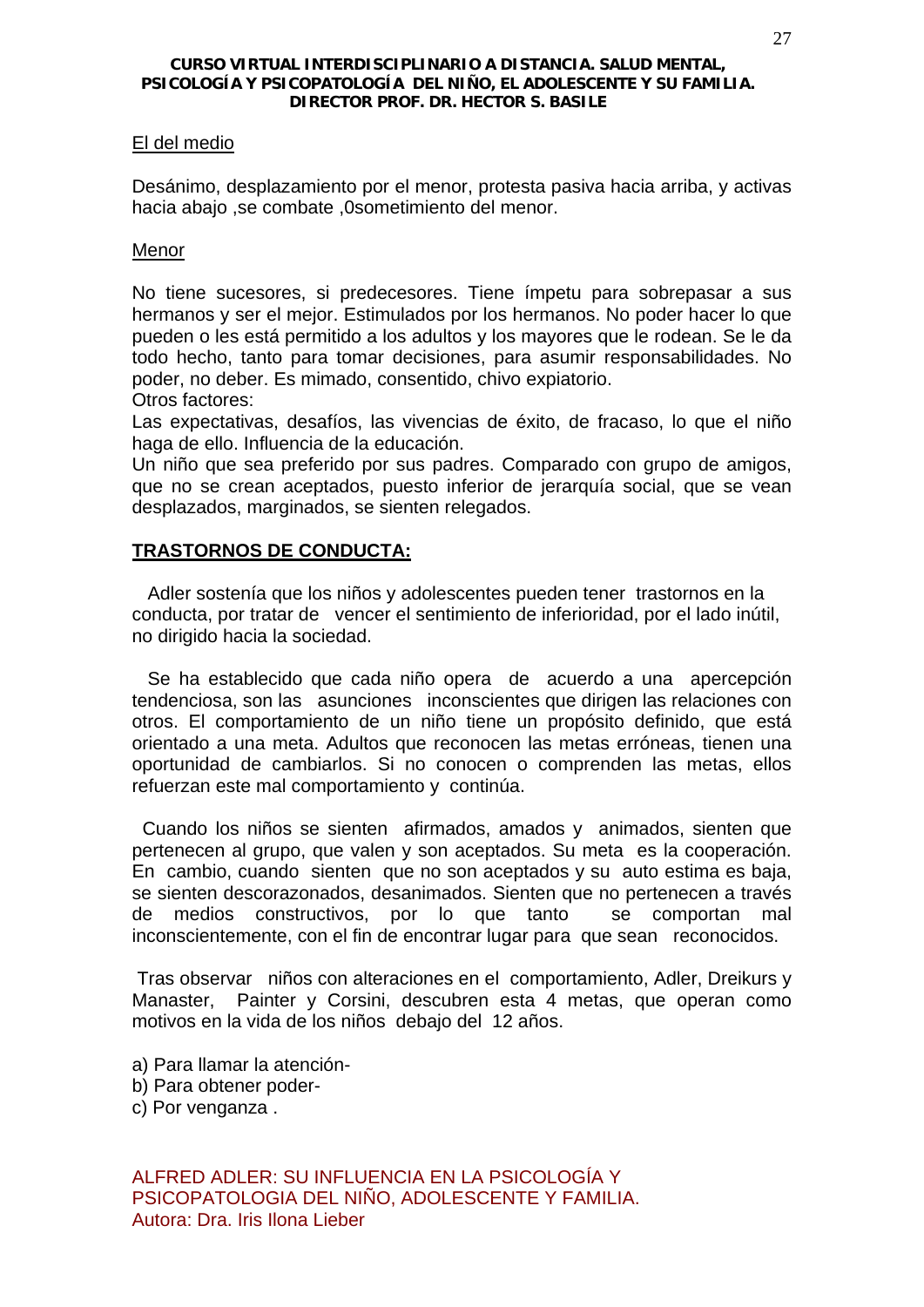# El del medio

Desánimo, desplazamiento por el menor, protesta pasiva hacia arriba, y activas hacia abajo ,se combate ,0sometimiento del menor.

# Menor

No tiene sucesores, si predecesores. Tiene ímpetu para sobrepasar a sus hermanos y ser el mejor. Estimulados por los hermanos. No poder hacer lo que pueden o les está permitido a los adultos y los mayores que le rodean. Se le da todo hecho, tanto para tomar decisiones, para asumir responsabilidades. No poder, no deber. Es mimado, consentido, chivo expiatorio.

Otros factores:

Las expectativas, desafíos, las vivencias de éxito, de fracaso, lo que el niño haga de ello. Influencia de la educación.

Un niño que sea preferido por sus padres. Comparado con grupo de amigos, que no se crean aceptados, puesto inferior de jerarquía social, que se vean desplazados, marginados, se sienten relegados.

# **TRASTORNOS DE CONDUCTA:**

 Adler sostenía que los niños y adolescentes pueden tener trastornos en la conducta, por tratar de vencer el sentimiento de inferioridad, por el lado inútil, no dirigido hacia la sociedad.

 Se ha establecido que cada niño opera de acuerdo a una apercepción tendenciosa, son las asunciones inconscientes que dirigen las relaciones con otros. El comportamiento de un niño tiene un propósito definido, que está orientado a una meta. Adultos que reconocen las metas erróneas, tienen una oportunidad de cambiarlos. Si no conocen o comprenden las metas, ellos refuerzan este mal comportamiento y continúa.

 Cuando los niños se sienten afirmados, amados y animados, sienten que pertenecen al grupo, que valen y son aceptados. Su meta es la cooperación. En cambio, cuando sienten que no son aceptados y su auto estima es baja, se sienten descorazonados, desanimados. Sienten que no pertenecen a través de medios constructivos, por lo que tanto se comportan mal inconscientemente, con el fin de encontrar lugar para que sean reconocidos.

 Tras observar niños con alteraciones en el comportamiento, Adler, Dreikurs y Manaster, Painter y Corsini, descubren esta 4 metas, que operan como motivos en la vida de los niños debajo del 12 años.

- a) Para llamar la atención-
- b) Para obtener poder-
- c) Por venganza .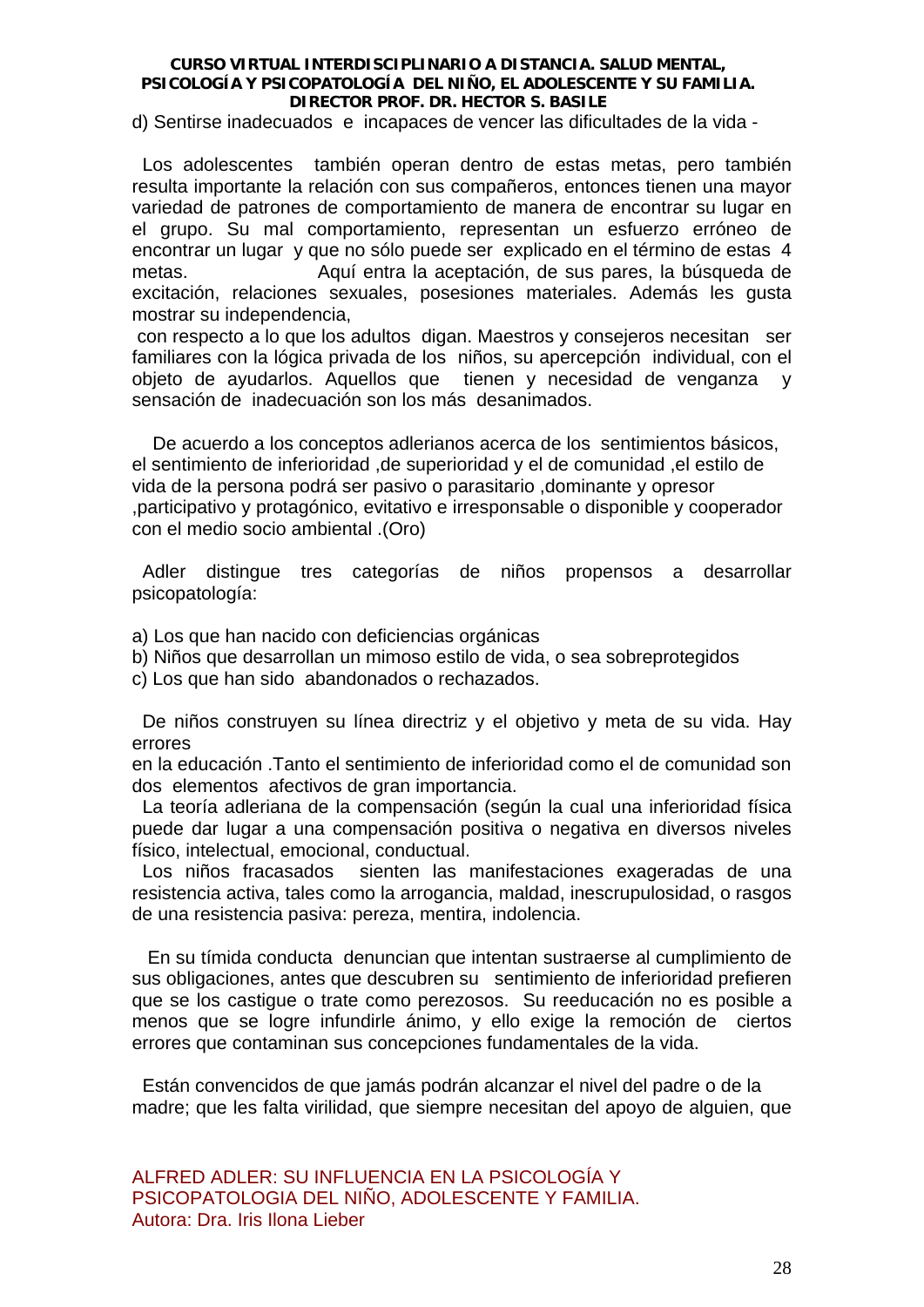d) Sentirse inadecuados e incapaces de vencer las dificultades de la vida -

 Los adolescentes también operan dentro de estas metas, pero también resulta importante la relación con sus compañeros, entonces tienen una mayor variedad de patrones de comportamiento de manera de encontrar su lugar en el grupo. Su mal comportamiento, representan un esfuerzo erróneo de encontrar un lugar y que no sólo puede ser explicado en el término de estas 4 metas. Aquí entra la aceptación, de sus pares, la búsqueda de excitación, relaciones sexuales, posesiones materiales. Además les gusta mostrar su independencia,

 con respecto a lo que los adultos digan. Maestros y consejeros necesitan ser familiares con la lógica privada de los niños, su apercepción individual, con el objeto de ayudarlos. Aquellos que tienen y necesidad de venganza y sensación de inadecuación son los más desanimados.

 De acuerdo a los conceptos adlerianos acerca de los sentimientos básicos, el sentimiento de inferioridad ,de superioridad y el de comunidad ,el estilo de vida de la persona podrá ser pasivo o parasitario ,dominante y opresor ,participativo y protagónico, evitativo e irresponsable o disponible y cooperador con el medio socio ambiental .(Oro)

 Adler distingue tres categorías de niños propensos a desarrollar psicopatología:

a) Los que han nacido con deficiencias orgánicas

- b) Niños que desarrollan un mimoso estilo de vida, o sea sobreprotegidos
- c) Los que han sido abandonados o rechazados.

 De niños construyen su línea directriz y el objetivo y meta de su vida. Hay errores

en la educación .Tanto el sentimiento de inferioridad como el de comunidad son dos elementos afectivos de gran importancia.

 La teoría adleriana de la compensación (según la cual una inferioridad física puede dar lugar a una compensación positiva o negativa en diversos niveles físico, intelectual, emocional, conductual.

 Los niños fracasados sienten las manifestaciones exageradas de una resistencia activa, tales como la arrogancia, maldad, inescrupulosidad, o rasgos de una resistencia pasiva: pereza, mentira, indolencia.

 En su tímida conducta denuncian que intentan sustraerse al cumplimiento de sus obligaciones, antes que descubren su sentimiento de inferioridad prefieren que se los castigue o trate como perezosos. Su reeducación no es posible a menos que se logre infundirle ánimo, y ello exige la remoción de ciertos errores que contaminan sus concepciones fundamentales de la vida.

 Están convencidos de que jamás podrán alcanzar el nivel del padre o de la madre; que les falta virilidad, que siempre necesitan del apoyo de alguien, que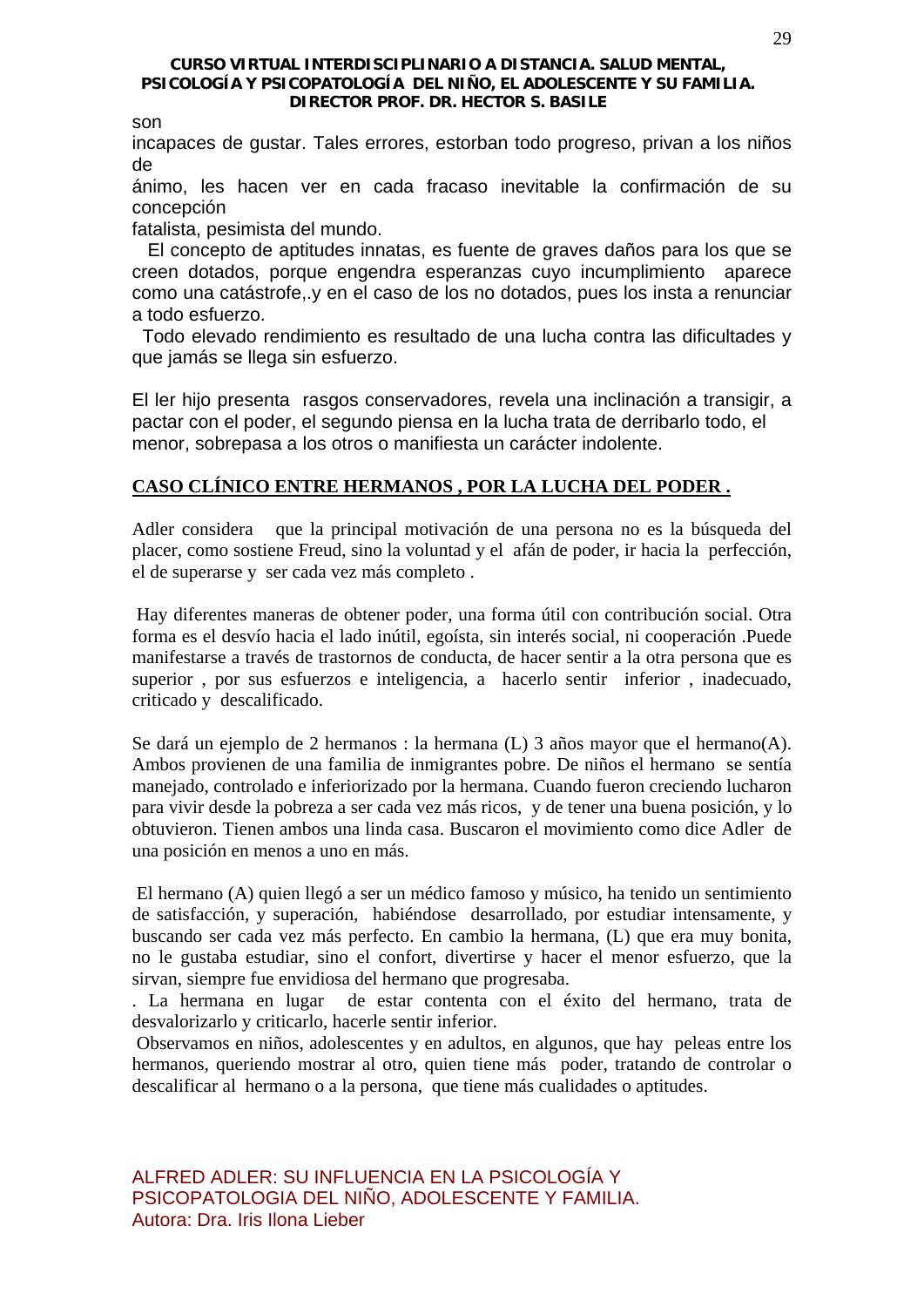son

incapaces de gustar. Tales errores, estorban todo progreso, privan a los niños de

ánimo, les hacen ver en cada fracaso inevitable la confirmación de su concepción

fatalista, pesimista del mundo.

 El concepto de aptitudes innatas, es fuente de graves daños para los que se creen dotados, porque engendra esperanzas cuyo incumplimiento aparece como una catástrofe,.y en el caso de los no dotados, pues los insta a renunciar a todo esfuerzo.

 Todo elevado rendimiento es resultado de una lucha contra las dificultades y que jamás se llega sin esfuerzo.

El ler hijo presenta rasgos conservadores, revela una inclinación a transigir, a pactar con el poder, el segundo piensa en la lucha trata de derribarlo todo, el menor, sobrepasa a los otros o manifiesta un carácter indolente.

# **CASO CLÍNICO ENTRE HERMANOS , POR LA LUCHA DEL PODER .**

Adler considera que la principal motivación de una persona no es la búsqueda del placer, como sostiene Freud, sino la voluntad y el afán de poder, ir hacia la perfección, el de superarse y ser cada vez más completo .

 Hay diferentes maneras de obtener poder, una forma útil con contribución social. Otra forma es el desvío hacia el lado inútil, egoísta, sin interés social, ni cooperación .Puede manifestarse a través de trastornos de conducta, de hacer sentir a la otra persona que es superior , por sus esfuerzos e inteligencia, a hacerlo sentir inferior , inadecuado, criticado y descalificado.

Se dará un ejemplo de 2 hermanos : la hermana (L) 3 años mayor que el hermano(A). Ambos provienen de una familia de inmigrantes pobre. De niños el hermano se sentía manejado, controlado e inferiorizado por la hermana. Cuando fueron creciendo lucharon para vivir desde la pobreza a ser cada vez más ricos, y de tener una buena posición, y lo obtuvieron. Tienen ambos una linda casa. Buscaron el movimiento como dice Adler de una posición en menos a uno en más.

 El hermano (A) quien llegó a ser un médico famoso y músico, ha tenido un sentimiento de satisfacción, y superación, habiéndose desarrollado, por estudiar intensamente, y buscando ser cada vez más perfecto. En cambio la hermana, (L) que era muy bonita, no le gustaba estudiar, sino el confort, divertirse y hacer el menor esfuerzo, que la sirvan, siempre fue envidiosa del hermano que progresaba.

. La hermana en lugar de estar contenta con el éxito del hermano, trata de desvalorizarlo y criticarlo, hacerle sentir inferior.

 Observamos en niños, adolescentes y en adultos, en algunos, que hay peleas entre los hermanos, queriendo mostrar al otro, quien tiene más poder, tratando de controlar o descalificar al hermano o a la persona, que tiene más cualidades o aptitudes.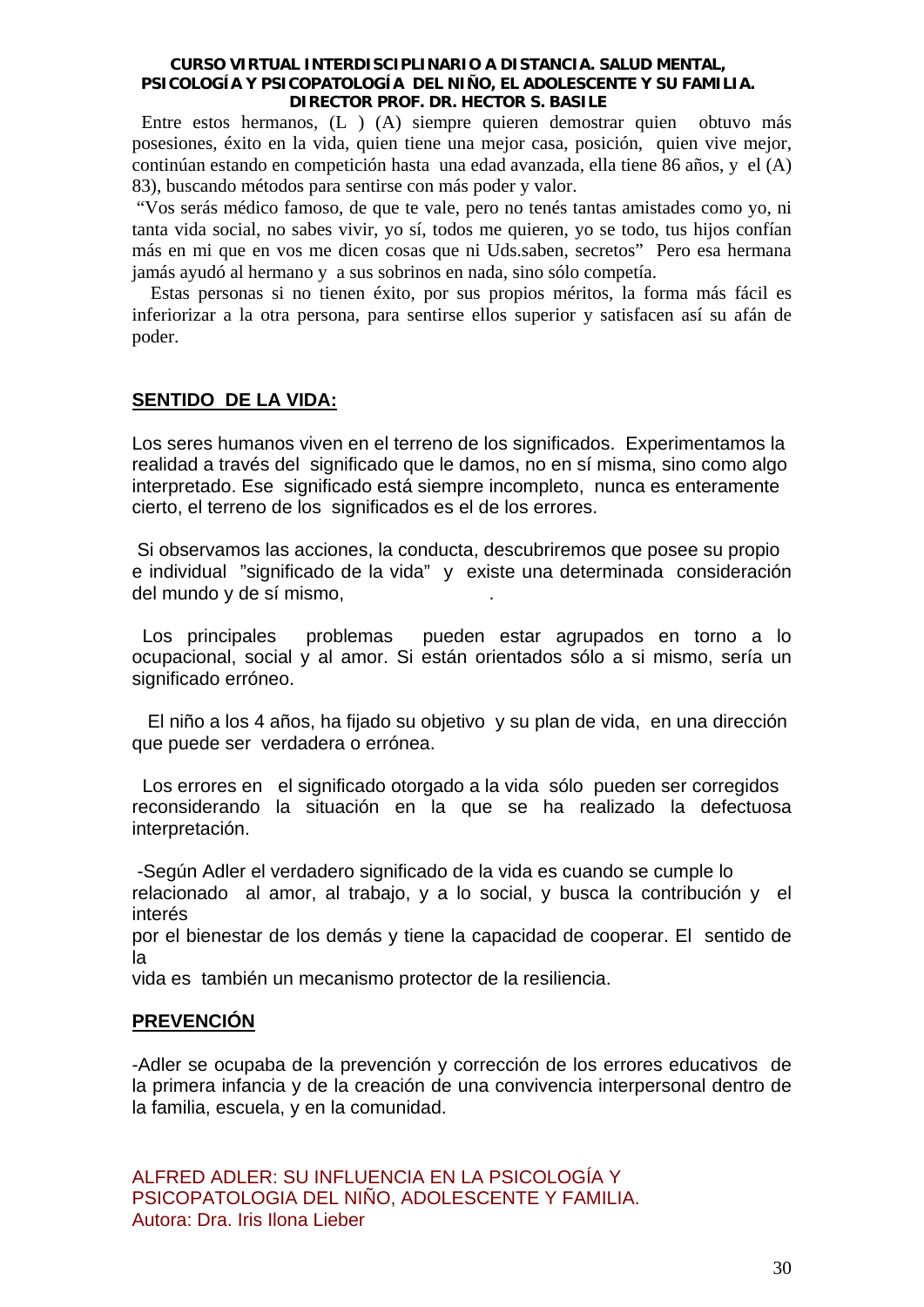Entre estos hermanos, (L ) (A) siempre quieren demostrar quien obtuvo más posesiones, éxito en la vida, quien tiene una mejor casa, posición, quien vive mejor, continúan estando en competición hasta una edad avanzada, ella tiene 86 años, y el (A) 83), buscando métodos para sentirse con más poder y valor.

 "Vos serás médico famoso, de que te vale, pero no tenés tantas amistades como yo, ni tanta vida social, no sabes vivir, yo sí, todos me quieren, yo se todo, tus hijos confían más en mi que en vos me dicen cosas que ni Uds.saben, secretos" Pero esa hermana jamás ayudó al hermano y a sus sobrinos en nada, sino sólo competía.

 Estas personas si no tienen éxito, por sus propios méritos, la forma más fácil es inferiorizar a la otra persona, para sentirse ellos superior y satisfacen así su afán de poder.

# **SENTIDO DE LA VIDA:**

Los seres humanos viven en el terreno de los significados. Experimentamos la realidad a través del significado que le damos, no en sí misma, sino como algo interpretado. Ese significado está siempre incompleto, nunca es enteramente cierto, el terreno de los significados es el de los errores.

 Si observamos las acciones, la conducta, descubriremos que posee su propio e individual "significado de la vida" y existe una determinada consideración del mundo y de sí mismo,

 Los principales problemas pueden estar agrupados en torno a lo ocupacional, social y al amor. Si están orientados sólo a si mismo, sería un significado erróneo.

 El niño a los 4 años, ha fijado su objetivo y su plan de vida, en una dirección que puede ser verdadera o errónea.

 Los errores en el significado otorgado a la vida sólo pueden ser corregidos reconsiderando la situación en la que se ha realizado la defectuosa interpretación.

 -Según Adler el verdadero significado de la vida es cuando se cumple lo relacionado al amor, al trabajo, y a lo social, y busca la contribución y el interés

por el bienestar de los demás y tiene la capacidad de cooperar. El sentido de la

vida es también un mecanismo protector de la resiliencia.

# **PREVENCIÓN**

-Adler se ocupaba de la prevención y corrección de los errores educativos de la primera infancia y de la creación de una convivencia interpersonal dentro de la familia, escuela, y en la comunidad.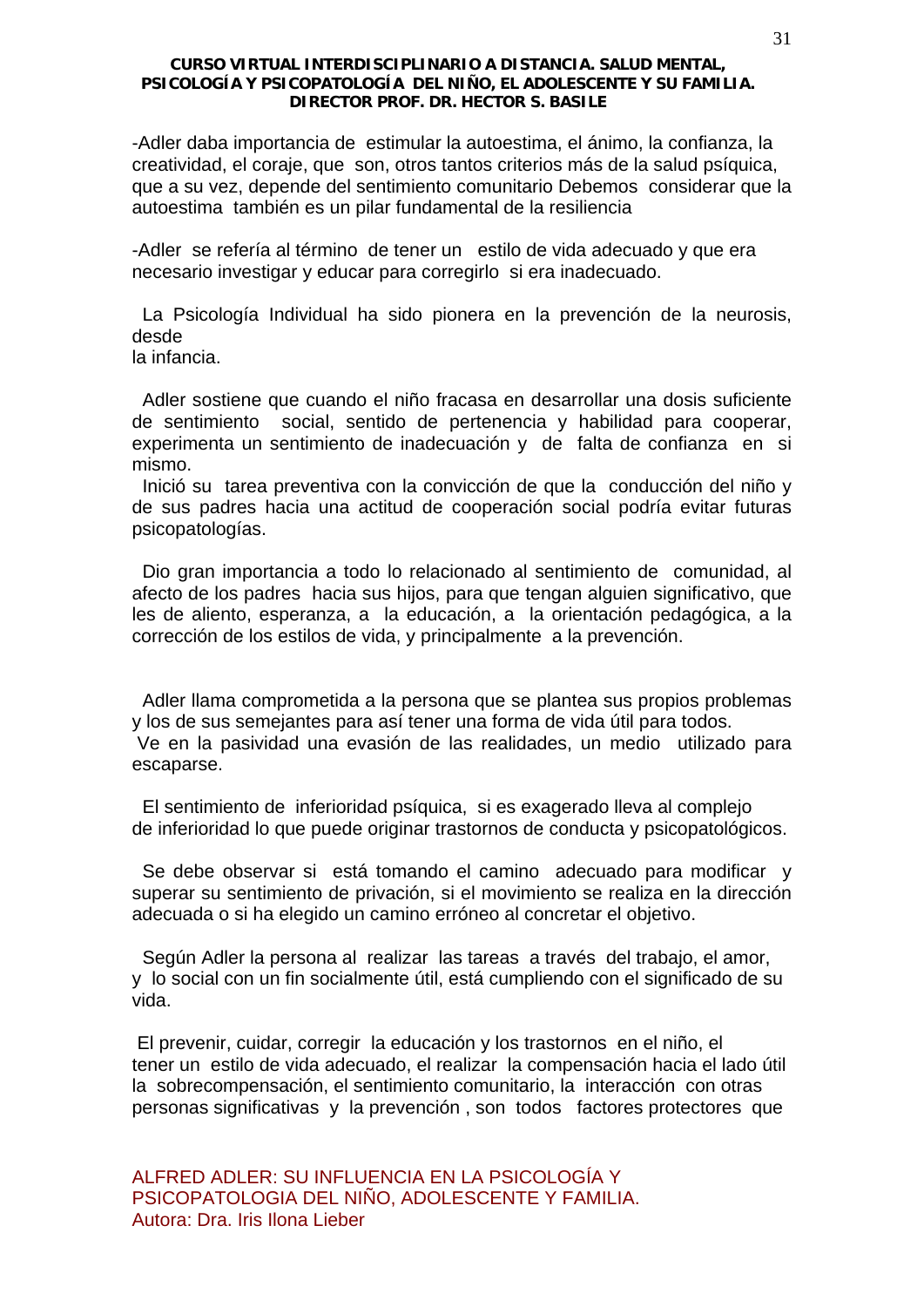-Adler daba importancia de estimular la autoestima, el ánimo, la confianza, la creatividad, el coraje, que son, otros tantos criterios más de la salud psíquica, que a su vez, depende del sentimiento comunitario Debemos considerar que la autoestima también es un pilar fundamental de la resiliencia

-Adler se refería al término de tener un estilo de vida adecuado y que era necesario investigar y educar para corregirlo si era inadecuado.

 La Psicología Individual ha sido pionera en la prevención de la neurosis, desde

la infancia.

 Adler sostiene que cuando el niño fracasa en desarrollar una dosis suficiente de sentimiento social, sentido de pertenencia y habilidad para cooperar, experimenta un sentimiento de inadecuación y de falta de confianza en si mismo.

 Inició su tarea preventiva con la convicción de que la conducción del niño y de sus padres hacia una actitud de cooperación social podría evitar futuras psicopatologías.

 Dio gran importancia a todo lo relacionado al sentimiento de comunidad, al afecto de los padres hacia sus hijos, para que tengan alguien significativo, que les de aliento, esperanza, a la educación, a la orientación pedagógica, a la corrección de los estilos de vida, y principalmente a la prevención.

 Adler llama comprometida a la persona que se plantea sus propios problemas y los de sus semejantes para así tener una forma de vida útil para todos. Ve en la pasividad una evasión de las realidades, un medio utilizado para escaparse.

 El sentimiento de inferioridad psíquica, si es exagerado lleva al complejo de inferioridad lo que puede originar trastornos de conducta y psicopatológicos.

 Se debe observar si está tomando el camino adecuado para modificar y superar su sentimiento de privación, si el movimiento se realiza en la dirección adecuada o si ha elegido un camino erróneo al concretar el objetivo.

 Según Adler la persona al realizar las tareas a través del trabajo, el amor, y lo social con un fin socialmente útil, está cumpliendo con el significado de su vida.

 El prevenir, cuidar, corregir la educación y los trastornos en el niño, el tener un estilo de vida adecuado, el realizar la compensación hacia el lado útil la sobrecompensación, el sentimiento comunitario, la interacción con otras personas significativas y la prevención , son todos factores protectores que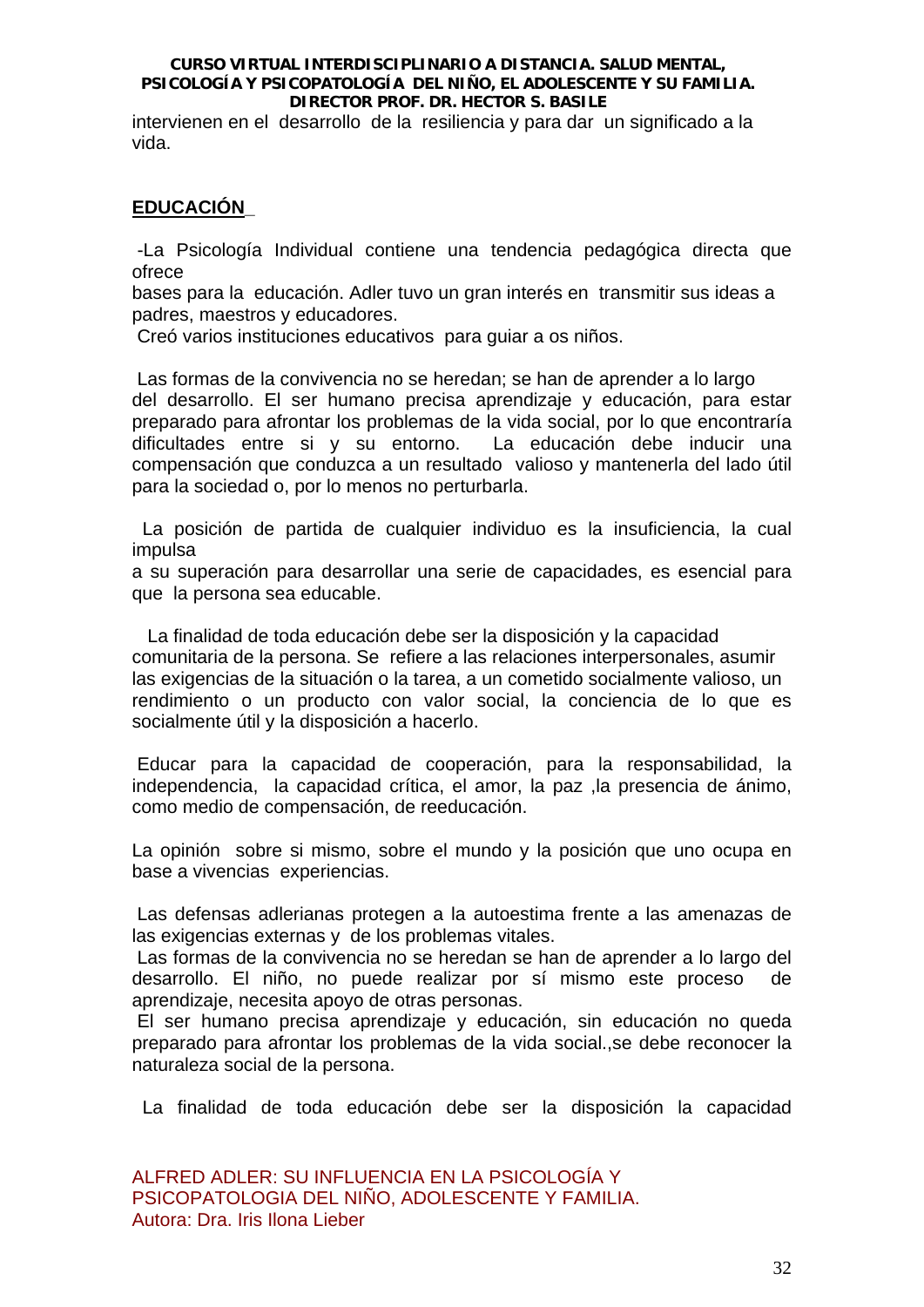intervienen en el desarrollo de la resiliencia y para dar un significado a la vida.

# **EDUCACIÓN\_**

 -La Psicología Individual contiene una tendencia pedagógica directa que ofrece

bases para la educación. Adler tuvo un gran interés en transmitir sus ideas a padres, maestros y educadores.

Creó varios instituciones educativos para guiar a os niños.

 Las formas de la convivencia no se heredan; se han de aprender a lo largo del desarrollo. El ser humano precisa aprendizaje y educación, para estar preparado para afrontar los problemas de la vida social, por lo que encontraría dificultades entre si y su entorno. La educación debe inducir una compensación que conduzca a un resultado valioso y mantenerla del lado útil para la sociedad o, por lo menos no perturbarla.

 La posición de partida de cualquier individuo es la insuficiencia, la cual impulsa

a su superación para desarrollar una serie de capacidades, es esencial para que la persona sea educable.

 La finalidad de toda educación debe ser la disposición y la capacidad comunitaria de la persona. Se refiere a las relaciones interpersonales, asumir las exigencias de la situación o la tarea, a un cometido socialmente valioso, un rendimiento o un producto con valor social, la conciencia de lo que es socialmente útil y la disposición a hacerlo.

 Educar para la capacidad de cooperación, para la responsabilidad, la independencia, la capacidad crítica, el amor, la paz ,la presencia de ánimo, como medio de compensación, de reeducación.

La opinión sobre si mismo, sobre el mundo y la posición que uno ocupa en base a vivencias experiencias.

 Las defensas adlerianas protegen a la autoestima frente a las amenazas de las exigencias externas y de los problemas vitales.

 Las formas de la convivencia no se heredan se han de aprender a lo largo del desarrollo. El niño, no puede realizar por sí mismo este proceso de aprendizaje, necesita apoyo de otras personas.

 El ser humano precisa aprendizaje y educación, sin educación no queda preparado para afrontar los problemas de la vida social.,se debe reconocer la naturaleza social de la persona.

La finalidad de toda educación debe ser la disposición la capacidad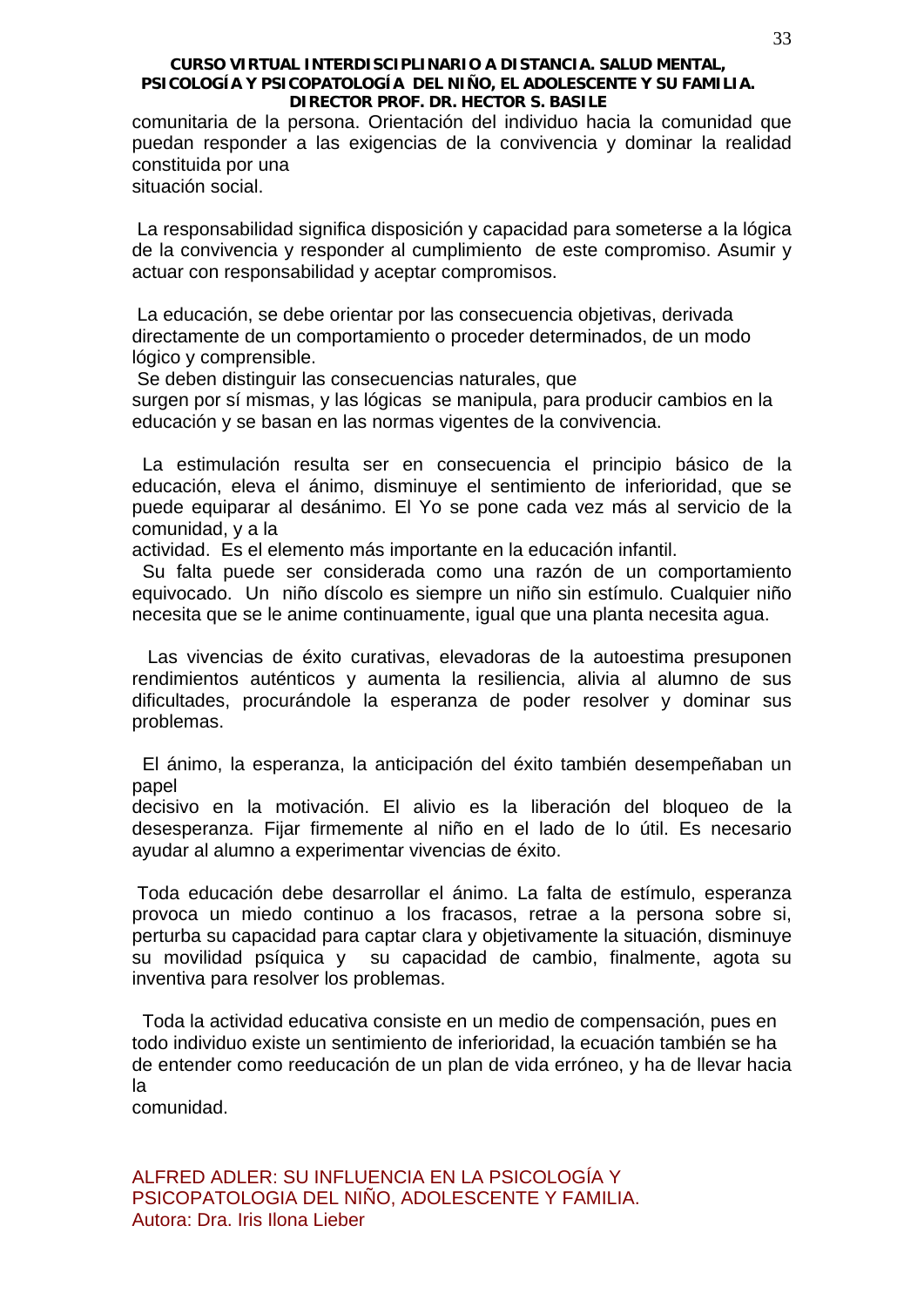comunitaria de la persona. Orientación del individuo hacia la comunidad que puedan responder a las exigencias de la convivencia y dominar la realidad constituida por una situación social.

 La responsabilidad significa disposición y capacidad para someterse a la lógica de la convivencia y responder al cumplimiento de este compromiso. Asumir y actuar con responsabilidad y aceptar compromisos.

 La educación, se debe orientar por las consecuencia objetivas, derivada directamente de un comportamiento o proceder determinados, de un modo lógico y comprensible.

Se deben distinguir las consecuencias naturales, que

surgen por sí mismas, y las lógicas se manipula, para producir cambios en la educación y se basan en las normas vigentes de la convivencia.

 La estimulación resulta ser en consecuencia el principio básico de la educación, eleva el ánimo, disminuye el sentimiento de inferioridad, que se puede equiparar al desánimo. El Yo se pone cada vez más al servicio de la comunidad, y a la

actividad. Es el elemento más importante en la educación infantil.

 Su falta puede ser considerada como una razón de un comportamiento equivocado. Un niño díscolo es siempre un niño sin estímulo. Cualquier niño necesita que se le anime continuamente, igual que una planta necesita agua.

 Las vivencias de éxito curativas, elevadoras de la autoestima presuponen rendimientos auténticos y aumenta la resiliencia, alivia al alumno de sus dificultades, procurándole la esperanza de poder resolver y dominar sus problemas.

 El ánimo, la esperanza, la anticipación del éxito también desempeñaban un papel

decisivo en la motivación. El alivio es la liberación del bloqueo de la desesperanza. Fijar firmemente al niño en el lado de lo útil. Es necesario ayudar al alumno a experimentar vivencias de éxito.

 Toda educación debe desarrollar el ánimo. La falta de estímulo, esperanza provoca un miedo continuo a los fracasos, retrae a la persona sobre si, perturba su capacidad para captar clara y objetivamente la situación, disminuye su movilidad psíquica y su capacidad de cambio, finalmente, agota su inventiva para resolver los problemas.

 Toda la actividad educativa consiste en un medio de compensación, pues en todo individuo existe un sentimiento de inferioridad, la ecuación también se ha de entender como reeducación de un plan de vida erróneo, y ha de llevar hacia la

comunidad.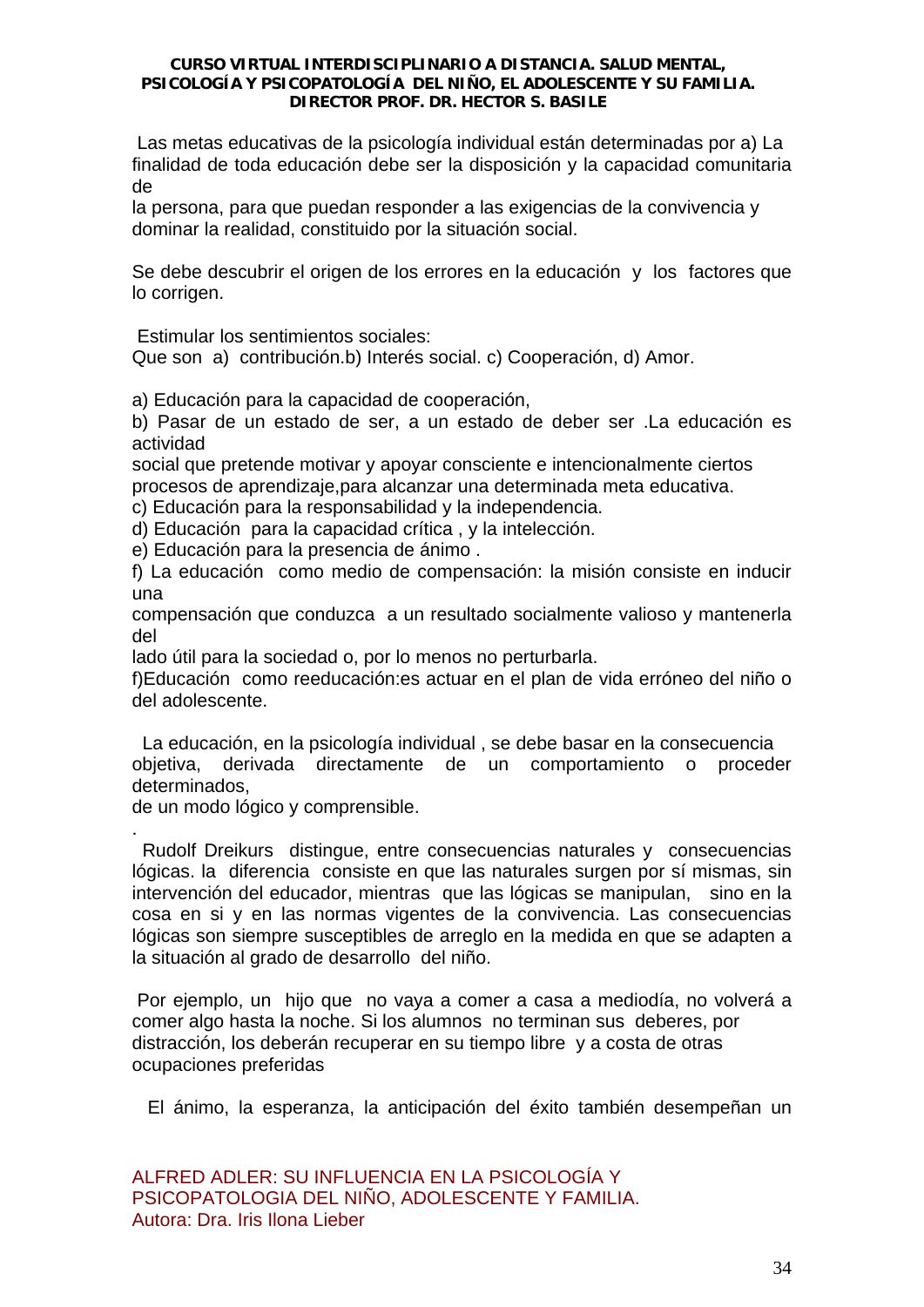Las metas educativas de la psicología individual están determinadas por a) La finalidad de toda educación debe ser la disposición y la capacidad comunitaria de

la persona, para que puedan responder a las exigencias de la convivencia y dominar la realidad, constituido por la situación social.

Se debe descubrir el origen de los errores en la educación y los factores que lo corrigen.

Estimular los sentimientos sociales:

Que son a) contribución.b) Interés social. c) Cooperación, d) Amor.

a) Educación para la capacidad de cooperación,

b) Pasar de un estado de ser, a un estado de deber ser .La educación es actividad

social que pretende motivar y apoyar consciente e intencionalmente ciertos procesos de aprendizaje,para alcanzar una determinada meta educativa.

c) Educación para la responsabilidad y la independencia.

d) Educación para la capacidad crítica , y la intelección.

e) Educación para la presencia de ánimo .

f) La educación como medio de compensación: la misión consiste en inducir una

compensación que conduzca a un resultado socialmente valioso y mantenerla del

lado útil para la sociedad o, por lo menos no perturbarla.

f)Educación como reeducación:es actuar en el plan de vida erróneo del niño o del adolescente.

 La educación, en la psicología individual , se debe basar en la consecuencia objetiva, derivada directamente de un comportamiento o proceder determinados,

de un modo lógico y comprensible.

. Rudolf Dreikurs distingue, entre consecuencias naturales y consecuencias lógicas. la diferencia consiste en que las naturales surgen por sí mismas, sin intervención del educador, mientras que las lógicas se manipulan, sino en la cosa en si y en las normas vigentes de la convivencia. Las consecuencias lógicas son siempre susceptibles de arreglo en la medida en que se adapten a la situación al grado de desarrollo del niño.

 Por ejemplo, un hijo que no vaya a comer a casa a mediodía, no volverá a comer algo hasta la noche. Si los alumnos no terminan sus deberes, por distracción, los deberán recuperar en su tiempo libre y a costa de otras ocupaciones preferidas

El ánimo, la esperanza, la anticipación del éxito también desempeñan un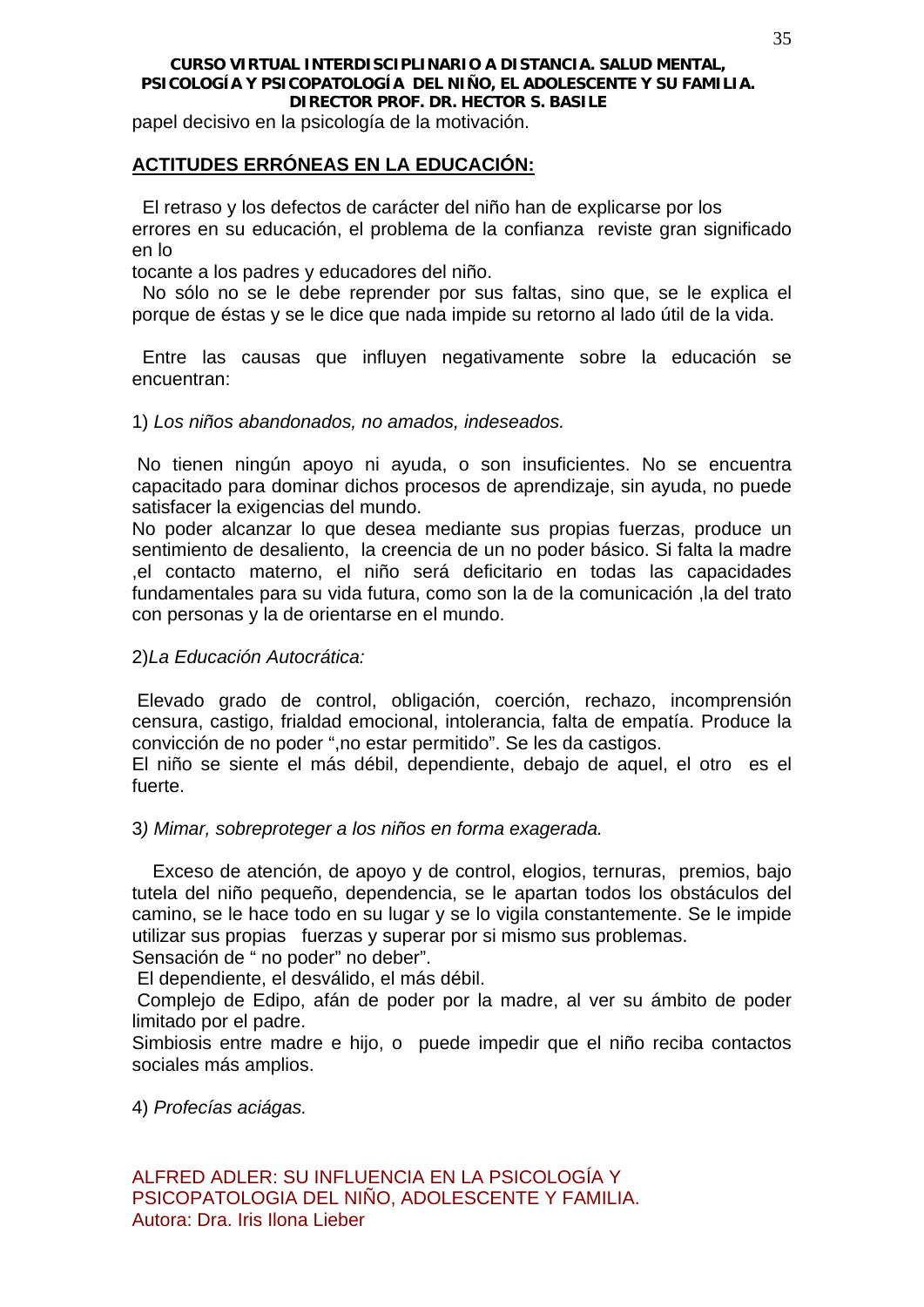papel decisivo en la psicología de la motivación.

# **ACTITUDES ERRÓNEAS EN LA EDUCACIÓN:**

 El retraso y los defectos de carácter del niño han de explicarse por los errores en su educación, el problema de la confianza reviste gran significado en lo

tocante a los padres y educadores del niño.

 No sólo no se le debe reprender por sus faltas, sino que, se le explica el porque de éstas y se le dice que nada impide su retorno al lado útil de la vida.

 Entre las causas que influyen negativamente sobre la educación se encuentran:

1) *Los niños abandonados, no amados, indeseados.* 

 No tienen ningún apoyo ni ayuda, o son insuficientes. No se encuentra capacitado para dominar dichos procesos de aprendizaje, sin ayuda, no puede satisfacer la exigencias del mundo.

No poder alcanzar lo que desea mediante sus propias fuerzas, produce un sentimiento de desaliento, la creencia de un no poder básico. Si falta la madre ,el contacto materno, el niño será deficitario en todas las capacidades fundamentales para su vida futura, como son la de la comunicación ,la del trato con personas y la de orientarse en el mundo.

2)*La Educación Autocrática:* 

 Elevado grado de control, obligación, coerción, rechazo, incomprensión censura, castigo, frialdad emocional, intolerancia, falta de empatía. Produce la convicción de no poder ",no estar permitido". Se les da castigos.

El niño se siente el más débil, dependiente, debajo de aquel, el otro es el fuerte.

3*) Mimar, sobreproteger a los niños en forma exagerada.* 

 Exceso de atención, de apoyo y de control, elogios, ternuras, premios, bajo tutela del niño pequeño, dependencia, se le apartan todos los obstáculos del camino, se le hace todo en su lugar y se lo vigila constantemente. Se le impide utilizar sus propias fuerzas y superar por si mismo sus problemas.

Sensación de " no poder" no deber".

El dependiente, el desválido, el más débil.

 Complejo de Edipo, afán de poder por la madre, al ver su ámbito de poder limitado por el padre.

Simbiosis entre madre e hijo, o puede impedir que el niño reciba contactos sociales más amplios.

4) *Profecías aciágas.*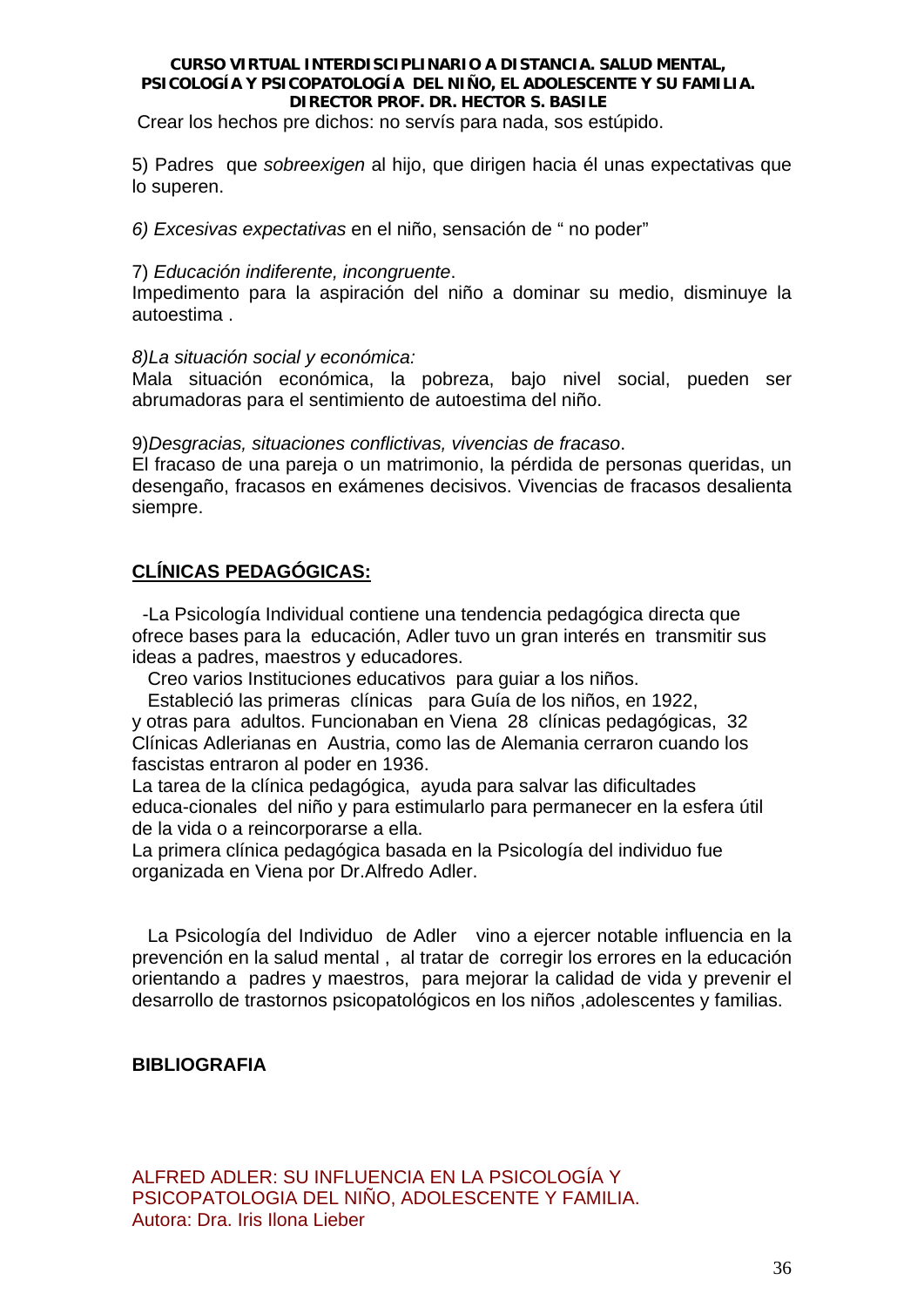Crear los hechos pre dichos: no servís para nada, sos estúpido.

5) Padres que *sobreexigen* al hijo, que dirigen hacia él unas expectativas que lo superen.

*6) Excesivas expectativas* en el niño, sensación de " no poder"

# 7) *Educación indiferente, incongruente*.

Impedimento para la aspiración del niño a dominar su medio, disminuye la autoestima .

# *8)La situación social y económica:*

Mala situación económica, la pobreza, bajo nivel social, pueden ser abrumadoras para el sentimiento de autoestima del niño.

9)*Desgracias, situaciones conflictivas, vivencias de fracaso*.

El fracaso de una pareja o un matrimonio, la pérdida de personas queridas, un desengaño, fracasos en exámenes decisivos. Vivencias de fracasos desalienta siempre.

# **CLÍNICAS PEDAGÓGICAS:**

 -La Psicología Individual contiene una tendencia pedagógica directa que ofrece bases para la educación, Adler tuvo un gran interés en transmitir sus ideas a padres, maestros y educadores.

Creo varios Instituciones educativos para guiar a los niños.

 Estableció las primeras clínicas para Guía de los niños, en 1922, y otras para adultos. Funcionaban en Viena 28 clínicas pedagógicas, 32 Clínicas Adlerianas en Austria, como las de Alemania cerraron cuando los fascistas entraron al poder en 1936.

La tarea de la clínica pedagógica, ayuda para salvar las dificultades educa-cionales del niño y para estimularlo para permanecer en la esfera útil de la vida o a reincorporarse a ella.

La primera clínica pedagógica basada en la Psicología del individuo fue organizada en Viena por Dr.Alfredo Adler.

 La Psicología del Individuo de Adler vino a ejercer notable influencia en la prevención en la salud mental , al tratar de corregir los errores en la educación orientando a padres y maestros, para mejorar la calidad de vida y prevenir el desarrollo de trastornos psicopatológicos en los niños ,adolescentes y familias.

# **BIBLIOGRAFIA**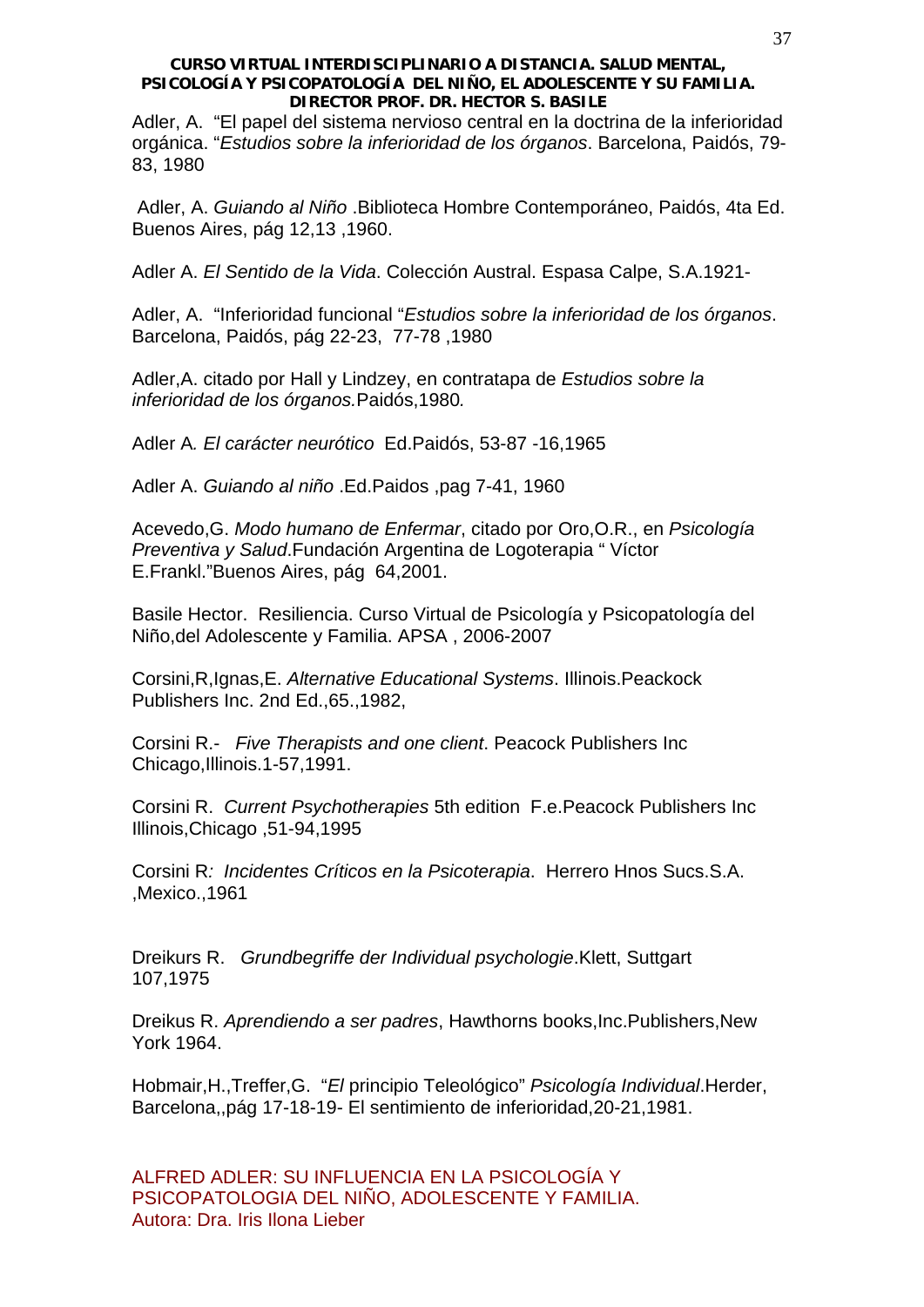Adler, A. "El papel del sistema nervioso central en la doctrina de la inferioridad orgánica. "*Estudios sobre la inferioridad de los órganos*. Barcelona, Paidós, 79- 83, 1980

 Adler, A. *Guiando al Niño* .Biblioteca Hombre Contemporáneo, Paidós, 4ta Ed. Buenos Aires, pág 12,13 ,1960.

Adler A. *El Sentido de la Vida*. Colección Austral. Espasa Calpe, S.A.1921-

Adler, A. "Inferioridad funcional "*Estudios sobre la inferioridad de los órganos*. Barcelona, Paidós, pág 22-23, 77-78 ,1980

Adler,A. citado por Hall y Lindzey, en contratapa de *Estudios sobre la inferioridad de los órganos.*Paidós,1980*.*

Adler A*. El carácter neurótico* Ed.Paidós, 53-87 -16,1965

Adler A. *Guiando al niño* .Ed.Paidos ,pag 7-41, 1960

Acevedo,G. *Modo humano de Enfermar*, citado por Oro,O.R., en *Psicología Preventiva y Salud*.Fundación Argentina de Logoterapia " Víctor E.Frankl."Buenos Aires, pág 64,2001.

Basile Hector. Resiliencia. Curso Virtual de Psicología y Psicopatología del Niño,del Adolescente y Familia. APSA , 2006-2007

Corsini,R,Ignas,E. *Alternative Educational Systems*. Illinois.Peackock Publishers Inc. 2nd Ed.,65.,1982,

Corsini R.- *Five Therapists and one client*. Peacock Publishers Inc Chicago,Illinois.1-57,1991.

Corsini R. *Current Psychotherapies* 5th edition F.e.Peacock Publishers Inc Illinois,Chicago ,51-94,1995

Corsini R*: Incidentes Críticos en la Psicoterapia*. Herrero Hnos Sucs.S.A. ,Mexico.,1961

Dreikurs R. *Grundbegriffe der Individual psychologie*.Klett, Suttgart 107,1975

Dreikus R. *Aprendiendo a ser padres*, Hawthorns books,Inc.Publishers,New York 1964.

Hobmair,H.,Treffer,G. "*El* principio Teleológico" *Psicología Individual*.Herder, Barcelona,,pág 17-18-19- El sentimiento de inferioridad,20-21,1981.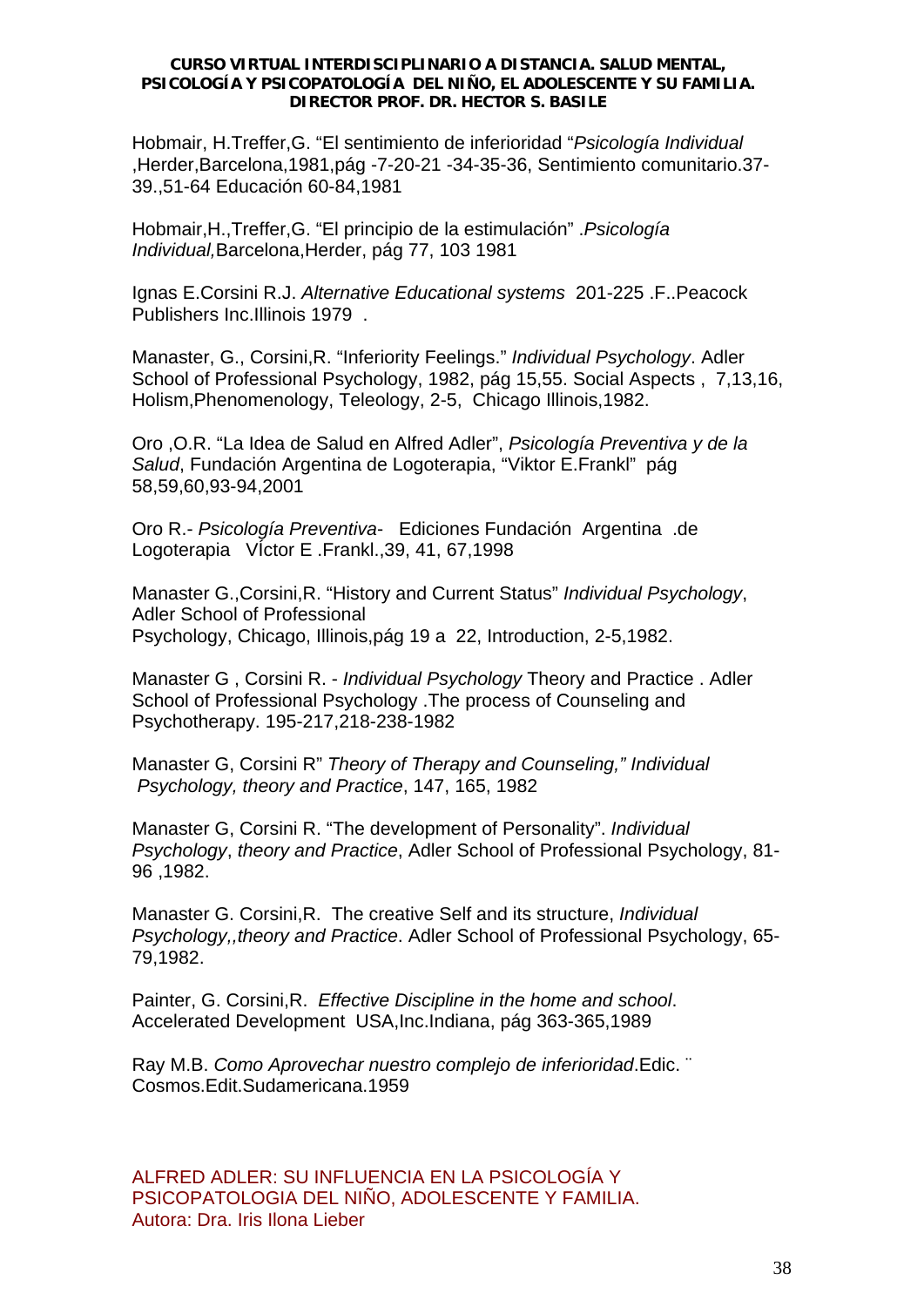Hobmair, H.Treffer,G. "El sentimiento de inferioridad "*Psicología Individual*  ,Herder,Barcelona,1981,pág -7-20-21 -34-35-36, Sentimiento comunitario.37- 39.,51-64 Educación 60-84,1981

Hobmair,H.,Treffer,G. "El principio de la estimulación" .*Psicología Individual,*Barcelona,Herder, pág 77, 103 1981

Ignas E.Corsini R.J. *Alternative Educational systems* 201-225 .F..Peacock Publishers Inc.Illinois 1979 .

Manaster, G., Corsini,R. "Inferiority Feelings." *Individual Psychology*. Adler School of Professional Psychology, 1982, pág 15,55. Social Aspects , 7,13,16, Holism,Phenomenology, Teleology, 2-5, Chicago Illinois,1982.

Oro ,O.R. "La Idea de Salud en Alfred Adler", *Psicología Preventiva y de la Salud*, Fundación Argentina de Logoterapia, "Viktor E.Frankl" pág 58,59,60,93-94,2001

Oro R.- *Psicología Preventiva*- Ediciones Fundación Argentina .de Logoterapia VÍctor E .Frankl.,39, 41, 67,1998

Manaster G.,Corsini,R. "History and Current Status" *Individual Psychology*, Adler School of Professional Psychology, Chicago, Illinois,pág 19 a 22, Introduction, 2-5,1982.

Manaster G , Corsini R. - *Individual Psychology* Theory and Practice . Adler School of Professional Psychology .The process of Counseling and Psychotherapy. 195-217,218-238-1982

Manaster G, Corsini R" *Theory of Therapy and Counseling," Individual Psychology, theory and Practice*, 147, 165, 1982

Manaster G, Corsini R. "The development of Personality". *Individual Psychology*, *theory and Practice*, Adler School of Professional Psychology, 81- 96 ,1982.

Manaster G. Corsini,R. The creative Self and its structure, *Individual Psychology,,theory and Practice*. Adler School of Professional Psychology, 65- 79,1982.

Painter, G. Corsini,R. *Effective Discipline in the home and school*. Accelerated Development USA,Inc.Indiana, pág 363-365,1989

Ray M.B. *Como Aprovechar nuestro complejo de inferioridad*.Edic. ¨ Cosmos.Edit.Sudamericana.1959